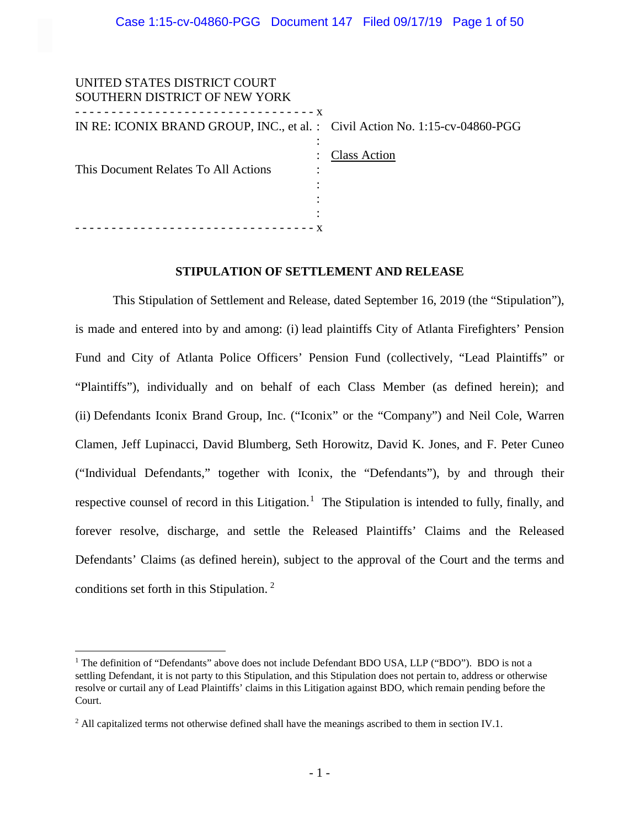| IN RE: ICONIX BRAND GROUP, INC., et al. : Civil Action No. 1:15-cv-04860-PGG |
|------------------------------------------------------------------------------|
|                                                                              |
| <b>Class Action</b>                                                          |
|                                                                              |
|                                                                              |
|                                                                              |
|                                                                              |
|                                                                              |
|                                                                              |

# **STIPULATION OF SETTLEMENT AND RELEASE**

This Stipulation of Settlement and Release, dated September 16, 2019 (the "Stipulation"), is made and entered into by and among: (i) lead plaintiffs City of Atlanta Firefighters' Pension Fund and City of Atlanta Police Officers' Pension Fund (collectively, "Lead Plaintiffs" or "Plaintiffs"), individually and on behalf of each Class Member (as defined herein); and (ii) Defendants Iconix Brand Group, Inc. ("Iconix" or the "Company") and Neil Cole, Warren Clamen, Jeff Lupinacci, David Blumberg, Seth Horowitz, David K. Jones, and F. Peter Cuneo ("Individual Defendants," together with Iconix, the "Defendants"), by and through their respective counsel of record in this Litigation.<sup>[1](#page-0-0)</sup> The Stipulation is intended to fully, finally, and forever resolve, discharge, and settle the Released Plaintiffs' Claims and the Released Defendants' Claims (as defined herein), subject to the approval of the Court and the terms and conditions set forth in this Stipulation. [2](#page-0-1)

 $\overline{a}$ 

<span id="page-0-0"></span><sup>&</sup>lt;sup>1</sup> The definition of "Defendants" above does not include Defendant BDO USA, LLP ("BDO"). BDO is not a settling Defendant, it is not party to this Stipulation, and this Stipulation does not pertain to, address or otherwise resolve or curtail any of Lead Plaintiffs' claims in this Litigation against BDO, which remain pending before the Court.

<span id="page-0-1"></span><sup>&</sup>lt;sup>2</sup> All capitalized terms not otherwise defined shall have the meanings ascribed to them in section IV.1.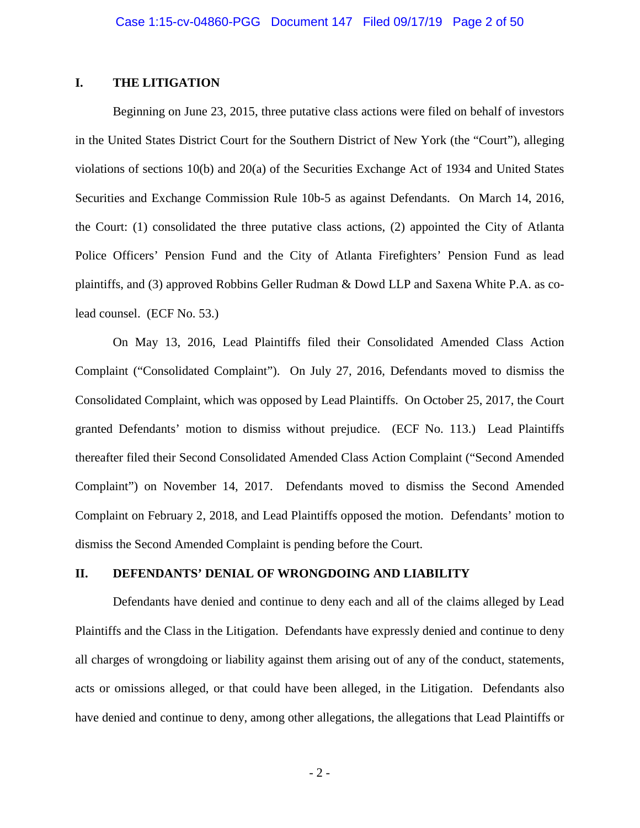# **I. THE LITIGATION**

Beginning on June 23, 2015, three putative class actions were filed on behalf of investors in the United States District Court for the Southern District of New York (the "Court"), alleging violations of sections 10(b) and 20(a) of the Securities Exchange Act of 1934 and United States Securities and Exchange Commission Rule 10b-5 as against Defendants. On March 14, 2016, the Court: (1) consolidated the three putative class actions, (2) appointed the City of Atlanta Police Officers' Pension Fund and the City of Atlanta Firefighters' Pension Fund as lead plaintiffs, and (3) approved Robbins Geller Rudman & Dowd LLP and Saxena White P.A. as colead counsel. (ECF No. 53.)

On May 13, 2016, Lead Plaintiffs filed their Consolidated Amended Class Action Complaint ("Consolidated Complaint"). On July 27, 2016, Defendants moved to dismiss the Consolidated Complaint, which was opposed by Lead Plaintiffs. On October 25, 2017, the Court granted Defendants' motion to dismiss without prejudice. (ECF No. 113.) Lead Plaintiffs thereafter filed their Second Consolidated Amended Class Action Complaint ("Second Amended Complaint") on November 14, 2017. Defendants moved to dismiss the Second Amended Complaint on February 2, 2018, and Lead Plaintiffs opposed the motion. Defendants' motion to dismiss the Second Amended Complaint is pending before the Court.

# **II. DEFENDANTS' DENIAL OF WRONGDOING AND LIABILITY**

Defendants have denied and continue to deny each and all of the claims alleged by Lead Plaintiffs and the Class in the Litigation. Defendants have expressly denied and continue to deny all charges of wrongdoing or liability against them arising out of any of the conduct, statements, acts or omissions alleged, or that could have been alleged, in the Litigation. Defendants also have denied and continue to deny, among other allegations, the allegations that Lead Plaintiffs or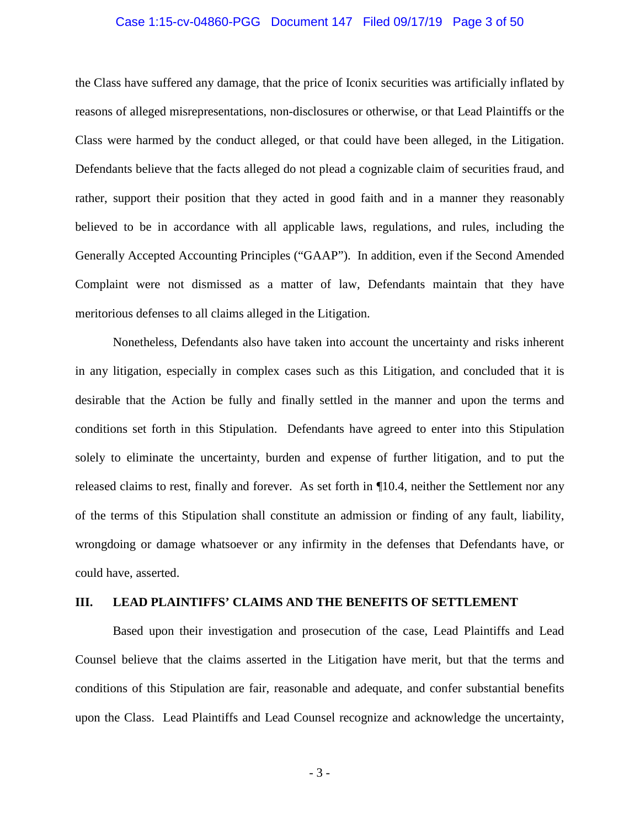# Case 1:15-cv-04860-PGG Document 147 Filed 09/17/19 Page 3 of 50

the Class have suffered any damage, that the price of Iconix securities was artificially inflated by reasons of alleged misrepresentations, non-disclosures or otherwise, or that Lead Plaintiffs or the Class were harmed by the conduct alleged, or that could have been alleged, in the Litigation. Defendants believe that the facts alleged do not plead a cognizable claim of securities fraud, and rather, support their position that they acted in good faith and in a manner they reasonably believed to be in accordance with all applicable laws, regulations, and rules, including the Generally Accepted Accounting Principles ("GAAP"). In addition, even if the Second Amended Complaint were not dismissed as a matter of law, Defendants maintain that they have meritorious defenses to all claims alleged in the Litigation.

Nonetheless, Defendants also have taken into account the uncertainty and risks inherent in any litigation, especially in complex cases such as this Litigation, and concluded that it is desirable that the Action be fully and finally settled in the manner and upon the terms and conditions set forth in this Stipulation. Defendants have agreed to enter into this Stipulation solely to eliminate the uncertainty, burden and expense of further litigation, and to put the released claims to rest, finally and forever. As set forth in ¶10.4, neither the Settlement nor any of the terms of this Stipulation shall constitute an admission or finding of any fault, liability, wrongdoing or damage whatsoever or any infirmity in the defenses that Defendants have, or could have, asserted.

# **III. LEAD PLAINTIFFS' CLAIMS AND THE BENEFITS OF SETTLEMENT**

Based upon their investigation and prosecution of the case, Lead Plaintiffs and Lead Counsel believe that the claims asserted in the Litigation have merit, but that the terms and conditions of this Stipulation are fair, reasonable and adequate, and confer substantial benefits upon the Class. Lead Plaintiffs and Lead Counsel recognize and acknowledge the uncertainty,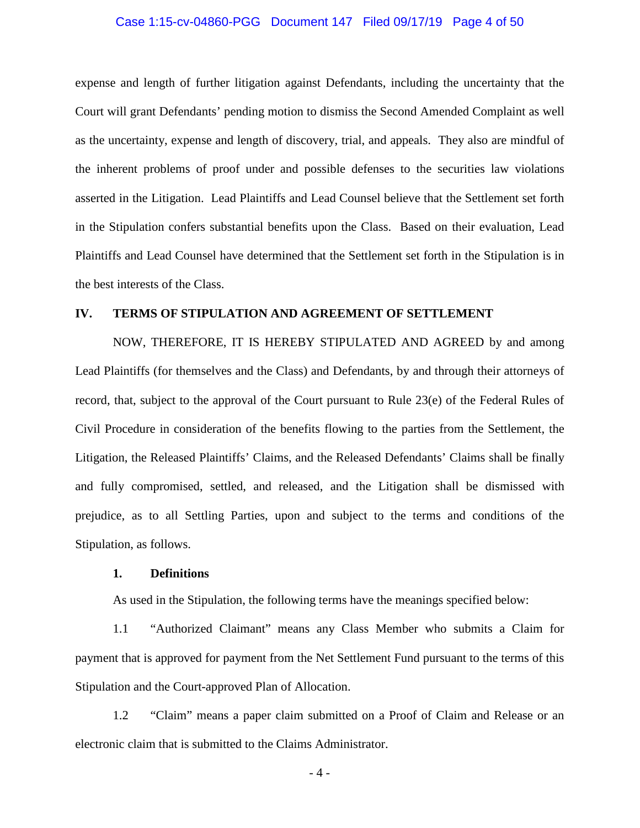# Case 1:15-cv-04860-PGG Document 147 Filed 09/17/19 Page 4 of 50

expense and length of further litigation against Defendants, including the uncertainty that the Court will grant Defendants' pending motion to dismiss the Second Amended Complaint as well as the uncertainty, expense and length of discovery, trial, and appeals. They also are mindful of the inherent problems of proof under and possible defenses to the securities law violations asserted in the Litigation. Lead Plaintiffs and Lead Counsel believe that the Settlement set forth in the Stipulation confers substantial benefits upon the Class. Based on their evaluation, Lead Plaintiffs and Lead Counsel have determined that the Settlement set forth in the Stipulation is in the best interests of the Class.

# **IV. TERMS OF STIPULATION AND AGREEMENT OF SETTLEMENT**

NOW, THEREFORE, IT IS HEREBY STIPULATED AND AGREED by and among Lead Plaintiffs (for themselves and the Class) and Defendants, by and through their attorneys of record, that, subject to the approval of the Court pursuant to Rule 23(e) of the Federal Rules of Civil Procedure in consideration of the benefits flowing to the parties from the Settlement, the Litigation, the Released Plaintiffs' Claims, and the Released Defendants' Claims shall be finally and fully compromised, settled, and released, and the Litigation shall be dismissed with prejudice, as to all Settling Parties, upon and subject to the terms and conditions of the Stipulation, as follows.

# **1. Definitions**

As used in the Stipulation, the following terms have the meanings specified below:

1.1 "Authorized Claimant" means any Class Member who submits a Claim for payment that is approved for payment from the Net Settlement Fund pursuant to the terms of this Stipulation and the Court-approved Plan of Allocation.

1.2 "Claim" means a paper claim submitted on a Proof of Claim and Release or an electronic claim that is submitted to the Claims Administrator.

- 4 -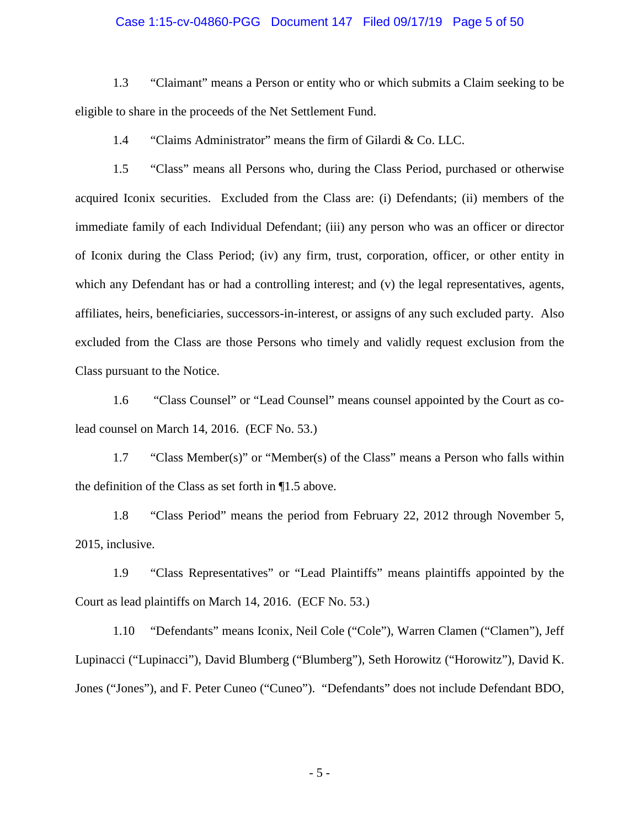# Case 1:15-cv-04860-PGG Document 147 Filed 09/17/19 Page 5 of 50

1.3 "Claimant" means a Person or entity who or which submits a Claim seeking to be eligible to share in the proceeds of the Net Settlement Fund.

1.4 "Claims Administrator" means the firm of Gilardi & Co. LLC.

1.5 "Class" means all Persons who, during the Class Period, purchased or otherwise acquired Iconix securities. Excluded from the Class are: (i) Defendants; (ii) members of the immediate family of each Individual Defendant; (iii) any person who was an officer or director of Iconix during the Class Period; (iv) any firm, trust, corporation, officer, or other entity in which any Defendant has or had a controlling interest; and (v) the legal representatives, agents, affiliates, heirs, beneficiaries, successors-in-interest, or assigns of any such excluded party. Also excluded from the Class are those Persons who timely and validly request exclusion from the Class pursuant to the Notice.

1.6 "Class Counsel" or "Lead Counsel" means counsel appointed by the Court as colead counsel on March 14, 2016. (ECF No. 53.)

1.7 "Class Member(s)" or "Member(s) of the Class" means a Person who falls within the definition of the Class as set forth in ¶1.5 above.

1.8 "Class Period" means the period from February 22, 2012 through November 5, 2015, inclusive.

1.9 "Class Representatives" or "Lead Plaintiffs" means plaintiffs appointed by the Court as lead plaintiffs on March 14, 2016. (ECF No. 53.)

1.10 "Defendants" means Iconix, Neil Cole ("Cole"), Warren Clamen ("Clamen"), Jeff Lupinacci ("Lupinacci"), David Blumberg ("Blumberg"), Seth Horowitz ("Horowitz"), David K. Jones ("Jones"), and F. Peter Cuneo ("Cuneo"). "Defendants" does not include Defendant BDO,

- 5 -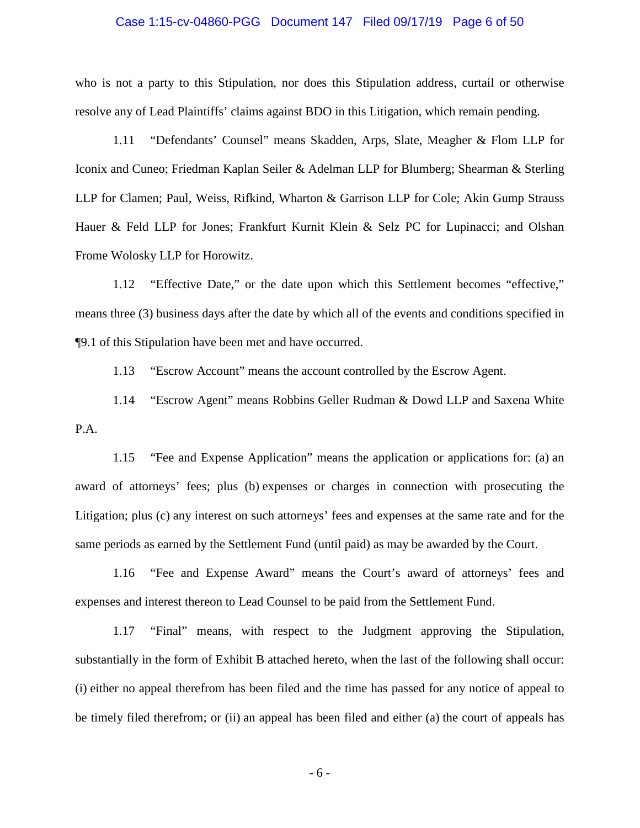# Case 1:15-cv-04860-PGG Document 147 Filed 09/17/19 Page 6 of 50

who is not a party to this Stipulation, nor does this Stipulation address, curtail or otherwise resolve any of Lead Plaintiffs' claims against BDO in this Litigation, which remain pending.

1.11 "Defendants' Counsel" means Skadden, Arps, Slate, Meagher & Flom LLP for Iconix and Cuneo; Friedman Kaplan Seiler & Adelman LLP for Blumberg; Shearman & Sterling LLP for Clamen; Paul, Weiss, Rifkind, Wharton & Garrison LLP for Cole; Akin Gump Strauss Hauer & Feld LLP for Jones; Frankfurt Kurnit Klein & Selz PC for Lupinacci; and Olshan Frome Wolosky LLP for Horowitz.

1.12 "Effective Date," or the date upon which this Settlement becomes "effective," means three (3) business days after the date by which all of the events and conditions specified in ¶9.1 of this Stipulation have been met and have occurred.

1.13 "Escrow Account" means the account controlled by the Escrow Agent.

1.14 "Escrow Agent" means Robbins Geller Rudman & Dowd LLP and Saxena White P.A.

1.15 "Fee and Expense Application" means the application or applications for: (a) an award of attorneys' fees; plus (b) expenses or charges in connection with prosecuting the Litigation; plus (c) any interest on such attorneys' fees and expenses at the same rate and for the same periods as earned by the Settlement Fund (until paid) as may be awarded by the Court.

1.16 "Fee and Expense Award" means the Court's award of attorneys' fees and expenses and interest thereon to Lead Counsel to be paid from the Settlement Fund.

1.17 "Final" means, with respect to the Judgment approving the Stipulation, substantially in the form of Exhibit B attached hereto, when the last of the following shall occur: (i) either no appeal therefrom has been filed and the time has passed for any notice of appeal to be timely filed therefrom; or (ii) an appeal has been filed and either (a) the court of appeals has

- 6 -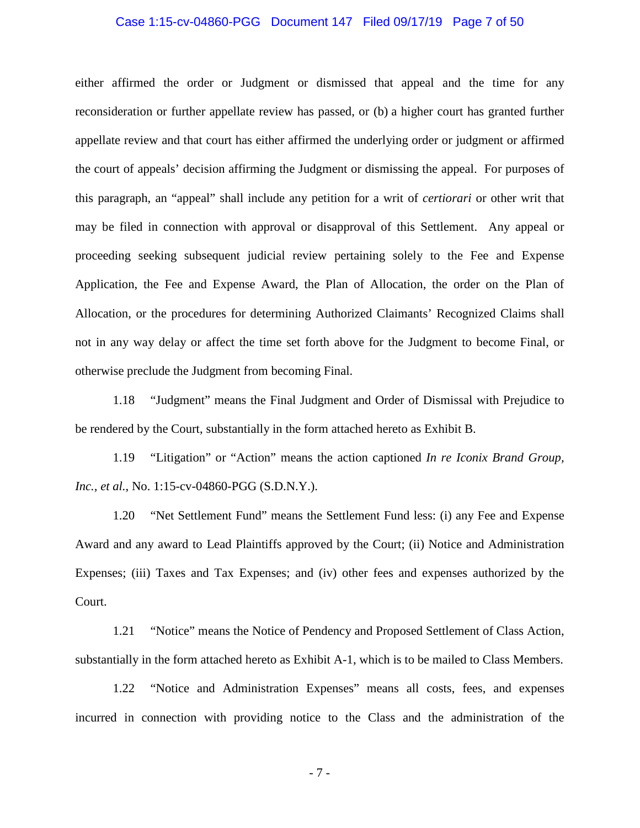# Case 1:15-cv-04860-PGG Document 147 Filed 09/17/19 Page 7 of 50

either affirmed the order or Judgment or dismissed that appeal and the time for any reconsideration or further appellate review has passed, or (b) a higher court has granted further appellate review and that court has either affirmed the underlying order or judgment or affirmed the court of appeals' decision affirming the Judgment or dismissing the appeal. For purposes of this paragraph, an "appeal" shall include any petition for a writ of *certiorari* or other writ that may be filed in connection with approval or disapproval of this Settlement. Any appeal or proceeding seeking subsequent judicial review pertaining solely to the Fee and Expense Application, the Fee and Expense Award, the Plan of Allocation, the order on the Plan of Allocation, or the procedures for determining Authorized Claimants' Recognized Claims shall not in any way delay or affect the time set forth above for the Judgment to become Final, or otherwise preclude the Judgment from becoming Final.

1.18 "Judgment" means the Final Judgment and Order of Dismissal with Prejudice to be rendered by the Court, substantially in the form attached hereto as Exhibit B.

1.19 "Litigation" or "Action" means the action captioned *In re Iconix Brand Group, Inc., et al.*, No. 1:15-cv-04860-PGG (S.D.N.Y.).

1.20 "Net Settlement Fund" means the Settlement Fund less: (i) any Fee and Expense Award and any award to Lead Plaintiffs approved by the Court; (ii) Notice and Administration Expenses; (iii) Taxes and Tax Expenses; and (iv) other fees and expenses authorized by the Court.

1.21 "Notice" means the Notice of Pendency and Proposed Settlement of Class Action, substantially in the form attached hereto as Exhibit A-1, which is to be mailed to Class Members.

1.22 "Notice and Administration Expenses" means all costs, fees, and expenses incurred in connection with providing notice to the Class and the administration of the

- 7 -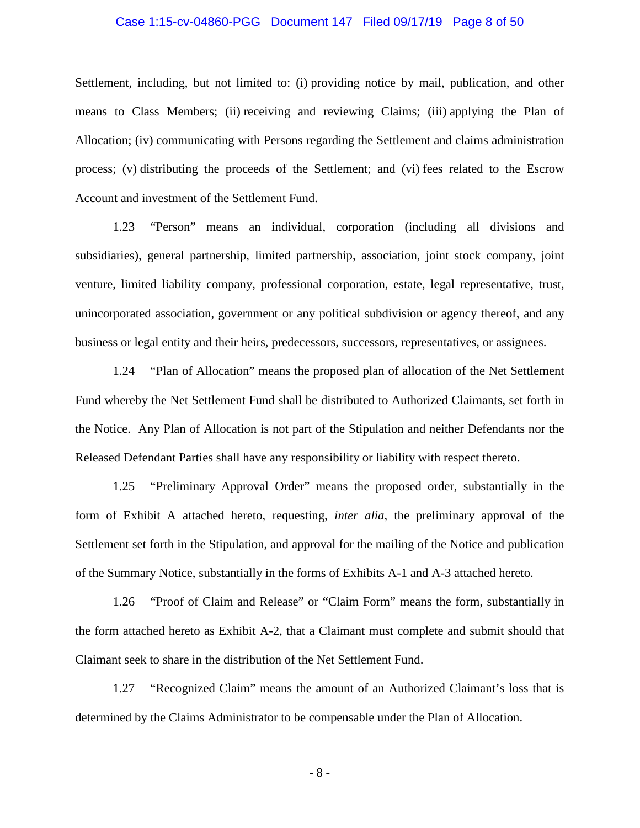### Case 1:15-cv-04860-PGG Document 147 Filed 09/17/19 Page 8 of 50

Settlement, including, but not limited to: (i) providing notice by mail, publication, and other means to Class Members; (ii) receiving and reviewing Claims; (iii) applying the Plan of Allocation; (iv) communicating with Persons regarding the Settlement and claims administration process; (v) distributing the proceeds of the Settlement; and (vi) fees related to the Escrow Account and investment of the Settlement Fund.

1.23 "Person" means an individual, corporation (including all divisions and subsidiaries), general partnership, limited partnership, association, joint stock company, joint venture, limited liability company, professional corporation, estate, legal representative, trust, unincorporated association, government or any political subdivision or agency thereof, and any business or legal entity and their heirs, predecessors, successors, representatives, or assignees.

1.24 "Plan of Allocation" means the proposed plan of allocation of the Net Settlement Fund whereby the Net Settlement Fund shall be distributed to Authorized Claimants, set forth in the Notice. Any Plan of Allocation is not part of the Stipulation and neither Defendants nor the Released Defendant Parties shall have any responsibility or liability with respect thereto.

1.25 "Preliminary Approval Order" means the proposed order, substantially in the form of Exhibit A attached hereto, requesting, *inter alia*, the preliminary approval of the Settlement set forth in the Stipulation, and approval for the mailing of the Notice and publication of the Summary Notice, substantially in the forms of Exhibits A-1 and A-3 attached hereto.

1.26 "Proof of Claim and Release" or "Claim Form" means the form, substantially in the form attached hereto as Exhibit A-2, that a Claimant must complete and submit should that Claimant seek to share in the distribution of the Net Settlement Fund.

1.27 "Recognized Claim" means the amount of an Authorized Claimant's loss that is determined by the Claims Administrator to be compensable under the Plan of Allocation.

- 8 -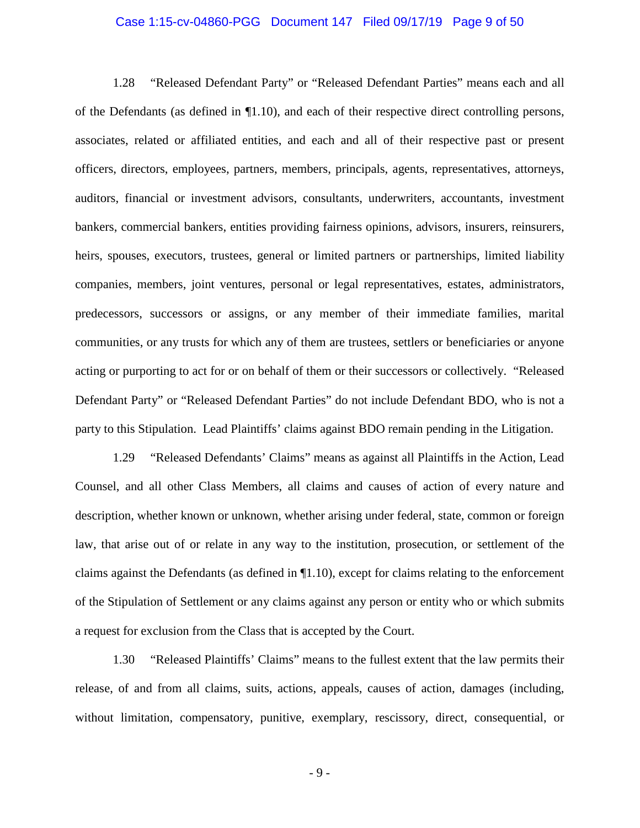### Case 1:15-cv-04860-PGG Document 147 Filed 09/17/19 Page 9 of 50

1.28 "Released Defendant Party" or "Released Defendant Parties" means each and all of the Defendants (as defined in ¶1.10), and each of their respective direct controlling persons, associates, related or affiliated entities, and each and all of their respective past or present officers, directors, employees, partners, members, principals, agents, representatives, attorneys, auditors, financial or investment advisors, consultants, underwriters, accountants, investment bankers, commercial bankers, entities providing fairness opinions, advisors, insurers, reinsurers, heirs, spouses, executors, trustees, general or limited partners or partnerships, limited liability companies, members, joint ventures, personal or legal representatives, estates, administrators, predecessors, successors or assigns, or any member of their immediate families, marital communities, or any trusts for which any of them are trustees, settlers or beneficiaries or anyone acting or purporting to act for or on behalf of them or their successors or collectively. "Released Defendant Party" or "Released Defendant Parties" do not include Defendant BDO, who is not a party to this Stipulation. Lead Plaintiffs' claims against BDO remain pending in the Litigation.

1.29 "Released Defendants' Claims" means as against all Plaintiffs in the Action, Lead Counsel, and all other Class Members, all claims and causes of action of every nature and description, whether known or unknown, whether arising under federal, state, common or foreign law, that arise out of or relate in any way to the institution, prosecution, or settlement of the claims against the Defendants (as defined in ¶1.10), except for claims relating to the enforcement of the Stipulation of Settlement or any claims against any person or entity who or which submits a request for exclusion from the Class that is accepted by the Court.

1.30 "Released Plaintiffs' Claims" means to the fullest extent that the law permits their release, of and from all claims, suits, actions, appeals, causes of action, damages (including, without limitation, compensatory, punitive, exemplary, rescissory, direct, consequential, or

- 9 -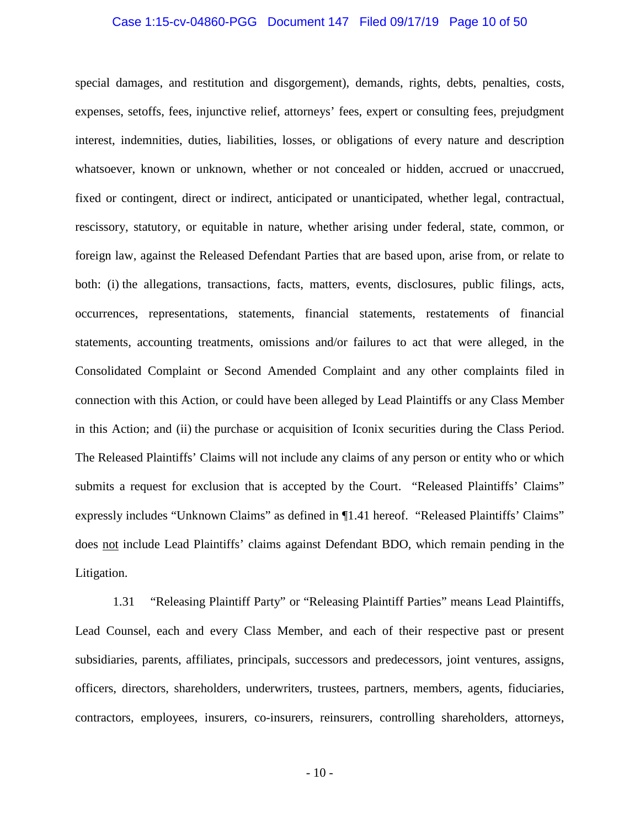# Case 1:15-cv-04860-PGG Document 147 Filed 09/17/19 Page 10 of 50

special damages, and restitution and disgorgement), demands, rights, debts, penalties, costs, expenses, setoffs, fees, injunctive relief, attorneys' fees, expert or consulting fees, prejudgment interest, indemnities, duties, liabilities, losses, or obligations of every nature and description whatsoever, known or unknown, whether or not concealed or hidden, accrued or unaccrued, fixed or contingent, direct or indirect, anticipated or unanticipated, whether legal, contractual, rescissory, statutory, or equitable in nature, whether arising under federal, state, common, or foreign law, against the Released Defendant Parties that are based upon, arise from, or relate to both: (i) the allegations, transactions, facts, matters, events, disclosures, public filings, acts, occurrences, representations, statements, financial statements, restatements of financial statements, accounting treatments, omissions and/or failures to act that were alleged, in the Consolidated Complaint or Second Amended Complaint and any other complaints filed in connection with this Action, or could have been alleged by Lead Plaintiffs or any Class Member in this Action; and (ii) the purchase or acquisition of Iconix securities during the Class Period. The Released Plaintiffs' Claims will not include any claims of any person or entity who or which submits a request for exclusion that is accepted by the Court. "Released Plaintiffs' Claims" expressly includes "Unknown Claims" as defined in ¶1.41 hereof. "Released Plaintiffs' Claims" does not include Lead Plaintiffs' claims against Defendant BDO, which remain pending in the Litigation.

1.31 "Releasing Plaintiff Party" or "Releasing Plaintiff Parties" means Lead Plaintiffs, Lead Counsel, each and every Class Member, and each of their respective past or present subsidiaries, parents, affiliates, principals, successors and predecessors, joint ventures, assigns, officers, directors, shareholders, underwriters, trustees, partners, members, agents, fiduciaries, contractors, employees, insurers, co-insurers, reinsurers, controlling shareholders, attorneys,

- 10 -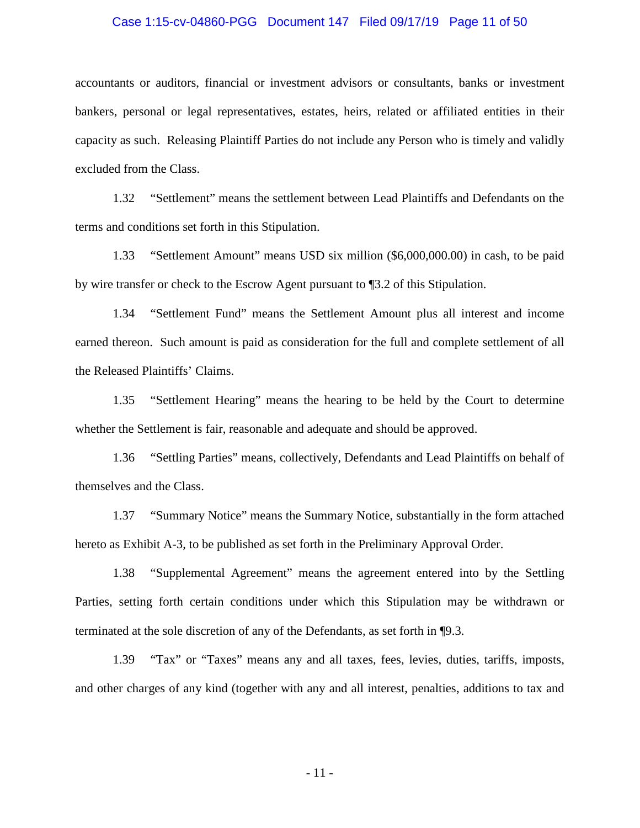# Case 1:15-cv-04860-PGG Document 147 Filed 09/17/19 Page 11 of 50

accountants or auditors, financial or investment advisors or consultants, banks or investment bankers, personal or legal representatives, estates, heirs, related or affiliated entities in their capacity as such. Releasing Plaintiff Parties do not include any Person who is timely and validly excluded from the Class.

1.32 "Settlement" means the settlement between Lead Plaintiffs and Defendants on the terms and conditions set forth in this Stipulation.

1.33 "Settlement Amount" means USD six million (\$6,000,000.00) in cash, to be paid by wire transfer or check to the Escrow Agent pursuant to ¶3.2 of this Stipulation.

1.34 "Settlement Fund" means the Settlement Amount plus all interest and income earned thereon. Such amount is paid as consideration for the full and complete settlement of all the Released Plaintiffs' Claims.

1.35 "Settlement Hearing" means the hearing to be held by the Court to determine whether the Settlement is fair, reasonable and adequate and should be approved.

1.36 "Settling Parties" means, collectively, Defendants and Lead Plaintiffs on behalf of themselves and the Class.

1.37 "Summary Notice" means the Summary Notice, substantially in the form attached hereto as Exhibit A-3, to be published as set forth in the Preliminary Approval Order.

1.38 "Supplemental Agreement" means the agreement entered into by the Settling Parties, setting forth certain conditions under which this Stipulation may be withdrawn or terminated at the sole discretion of any of the Defendants, as set forth in ¶9.3.

1.39 "Tax" or "Taxes" means any and all taxes, fees, levies, duties, tariffs, imposts, and other charges of any kind (together with any and all interest, penalties, additions to tax and

- 11 -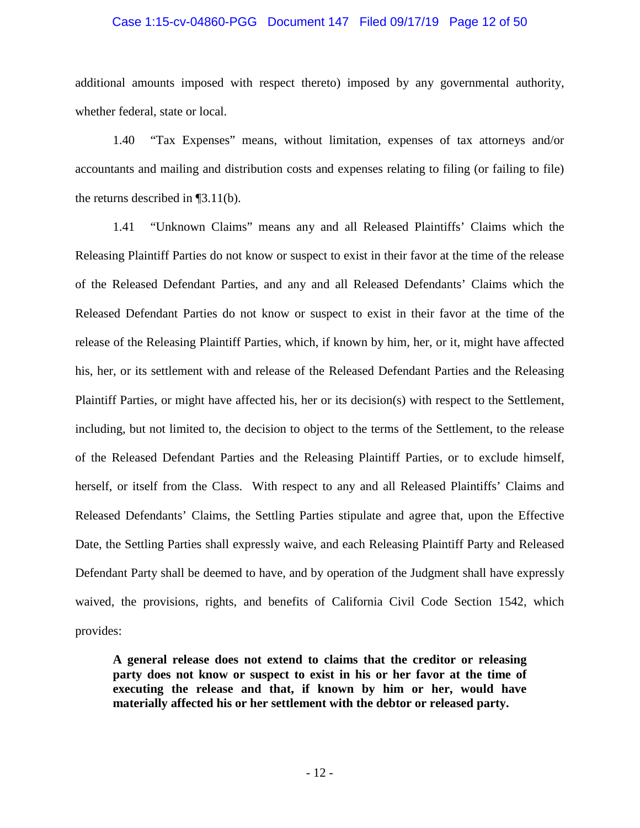### Case 1:15-cv-04860-PGG Document 147 Filed 09/17/19 Page 12 of 50

additional amounts imposed with respect thereto) imposed by any governmental authority, whether federal, state or local.

1.40 "Tax Expenses" means, without limitation, expenses of tax attorneys and/or accountants and mailing and distribution costs and expenses relating to filing (or failing to file) the returns described in ¶3.11(b).

1.41 "Unknown Claims" means any and all Released Plaintiffs' Claims which the Releasing Plaintiff Parties do not know or suspect to exist in their favor at the time of the release of the Released Defendant Parties, and any and all Released Defendants' Claims which the Released Defendant Parties do not know or suspect to exist in their favor at the time of the release of the Releasing Plaintiff Parties, which, if known by him, her, or it, might have affected his, her, or its settlement with and release of the Released Defendant Parties and the Releasing Plaintiff Parties, or might have affected his, her or its decision(s) with respect to the Settlement, including, but not limited to, the decision to object to the terms of the Settlement, to the release of the Released Defendant Parties and the Releasing Plaintiff Parties, or to exclude himself, herself, or itself from the Class. With respect to any and all Released Plaintiffs' Claims and Released Defendants' Claims, the Settling Parties stipulate and agree that, upon the Effective Date, the Settling Parties shall expressly waive, and each Releasing Plaintiff Party and Released Defendant Party shall be deemed to have, and by operation of the Judgment shall have expressly waived, the provisions, rights, and benefits of California Civil Code Section 1542, which provides:

**A general release does not extend to claims that the creditor or releasing party does not know or suspect to exist in his or her favor at the time of executing the release and that, if known by him or her, would have materially affected his or her settlement with the debtor or released party.**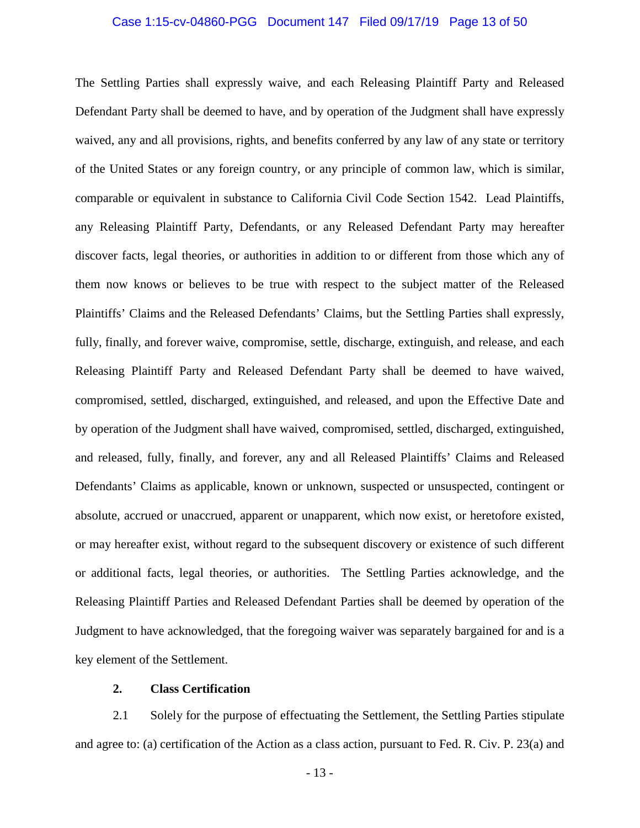### Case 1:15-cv-04860-PGG Document 147 Filed 09/17/19 Page 13 of 50

The Settling Parties shall expressly waive, and each Releasing Plaintiff Party and Released Defendant Party shall be deemed to have, and by operation of the Judgment shall have expressly waived, any and all provisions, rights, and benefits conferred by any law of any state or territory of the United States or any foreign country, or any principle of common law, which is similar, comparable or equivalent in substance to California Civil Code Section 1542. Lead Plaintiffs, any Releasing Plaintiff Party, Defendants, or any Released Defendant Party may hereafter discover facts, legal theories, or authorities in addition to or different from those which any of them now knows or believes to be true with respect to the subject matter of the Released Plaintiffs' Claims and the Released Defendants' Claims, but the Settling Parties shall expressly, fully, finally, and forever waive, compromise, settle, discharge, extinguish, and release, and each Releasing Plaintiff Party and Released Defendant Party shall be deemed to have waived, compromised, settled, discharged, extinguished, and released, and upon the Effective Date and by operation of the Judgment shall have waived, compromised, settled, discharged, extinguished, and released, fully, finally, and forever, any and all Released Plaintiffs' Claims and Released Defendants' Claims as applicable, known or unknown, suspected or unsuspected, contingent or absolute, accrued or unaccrued, apparent or unapparent, which now exist, or heretofore existed, or may hereafter exist, without regard to the subsequent discovery or existence of such different or additional facts, legal theories, or authorities. The Settling Parties acknowledge, and the Releasing Plaintiff Parties and Released Defendant Parties shall be deemed by operation of the Judgment to have acknowledged, that the foregoing waiver was separately bargained for and is a key element of the Settlement.

# **2. Class Certification**

2.1 Solely for the purpose of effectuating the Settlement, the Settling Parties stipulate and agree to: (a) certification of the Action as a class action, pursuant to Fed. R. Civ. P. 23(a) and

- 13 -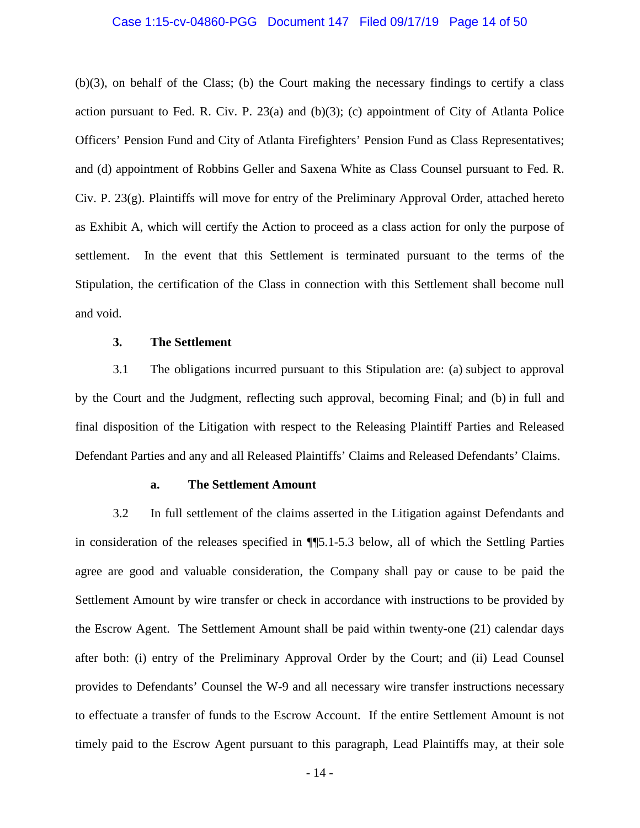# Case 1:15-cv-04860-PGG Document 147 Filed 09/17/19 Page 14 of 50

(b)(3), on behalf of the Class; (b) the Court making the necessary findings to certify a class action pursuant to Fed. R. Civ. P.  $23(a)$  and (b)(3); (c) appointment of City of Atlanta Police Officers' Pension Fund and City of Atlanta Firefighters' Pension Fund as Class Representatives; and (d) appointment of Robbins Geller and Saxena White as Class Counsel pursuant to Fed. R. Civ. P.  $23(g)$ . Plaintiffs will move for entry of the Preliminary Approval Order, attached hereto as Exhibit A, which will certify the Action to proceed as a class action for only the purpose of settlement. In the event that this Settlement is terminated pursuant to the terms of the Stipulation, the certification of the Class in connection with this Settlement shall become null and void.

# **3. The Settlement**

3.1 The obligations incurred pursuant to this Stipulation are: (a) subject to approval by the Court and the Judgment, reflecting such approval, becoming Final; and (b) in full and final disposition of the Litigation with respect to the Releasing Plaintiff Parties and Released Defendant Parties and any and all Released Plaintiffs' Claims and Released Defendants' Claims.

# **a. The Settlement Amount**

3.2 In full settlement of the claims asserted in the Litigation against Defendants and in consideration of the releases specified in ¶¶5.1-5.3 below, all of which the Settling Parties agree are good and valuable consideration, the Company shall pay or cause to be paid the Settlement Amount by wire transfer or check in accordance with instructions to be provided by the Escrow Agent. The Settlement Amount shall be paid within twenty-one (21) calendar days after both: (i) entry of the Preliminary Approval Order by the Court; and (ii) Lead Counsel provides to Defendants' Counsel the W-9 and all necessary wire transfer instructions necessary to effectuate a transfer of funds to the Escrow Account. If the entire Settlement Amount is not timely paid to the Escrow Agent pursuant to this paragraph, Lead Plaintiffs may, at their sole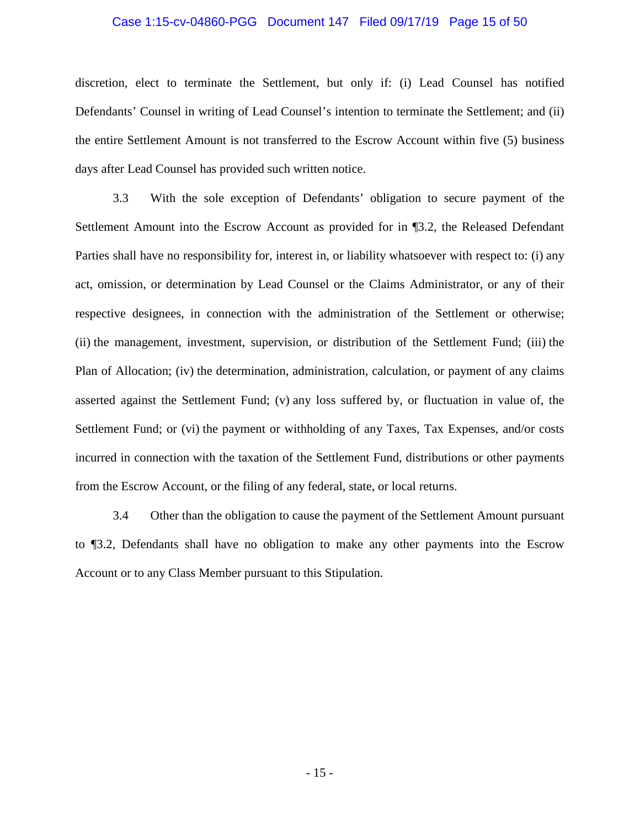# Case 1:15-cv-04860-PGG Document 147 Filed 09/17/19 Page 15 of 50

discretion, elect to terminate the Settlement, but only if: (i) Lead Counsel has notified Defendants' Counsel in writing of Lead Counsel's intention to terminate the Settlement; and (ii) the entire Settlement Amount is not transferred to the Escrow Account within five (5) business days after Lead Counsel has provided such written notice.

3.3 With the sole exception of Defendants' obligation to secure payment of the Settlement Amount into the Escrow Account as provided for in ¶3.2, the Released Defendant Parties shall have no responsibility for, interest in, or liability whatsoever with respect to: (i) any act, omission, or determination by Lead Counsel or the Claims Administrator, or any of their respective designees, in connection with the administration of the Settlement or otherwise; (ii) the management, investment, supervision, or distribution of the Settlement Fund; (iii) the Plan of Allocation; (iv) the determination, administration, calculation, or payment of any claims asserted against the Settlement Fund; (v) any loss suffered by, or fluctuation in value of, the Settlement Fund; or (vi) the payment or withholding of any Taxes, Tax Expenses, and/or costs incurred in connection with the taxation of the Settlement Fund, distributions or other payments from the Escrow Account, or the filing of any federal, state, or local returns.

3.4 Other than the obligation to cause the payment of the Settlement Amount pursuant to ¶3.2, Defendants shall have no obligation to make any other payments into the Escrow Account or to any Class Member pursuant to this Stipulation.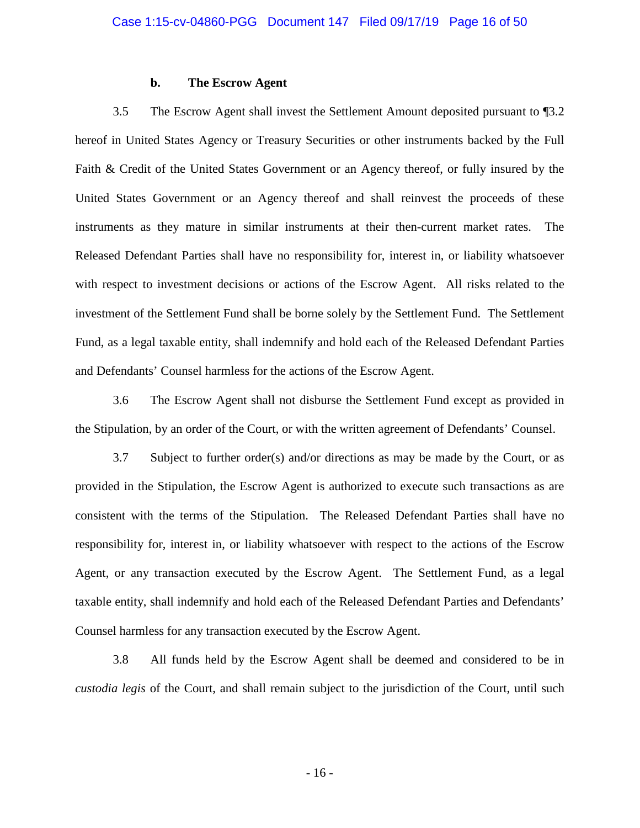# **b. The Escrow Agent**

3.5 The Escrow Agent shall invest the Settlement Amount deposited pursuant to ¶3.2 hereof in United States Agency or Treasury Securities or other instruments backed by the Full Faith & Credit of the United States Government or an Agency thereof, or fully insured by the United States Government or an Agency thereof and shall reinvest the proceeds of these instruments as they mature in similar instruments at their then-current market rates. The Released Defendant Parties shall have no responsibility for, interest in, or liability whatsoever with respect to investment decisions or actions of the Escrow Agent. All risks related to the investment of the Settlement Fund shall be borne solely by the Settlement Fund. The Settlement Fund, as a legal taxable entity, shall indemnify and hold each of the Released Defendant Parties and Defendants' Counsel harmless for the actions of the Escrow Agent.

3.6 The Escrow Agent shall not disburse the Settlement Fund except as provided in the Stipulation, by an order of the Court, or with the written agreement of Defendants' Counsel.

3.7 Subject to further order(s) and/or directions as may be made by the Court, or as provided in the Stipulation, the Escrow Agent is authorized to execute such transactions as are consistent with the terms of the Stipulation. The Released Defendant Parties shall have no responsibility for, interest in, or liability whatsoever with respect to the actions of the Escrow Agent, or any transaction executed by the Escrow Agent. The Settlement Fund, as a legal taxable entity, shall indemnify and hold each of the Released Defendant Parties and Defendants' Counsel harmless for any transaction executed by the Escrow Agent.

3.8 All funds held by the Escrow Agent shall be deemed and considered to be in *custodia legis* of the Court, and shall remain subject to the jurisdiction of the Court, until such

- 16 -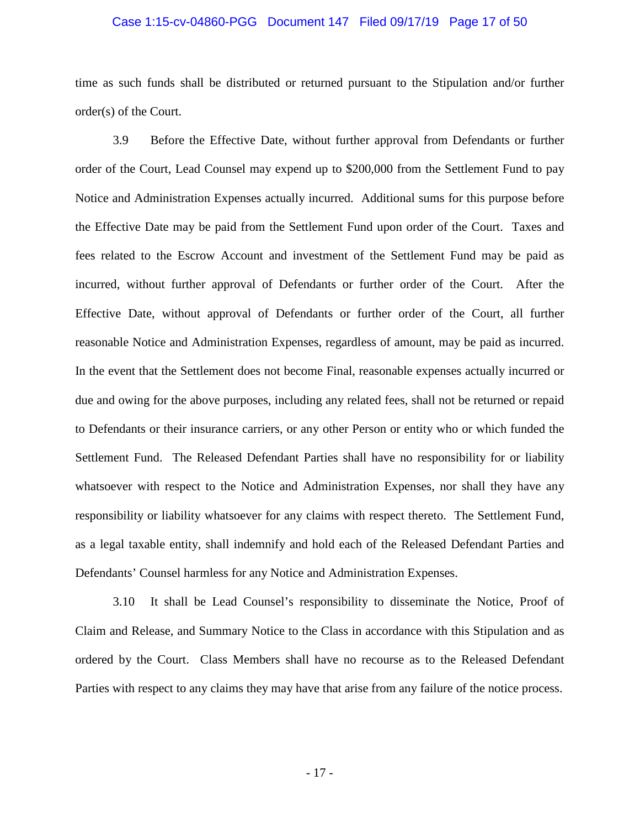# Case 1:15-cv-04860-PGG Document 147 Filed 09/17/19 Page 17 of 50

time as such funds shall be distributed or returned pursuant to the Stipulation and/or further order(s) of the Court.

3.9 Before the Effective Date, without further approval from Defendants or further order of the Court, Lead Counsel may expend up to \$200,000 from the Settlement Fund to pay Notice and Administration Expenses actually incurred. Additional sums for this purpose before the Effective Date may be paid from the Settlement Fund upon order of the Court. Taxes and fees related to the Escrow Account and investment of the Settlement Fund may be paid as incurred, without further approval of Defendants or further order of the Court. After the Effective Date, without approval of Defendants or further order of the Court, all further reasonable Notice and Administration Expenses, regardless of amount, may be paid as incurred. In the event that the Settlement does not become Final, reasonable expenses actually incurred or due and owing for the above purposes, including any related fees, shall not be returned or repaid to Defendants or their insurance carriers, or any other Person or entity who or which funded the Settlement Fund. The Released Defendant Parties shall have no responsibility for or liability whatsoever with respect to the Notice and Administration Expenses, nor shall they have any responsibility or liability whatsoever for any claims with respect thereto. The Settlement Fund, as a legal taxable entity, shall indemnify and hold each of the Released Defendant Parties and Defendants' Counsel harmless for any Notice and Administration Expenses.

3.10 It shall be Lead Counsel's responsibility to disseminate the Notice, Proof of Claim and Release, and Summary Notice to the Class in accordance with this Stipulation and as ordered by the Court. Class Members shall have no recourse as to the Released Defendant Parties with respect to any claims they may have that arise from any failure of the notice process.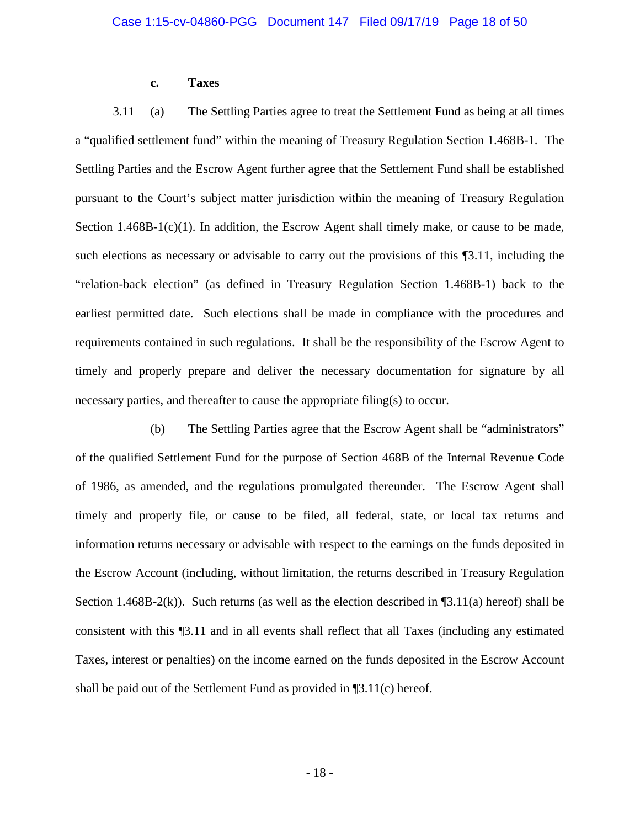# **c. Taxes**

3.11 (a) The Settling Parties agree to treat the Settlement Fund as being at all times a "qualified settlement fund" within the meaning of Treasury Regulation Section 1.468B-1. The Settling Parties and the Escrow Agent further agree that the Settlement Fund shall be established pursuant to the Court's subject matter jurisdiction within the meaning of Treasury Regulation Section  $1.468B-1(c)(1)$ . In addition, the Escrow Agent shall timely make, or cause to be made, such elections as necessary or advisable to carry out the provisions of this ¶3.11, including the "relation-back election" (as defined in Treasury Regulation Section 1.468B-1) back to the earliest permitted date. Such elections shall be made in compliance with the procedures and requirements contained in such regulations. It shall be the responsibility of the Escrow Agent to timely and properly prepare and deliver the necessary documentation for signature by all necessary parties, and thereafter to cause the appropriate filing(s) to occur.

(b) The Settling Parties agree that the Escrow Agent shall be "administrators" of the qualified Settlement Fund for the purpose of Section 468B of the Internal Revenue Code of 1986, as amended, and the regulations promulgated thereunder. The Escrow Agent shall timely and properly file, or cause to be filed, all federal, state, or local tax returns and information returns necessary or advisable with respect to the earnings on the funds deposited in the Escrow Account (including, without limitation, the returns described in Treasury Regulation Section 1.468B-2(k)). Such returns (as well as the election described in  $\P$ 3.11(a) hereof) shall be consistent with this ¶3.11 and in all events shall reflect that all Taxes (including any estimated Taxes, interest or penalties) on the income earned on the funds deposited in the Escrow Account shall be paid out of the Settlement Fund as provided in ¶3.11(c) hereof.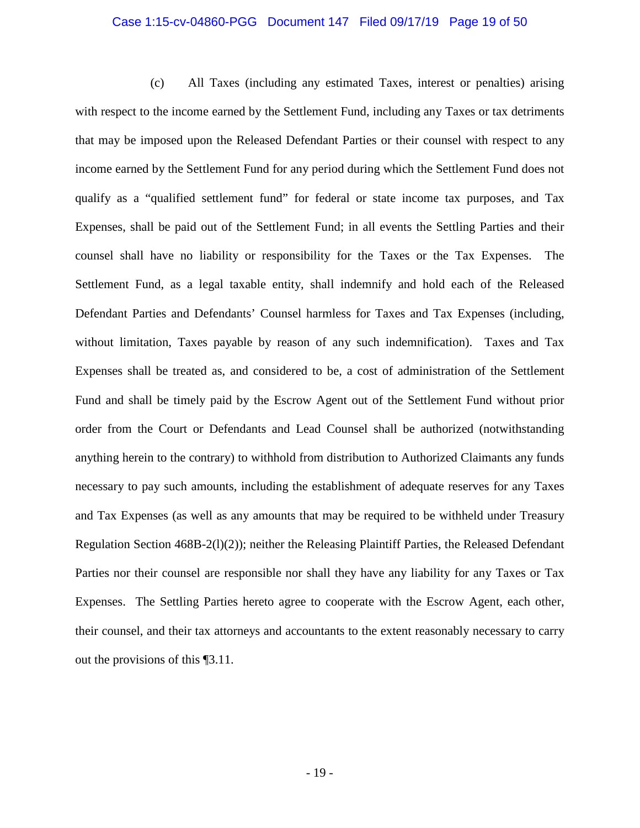#### Case 1:15-cv-04860-PGG Document 147 Filed 09/17/19 Page 19 of 50

(c) All Taxes (including any estimated Taxes, interest or penalties) arising with respect to the income earned by the Settlement Fund, including any Taxes or tax detriments that may be imposed upon the Released Defendant Parties or their counsel with respect to any income earned by the Settlement Fund for any period during which the Settlement Fund does not qualify as a "qualified settlement fund" for federal or state income tax purposes, and Tax Expenses, shall be paid out of the Settlement Fund; in all events the Settling Parties and their counsel shall have no liability or responsibility for the Taxes or the Tax Expenses. The Settlement Fund, as a legal taxable entity, shall indemnify and hold each of the Released Defendant Parties and Defendants' Counsel harmless for Taxes and Tax Expenses (including, without limitation, Taxes payable by reason of any such indemnification). Taxes and Tax Expenses shall be treated as, and considered to be, a cost of administration of the Settlement Fund and shall be timely paid by the Escrow Agent out of the Settlement Fund without prior order from the Court or Defendants and Lead Counsel shall be authorized (notwithstanding anything herein to the contrary) to withhold from distribution to Authorized Claimants any funds necessary to pay such amounts, including the establishment of adequate reserves for any Taxes and Tax Expenses (as well as any amounts that may be required to be withheld under Treasury Regulation Section 468B-2(l)(2)); neither the Releasing Plaintiff Parties, the Released Defendant Parties nor their counsel are responsible nor shall they have any liability for any Taxes or Tax Expenses. The Settling Parties hereto agree to cooperate with the Escrow Agent, each other, their counsel, and their tax attorneys and accountants to the extent reasonably necessary to carry out the provisions of this ¶3.11.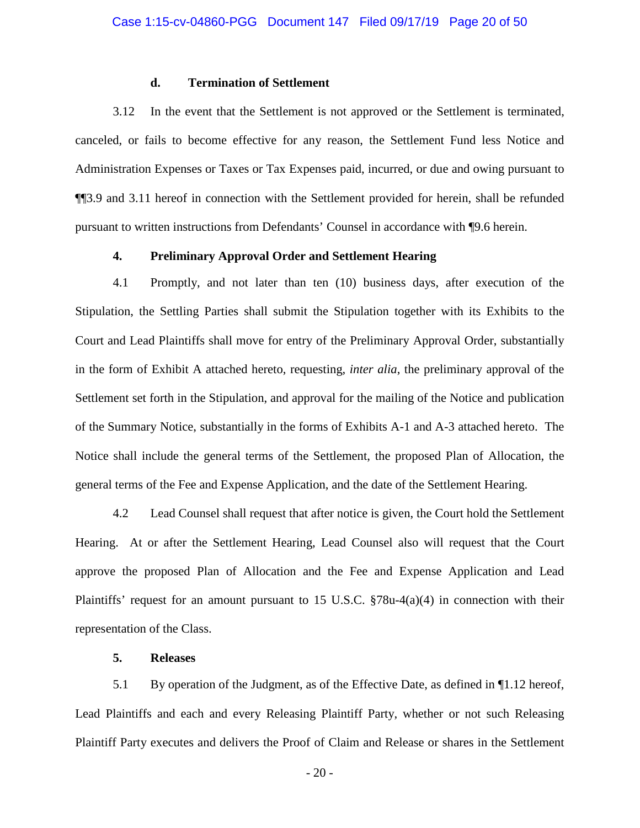# **d. Termination of Settlement**

3.12 In the event that the Settlement is not approved or the Settlement is terminated, canceled, or fails to become effective for any reason, the Settlement Fund less Notice and Administration Expenses or Taxes or Tax Expenses paid, incurred, or due and owing pursuant to ¶¶3.9 and 3.11 hereof in connection with the Settlement provided for herein, shall be refunded pursuant to written instructions from Defendants' Counsel in accordance with ¶9.6 herein.

# **4. Preliminary Approval Order and Settlement Hearing**

4.1 Promptly, and not later than ten (10) business days, after execution of the Stipulation, the Settling Parties shall submit the Stipulation together with its Exhibits to the Court and Lead Plaintiffs shall move for entry of the Preliminary Approval Order, substantially in the form of Exhibit A attached hereto, requesting, *inter alia*, the preliminary approval of the Settlement set forth in the Stipulation, and approval for the mailing of the Notice and publication of the Summary Notice, substantially in the forms of Exhibits A-1 and A-3 attached hereto. The Notice shall include the general terms of the Settlement, the proposed Plan of Allocation, the general terms of the Fee and Expense Application, and the date of the Settlement Hearing.

4.2 Lead Counsel shall request that after notice is given, the Court hold the Settlement Hearing. At or after the Settlement Hearing, Lead Counsel also will request that the Court approve the proposed Plan of Allocation and the Fee and Expense Application and Lead Plaintiffs' request for an amount pursuant to 15 U.S.C. §78u-4(a)(4) in connection with their representation of the Class.

# **5. Releases**

5.1 By operation of the Judgment, as of the Effective Date, as defined in ¶1.12 hereof, Lead Plaintiffs and each and every Releasing Plaintiff Party, whether or not such Releasing Plaintiff Party executes and delivers the Proof of Claim and Release or shares in the Settlement

- 20 -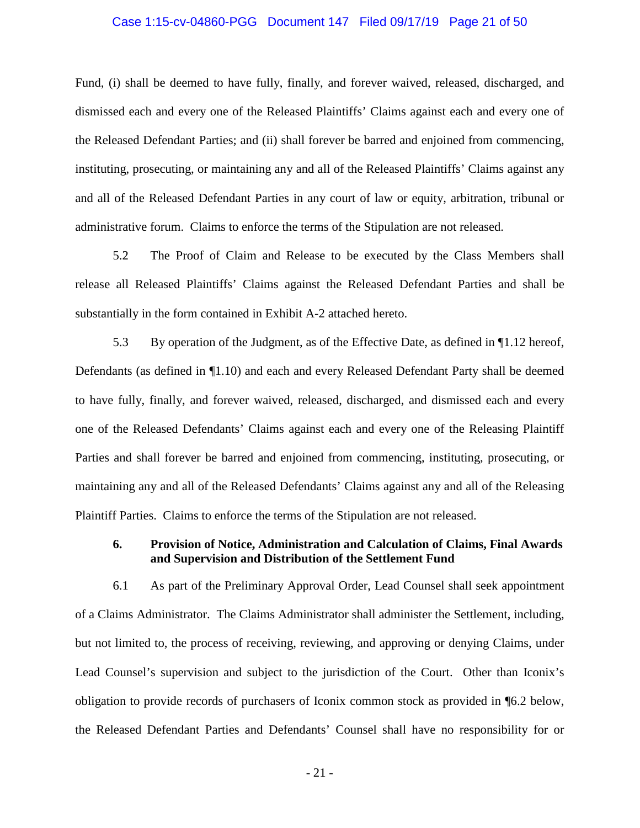# Case 1:15-cv-04860-PGG Document 147 Filed 09/17/19 Page 21 of 50

Fund, (i) shall be deemed to have fully, finally, and forever waived, released, discharged, and dismissed each and every one of the Released Plaintiffs' Claims against each and every one of the Released Defendant Parties; and (ii) shall forever be barred and enjoined from commencing, instituting, prosecuting, or maintaining any and all of the Released Plaintiffs' Claims against any and all of the Released Defendant Parties in any court of law or equity, arbitration, tribunal or administrative forum. Claims to enforce the terms of the Stipulation are not released.

5.2 The Proof of Claim and Release to be executed by the Class Members shall release all Released Plaintiffs' Claims against the Released Defendant Parties and shall be substantially in the form contained in Exhibit A-2 attached hereto.

5.3 By operation of the Judgment, as of the Effective Date, as defined in ¶1.12 hereof, Defendants (as defined in ¶1.10) and each and every Released Defendant Party shall be deemed to have fully, finally, and forever waived, released, discharged, and dismissed each and every one of the Released Defendants' Claims against each and every one of the Releasing Plaintiff Parties and shall forever be barred and enjoined from commencing, instituting, prosecuting, or maintaining any and all of the Released Defendants' Claims against any and all of the Releasing Plaintiff Parties. Claims to enforce the terms of the Stipulation are not released.

# **6. Provision of Notice, Administration and Calculation of Claims, Final Awards and Supervision and Distribution of the Settlement Fund**

6.1 As part of the Preliminary Approval Order, Lead Counsel shall seek appointment of a Claims Administrator. The Claims Administrator shall administer the Settlement, including, but not limited to, the process of receiving, reviewing, and approving or denying Claims, under Lead Counsel's supervision and subject to the jurisdiction of the Court. Other than Iconix's obligation to provide records of purchasers of Iconix common stock as provided in ¶6.2 below, the Released Defendant Parties and Defendants' Counsel shall have no responsibility for or

- 21 -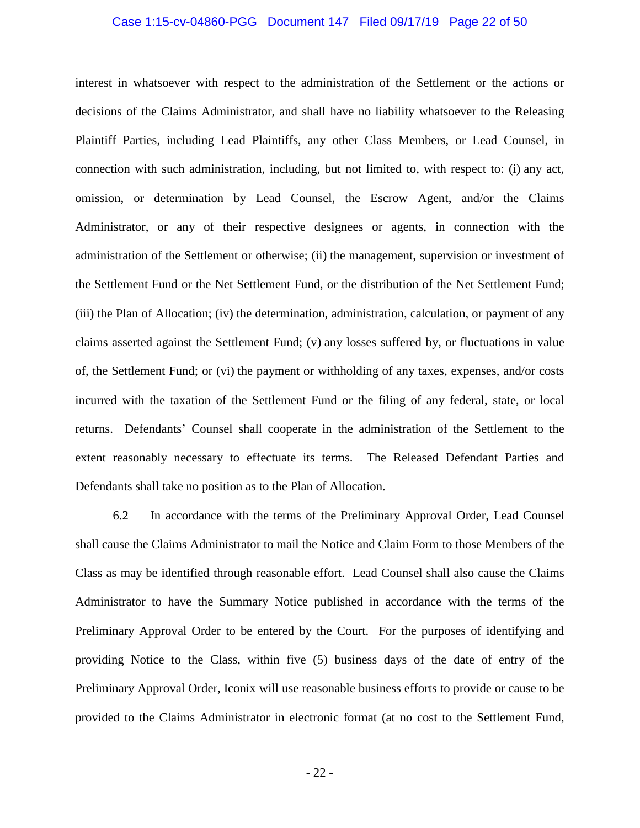#### Case 1:15-cv-04860-PGG Document 147 Filed 09/17/19 Page 22 of 50

interest in whatsoever with respect to the administration of the Settlement or the actions or decisions of the Claims Administrator, and shall have no liability whatsoever to the Releasing Plaintiff Parties, including Lead Plaintiffs, any other Class Members, or Lead Counsel, in connection with such administration, including, but not limited to, with respect to: (i) any act, omission, or determination by Lead Counsel, the Escrow Agent, and/or the Claims Administrator, or any of their respective designees or agents, in connection with the administration of the Settlement or otherwise; (ii) the management, supervision or investment of the Settlement Fund or the Net Settlement Fund, or the distribution of the Net Settlement Fund; (iii) the Plan of Allocation; (iv) the determination, administration, calculation, or payment of any claims asserted against the Settlement Fund; (v) any losses suffered by, or fluctuations in value of, the Settlement Fund; or (vi) the payment or withholding of any taxes, expenses, and/or costs incurred with the taxation of the Settlement Fund or the filing of any federal, state, or local returns. Defendants' Counsel shall cooperate in the administration of the Settlement to the extent reasonably necessary to effectuate its terms. The Released Defendant Parties and Defendants shall take no position as to the Plan of Allocation.

6.2 In accordance with the terms of the Preliminary Approval Order, Lead Counsel shall cause the Claims Administrator to mail the Notice and Claim Form to those Members of the Class as may be identified through reasonable effort. Lead Counsel shall also cause the Claims Administrator to have the Summary Notice published in accordance with the terms of the Preliminary Approval Order to be entered by the Court. For the purposes of identifying and providing Notice to the Class, within five (5) business days of the date of entry of the Preliminary Approval Order, Iconix will use reasonable business efforts to provide or cause to be provided to the Claims Administrator in electronic format (at no cost to the Settlement Fund,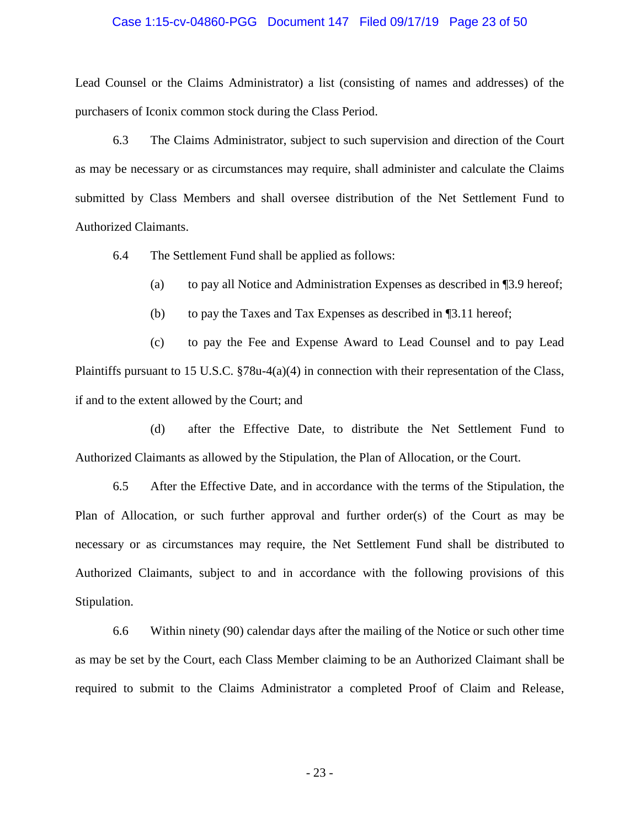# Case 1:15-cv-04860-PGG Document 147 Filed 09/17/19 Page 23 of 50

Lead Counsel or the Claims Administrator) a list (consisting of names and addresses) of the purchasers of Iconix common stock during the Class Period.

6.3 The Claims Administrator, subject to such supervision and direction of the Court as may be necessary or as circumstances may require, shall administer and calculate the Claims submitted by Class Members and shall oversee distribution of the Net Settlement Fund to Authorized Claimants.

6.4 The Settlement Fund shall be applied as follows:

(a) to pay all Notice and Administration Expenses as described in ¶3.9 hereof;

(b) to pay the Taxes and Tax Expenses as described in ¶3.11 hereof;

(c) to pay the Fee and Expense Award to Lead Counsel and to pay Lead Plaintiffs pursuant to 15 U.S.C. §78u-4(a)(4) in connection with their representation of the Class, if and to the extent allowed by the Court; and

(d) after the Effective Date, to distribute the Net Settlement Fund to Authorized Claimants as allowed by the Stipulation, the Plan of Allocation, or the Court.

6.5 After the Effective Date, and in accordance with the terms of the Stipulation, the Plan of Allocation, or such further approval and further order(s) of the Court as may be necessary or as circumstances may require, the Net Settlement Fund shall be distributed to Authorized Claimants, subject to and in accordance with the following provisions of this Stipulation.

6.6 Within ninety (90) calendar days after the mailing of the Notice or such other time as may be set by the Court, each Class Member claiming to be an Authorized Claimant shall be required to submit to the Claims Administrator a completed Proof of Claim and Release,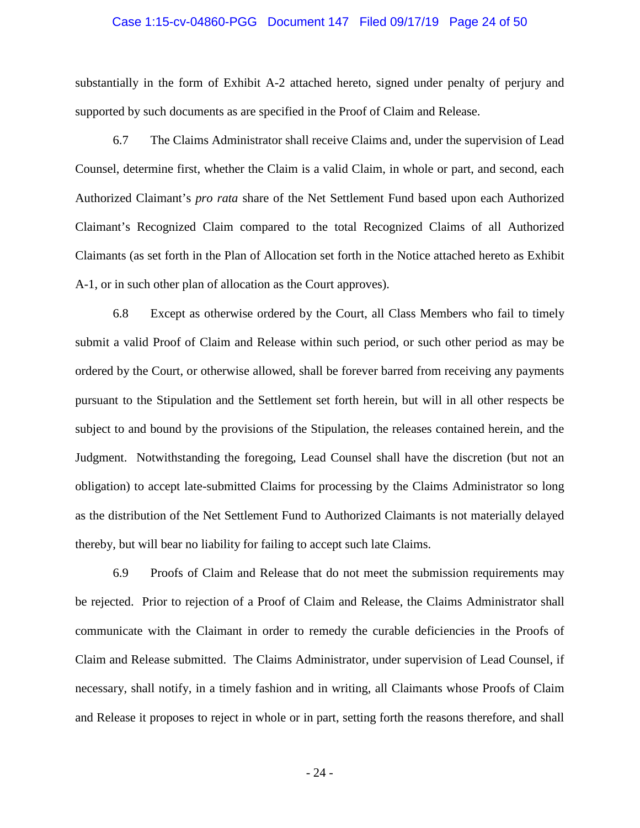#### Case 1:15-cv-04860-PGG Document 147 Filed 09/17/19 Page 24 of 50

substantially in the form of Exhibit A-2 attached hereto, signed under penalty of perjury and supported by such documents as are specified in the Proof of Claim and Release.

6.7 The Claims Administrator shall receive Claims and, under the supervision of Lead Counsel, determine first, whether the Claim is a valid Claim, in whole or part, and second, each Authorized Claimant's *pro rata* share of the Net Settlement Fund based upon each Authorized Claimant's Recognized Claim compared to the total Recognized Claims of all Authorized Claimants (as set forth in the Plan of Allocation set forth in the Notice attached hereto as Exhibit A-1, or in such other plan of allocation as the Court approves).

6.8 Except as otherwise ordered by the Court, all Class Members who fail to timely submit a valid Proof of Claim and Release within such period, or such other period as may be ordered by the Court, or otherwise allowed, shall be forever barred from receiving any payments pursuant to the Stipulation and the Settlement set forth herein, but will in all other respects be subject to and bound by the provisions of the Stipulation, the releases contained herein, and the Judgment. Notwithstanding the foregoing, Lead Counsel shall have the discretion (but not an obligation) to accept late-submitted Claims for processing by the Claims Administrator so long as the distribution of the Net Settlement Fund to Authorized Claimants is not materially delayed thereby, but will bear no liability for failing to accept such late Claims.

6.9 Proofs of Claim and Release that do not meet the submission requirements may be rejected. Prior to rejection of a Proof of Claim and Release, the Claims Administrator shall communicate with the Claimant in order to remedy the curable deficiencies in the Proofs of Claim and Release submitted. The Claims Administrator, under supervision of Lead Counsel, if necessary, shall notify, in a timely fashion and in writing, all Claimants whose Proofs of Claim and Release it proposes to reject in whole or in part, setting forth the reasons therefore, and shall

- 24 -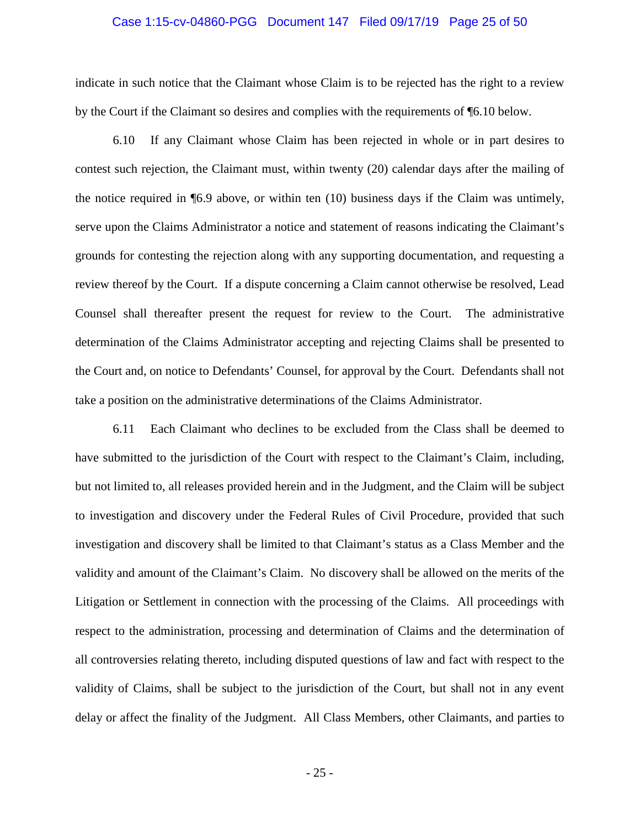#### Case 1:15-cv-04860-PGG Document 147 Filed 09/17/19 Page 25 of 50

indicate in such notice that the Claimant whose Claim is to be rejected has the right to a review by the Court if the Claimant so desires and complies with the requirements of ¶6.10 below.

6.10 If any Claimant whose Claim has been rejected in whole or in part desires to contest such rejection, the Claimant must, within twenty (20) calendar days after the mailing of the notice required in ¶6.9 above, or within ten (10) business days if the Claim was untimely, serve upon the Claims Administrator a notice and statement of reasons indicating the Claimant's grounds for contesting the rejection along with any supporting documentation, and requesting a review thereof by the Court. If a dispute concerning a Claim cannot otherwise be resolved, Lead Counsel shall thereafter present the request for review to the Court. The administrative determination of the Claims Administrator accepting and rejecting Claims shall be presented to the Court and, on notice to Defendants' Counsel, for approval by the Court. Defendants shall not take a position on the administrative determinations of the Claims Administrator.

6.11 Each Claimant who declines to be excluded from the Class shall be deemed to have submitted to the jurisdiction of the Court with respect to the Claimant's Claim, including, but not limited to, all releases provided herein and in the Judgment, and the Claim will be subject to investigation and discovery under the Federal Rules of Civil Procedure, provided that such investigation and discovery shall be limited to that Claimant's status as a Class Member and the validity and amount of the Claimant's Claim. No discovery shall be allowed on the merits of the Litigation or Settlement in connection with the processing of the Claims. All proceedings with respect to the administration, processing and determination of Claims and the determination of all controversies relating thereto, including disputed questions of law and fact with respect to the validity of Claims, shall be subject to the jurisdiction of the Court, but shall not in any event delay or affect the finality of the Judgment. All Class Members, other Claimants, and parties to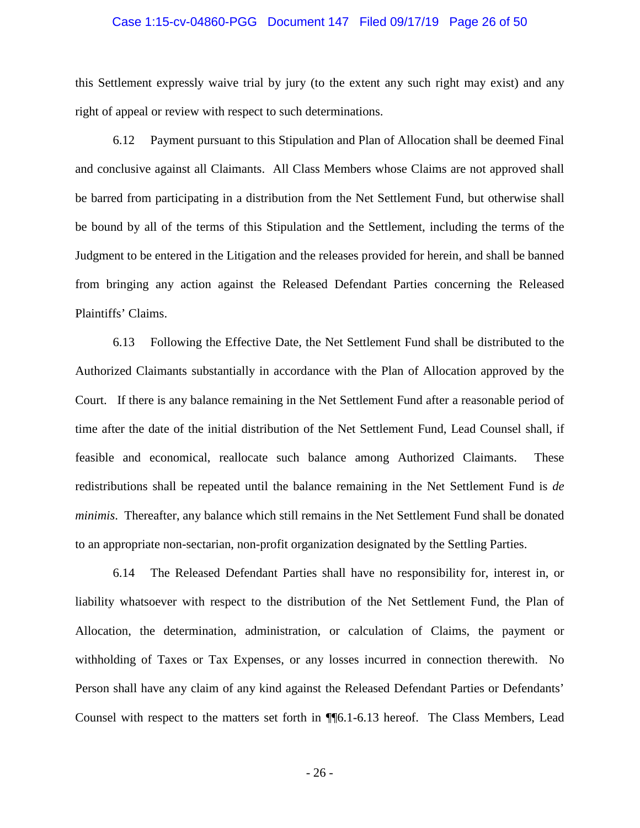# Case 1:15-cv-04860-PGG Document 147 Filed 09/17/19 Page 26 of 50

this Settlement expressly waive trial by jury (to the extent any such right may exist) and any right of appeal or review with respect to such determinations.

6.12 Payment pursuant to this Stipulation and Plan of Allocation shall be deemed Final and conclusive against all Claimants. All Class Members whose Claims are not approved shall be barred from participating in a distribution from the Net Settlement Fund, but otherwise shall be bound by all of the terms of this Stipulation and the Settlement, including the terms of the Judgment to be entered in the Litigation and the releases provided for herein, and shall be banned from bringing any action against the Released Defendant Parties concerning the Released Plaintiffs' Claims.

6.13 Following the Effective Date, the Net Settlement Fund shall be distributed to the Authorized Claimants substantially in accordance with the Plan of Allocation approved by the Court. If there is any balance remaining in the Net Settlement Fund after a reasonable period of time after the date of the initial distribution of the Net Settlement Fund, Lead Counsel shall, if feasible and economical, reallocate such balance among Authorized Claimants. These redistributions shall be repeated until the balance remaining in the Net Settlement Fund is *de minimis*. Thereafter, any balance which still remains in the Net Settlement Fund shall be donated to an appropriate non-sectarian, non-profit organization designated by the Settling Parties.

6.14 The Released Defendant Parties shall have no responsibility for, interest in, or liability whatsoever with respect to the distribution of the Net Settlement Fund, the Plan of Allocation, the determination, administration, or calculation of Claims, the payment or withholding of Taxes or Tax Expenses, or any losses incurred in connection therewith. No Person shall have any claim of any kind against the Released Defendant Parties or Defendants' Counsel with respect to the matters set forth in ¶¶6.1-6.13 hereof. The Class Members, Lead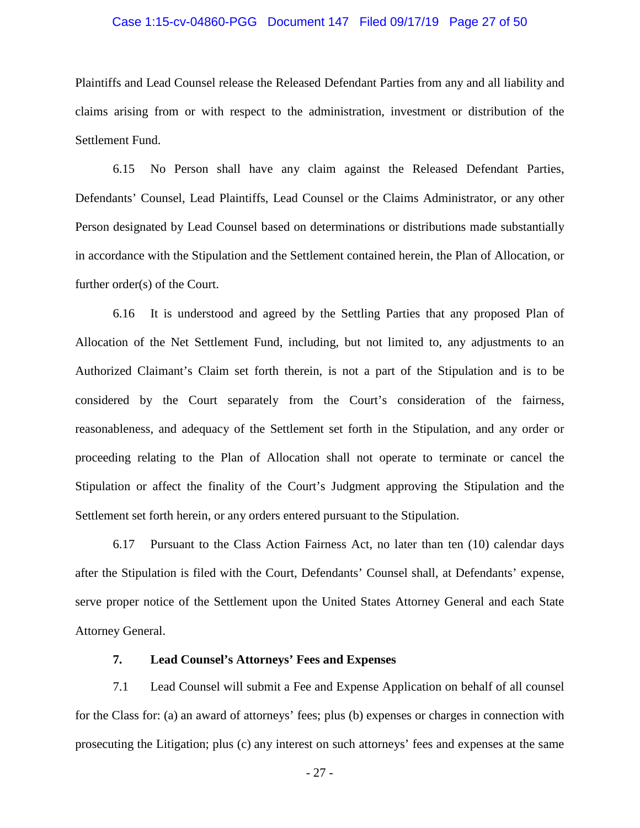# Case 1:15-cv-04860-PGG Document 147 Filed 09/17/19 Page 27 of 50

Plaintiffs and Lead Counsel release the Released Defendant Parties from any and all liability and claims arising from or with respect to the administration, investment or distribution of the Settlement Fund.

6.15 No Person shall have any claim against the Released Defendant Parties, Defendants' Counsel, Lead Plaintiffs, Lead Counsel or the Claims Administrator, or any other Person designated by Lead Counsel based on determinations or distributions made substantially in accordance with the Stipulation and the Settlement contained herein, the Plan of Allocation, or further order(s) of the Court.

6.16 It is understood and agreed by the Settling Parties that any proposed Plan of Allocation of the Net Settlement Fund, including, but not limited to, any adjustments to an Authorized Claimant's Claim set forth therein, is not a part of the Stipulation and is to be considered by the Court separately from the Court's consideration of the fairness, reasonableness, and adequacy of the Settlement set forth in the Stipulation, and any order or proceeding relating to the Plan of Allocation shall not operate to terminate or cancel the Stipulation or affect the finality of the Court's Judgment approving the Stipulation and the Settlement set forth herein, or any orders entered pursuant to the Stipulation.

6.17 Pursuant to the Class Action Fairness Act, no later than ten (10) calendar days after the Stipulation is filed with the Court, Defendants' Counsel shall, at Defendants' expense, serve proper notice of the Settlement upon the United States Attorney General and each State Attorney General.

# **7. Lead Counsel's Attorneys' Fees and Expenses**

7.1 Lead Counsel will submit a Fee and Expense Application on behalf of all counsel for the Class for: (a) an award of attorneys' fees; plus (b) expenses or charges in connection with prosecuting the Litigation; plus (c) any interest on such attorneys' fees and expenses at the same

- 27 -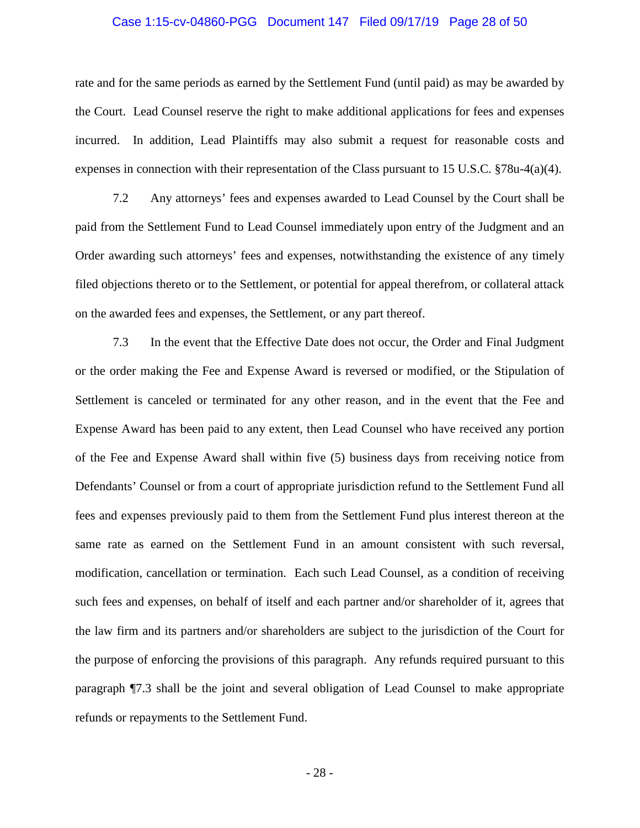# Case 1:15-cv-04860-PGG Document 147 Filed 09/17/19 Page 28 of 50

rate and for the same periods as earned by the Settlement Fund (until paid) as may be awarded by the Court. Lead Counsel reserve the right to make additional applications for fees and expenses incurred. In addition, Lead Plaintiffs may also submit a request for reasonable costs and expenses in connection with their representation of the Class pursuant to 15 U.S.C. §78u-4(a)(4).

7.2 Any attorneys' fees and expenses awarded to Lead Counsel by the Court shall be paid from the Settlement Fund to Lead Counsel immediately upon entry of the Judgment and an Order awarding such attorneys' fees and expenses, notwithstanding the existence of any timely filed objections thereto or to the Settlement, or potential for appeal therefrom, or collateral attack on the awarded fees and expenses, the Settlement, or any part thereof.

7.3 In the event that the Effective Date does not occur, the Order and Final Judgment or the order making the Fee and Expense Award is reversed or modified, or the Stipulation of Settlement is canceled or terminated for any other reason, and in the event that the Fee and Expense Award has been paid to any extent, then Lead Counsel who have received any portion of the Fee and Expense Award shall within five (5) business days from receiving notice from Defendants' Counsel or from a court of appropriate jurisdiction refund to the Settlement Fund all fees and expenses previously paid to them from the Settlement Fund plus interest thereon at the same rate as earned on the Settlement Fund in an amount consistent with such reversal, modification, cancellation or termination. Each such Lead Counsel, as a condition of receiving such fees and expenses, on behalf of itself and each partner and/or shareholder of it, agrees that the law firm and its partners and/or shareholders are subject to the jurisdiction of the Court for the purpose of enforcing the provisions of this paragraph. Any refunds required pursuant to this paragraph ¶7.3 shall be the joint and several obligation of Lead Counsel to make appropriate refunds or repayments to the Settlement Fund.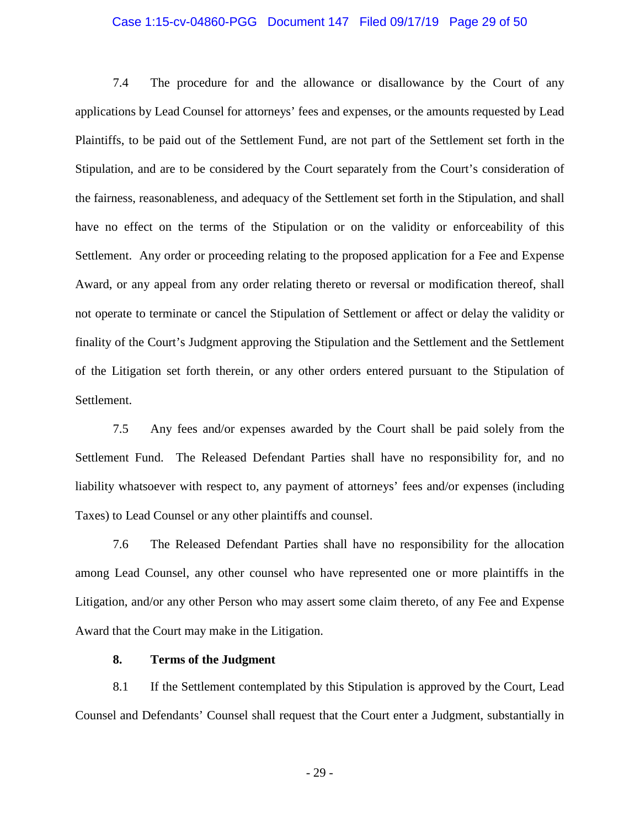# Case 1:15-cv-04860-PGG Document 147 Filed 09/17/19 Page 29 of 50

7.4 The procedure for and the allowance or disallowance by the Court of any applications by Lead Counsel for attorneys' fees and expenses, or the amounts requested by Lead Plaintiffs, to be paid out of the Settlement Fund, are not part of the Settlement set forth in the Stipulation, and are to be considered by the Court separately from the Court's consideration of the fairness, reasonableness, and adequacy of the Settlement set forth in the Stipulation, and shall have no effect on the terms of the Stipulation or on the validity or enforceability of this Settlement. Any order or proceeding relating to the proposed application for a Fee and Expense Award, or any appeal from any order relating thereto or reversal or modification thereof, shall not operate to terminate or cancel the Stipulation of Settlement or affect or delay the validity or finality of the Court's Judgment approving the Stipulation and the Settlement and the Settlement of the Litigation set forth therein, or any other orders entered pursuant to the Stipulation of Settlement.

7.5 Any fees and/or expenses awarded by the Court shall be paid solely from the Settlement Fund. The Released Defendant Parties shall have no responsibility for, and no liability whatsoever with respect to, any payment of attorneys' fees and/or expenses (including Taxes) to Lead Counsel or any other plaintiffs and counsel.

7.6 The Released Defendant Parties shall have no responsibility for the allocation among Lead Counsel, any other counsel who have represented one or more plaintiffs in the Litigation, and/or any other Person who may assert some claim thereto, of any Fee and Expense Award that the Court may make in the Litigation.

# **8. Terms of the Judgment**

8.1 If the Settlement contemplated by this Stipulation is approved by the Court, Lead Counsel and Defendants' Counsel shall request that the Court enter a Judgment, substantially in

- 29 -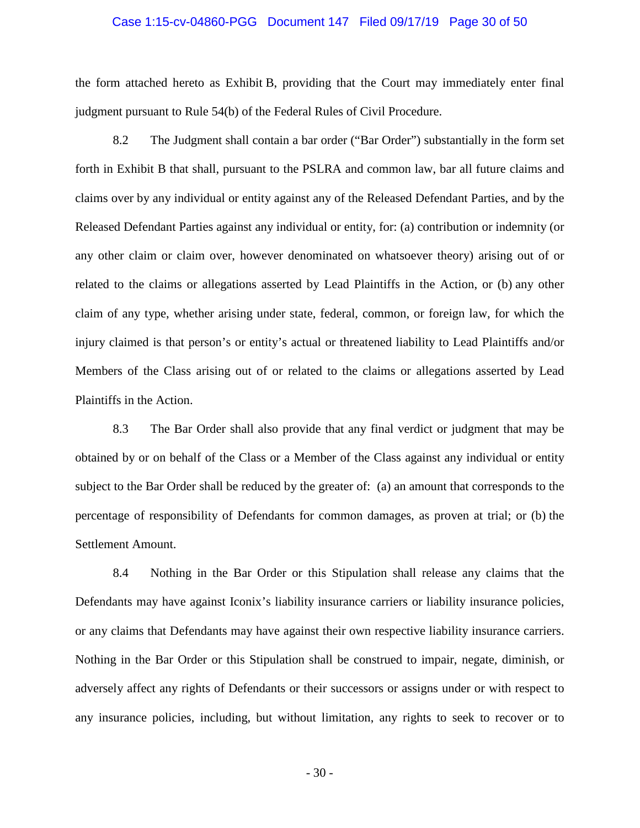#### Case 1:15-cv-04860-PGG Document 147 Filed 09/17/19 Page 30 of 50

the form attached hereto as Exhibit B, providing that the Court may immediately enter final judgment pursuant to Rule 54(b) of the Federal Rules of Civil Procedure.

8.2 The Judgment shall contain a bar order ("Bar Order") substantially in the form set forth in Exhibit B that shall, pursuant to the PSLRA and common law, bar all future claims and claims over by any individual or entity against any of the Released Defendant Parties, and by the Released Defendant Parties against any individual or entity, for: (a) contribution or indemnity (or any other claim or claim over, however denominated on whatsoever theory) arising out of or related to the claims or allegations asserted by Lead Plaintiffs in the Action, or (b) any other claim of any type, whether arising under state, federal, common, or foreign law, for which the injury claimed is that person's or entity's actual or threatened liability to Lead Plaintiffs and/or Members of the Class arising out of or related to the claims or allegations asserted by Lead Plaintiffs in the Action.

8.3 The Bar Order shall also provide that any final verdict or judgment that may be obtained by or on behalf of the Class or a Member of the Class against any individual or entity subject to the Bar Order shall be reduced by the greater of: (a) an amount that corresponds to the percentage of responsibility of Defendants for common damages, as proven at trial; or (b) the Settlement Amount.

8.4 Nothing in the Bar Order or this Stipulation shall release any claims that the Defendants may have against Iconix's liability insurance carriers or liability insurance policies, or any claims that Defendants may have against their own respective liability insurance carriers. Nothing in the Bar Order or this Stipulation shall be construed to impair, negate, diminish, or adversely affect any rights of Defendants or their successors or assigns under or with respect to any insurance policies, including, but without limitation, any rights to seek to recover or to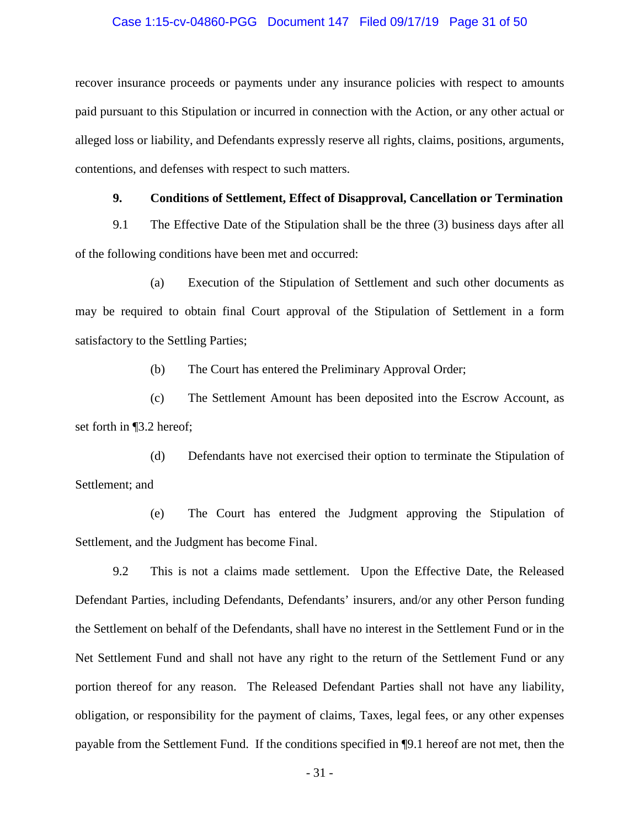# Case 1:15-cv-04860-PGG Document 147 Filed 09/17/19 Page 31 of 50

recover insurance proceeds or payments under any insurance policies with respect to amounts paid pursuant to this Stipulation or incurred in connection with the Action, or any other actual or alleged loss or liability, and Defendants expressly reserve all rights, claims, positions, arguments, contentions, and defenses with respect to such matters.

# **9. Conditions of Settlement, Effect of Disapproval, Cancellation or Termination**

9.1 The Effective Date of the Stipulation shall be the three (3) business days after all of the following conditions have been met and occurred:

(a) Execution of the Stipulation of Settlement and such other documents as may be required to obtain final Court approval of the Stipulation of Settlement in a form satisfactory to the Settling Parties;

(b) The Court has entered the Preliminary Approval Order;

(c) The Settlement Amount has been deposited into the Escrow Account, as set forth in ¶3.2 hereof;

(d) Defendants have not exercised their option to terminate the Stipulation of Settlement; and

(e) The Court has entered the Judgment approving the Stipulation of Settlement, and the Judgment has become Final.

9.2 This is not a claims made settlement. Upon the Effective Date, the Released Defendant Parties, including Defendants, Defendants' insurers, and/or any other Person funding the Settlement on behalf of the Defendants, shall have no interest in the Settlement Fund or in the Net Settlement Fund and shall not have any right to the return of the Settlement Fund or any portion thereof for any reason. The Released Defendant Parties shall not have any liability, obligation, or responsibility for the payment of claims, Taxes, legal fees, or any other expenses payable from the Settlement Fund. If the conditions specified in ¶9.1 hereof are not met, then the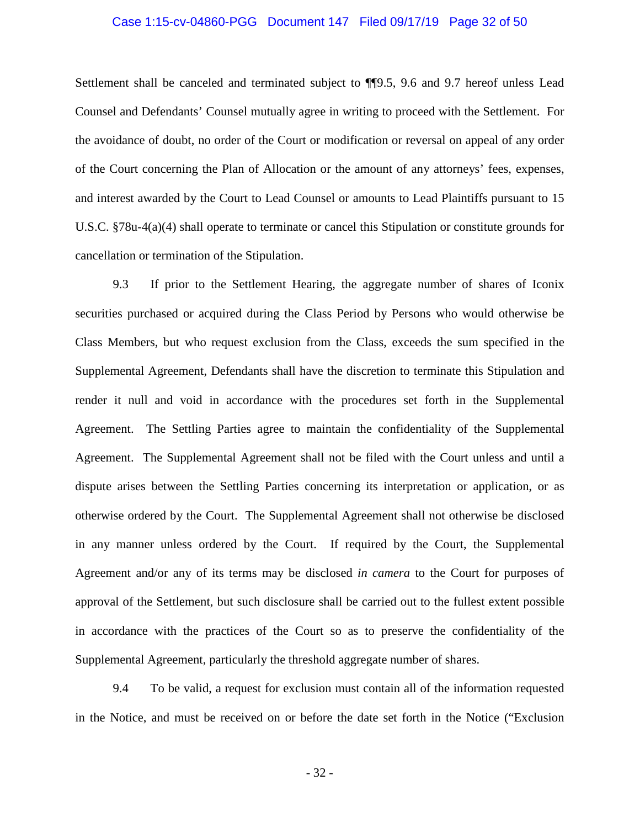# Case 1:15-cv-04860-PGG Document 147 Filed 09/17/19 Page 32 of 50

Settlement shall be canceled and terminated subject to ¶¶9.5, 9.6 and 9.7 hereof unless Lead Counsel and Defendants' Counsel mutually agree in writing to proceed with the Settlement. For the avoidance of doubt, no order of the Court or modification or reversal on appeal of any order of the Court concerning the Plan of Allocation or the amount of any attorneys' fees, expenses, and interest awarded by the Court to Lead Counsel or amounts to Lead Plaintiffs pursuant to 15 U.S.C. §78u-4(a)(4) shall operate to terminate or cancel this Stipulation or constitute grounds for cancellation or termination of the Stipulation.

9.3 If prior to the Settlement Hearing, the aggregate number of shares of Iconix securities purchased or acquired during the Class Period by Persons who would otherwise be Class Members, but who request exclusion from the Class, exceeds the sum specified in the Supplemental Agreement, Defendants shall have the discretion to terminate this Stipulation and render it null and void in accordance with the procedures set forth in the Supplemental Agreement. The Settling Parties agree to maintain the confidentiality of the Supplemental Agreement. The Supplemental Agreement shall not be filed with the Court unless and until a dispute arises between the Settling Parties concerning its interpretation or application, or as otherwise ordered by the Court. The Supplemental Agreement shall not otherwise be disclosed in any manner unless ordered by the Court. If required by the Court, the Supplemental Agreement and/or any of its terms may be disclosed *in camera* to the Court for purposes of approval of the Settlement, but such disclosure shall be carried out to the fullest extent possible in accordance with the practices of the Court so as to preserve the confidentiality of the Supplemental Agreement, particularly the threshold aggregate number of shares.

9.4 To be valid, a request for exclusion must contain all of the information requested in the Notice, and must be received on or before the date set forth in the Notice ("Exclusion

- 32 -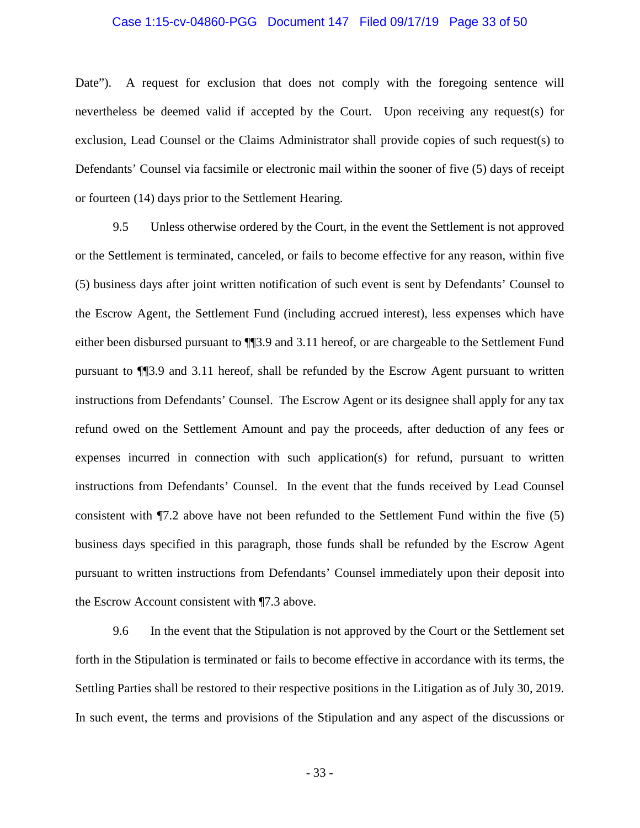### Case 1:15-cv-04860-PGG Document 147 Filed 09/17/19 Page 33 of 50

Date"). A request for exclusion that does not comply with the foregoing sentence will nevertheless be deemed valid if accepted by the Court. Upon receiving any request(s) for exclusion, Lead Counsel or the Claims Administrator shall provide copies of such request(s) to Defendants' Counsel via facsimile or electronic mail within the sooner of five (5) days of receipt or fourteen (14) days prior to the Settlement Hearing.

9.5 Unless otherwise ordered by the Court, in the event the Settlement is not approved or the Settlement is terminated, canceled, or fails to become effective for any reason, within five (5) business days after joint written notification of such event is sent by Defendants' Counsel to the Escrow Agent, the Settlement Fund (including accrued interest), less expenses which have either been disbursed pursuant to ¶¶3.9 and 3.11 hereof, or are chargeable to the Settlement Fund pursuant to ¶¶3.9 and 3.11 hereof, shall be refunded by the Escrow Agent pursuant to written instructions from Defendants' Counsel. The Escrow Agent or its designee shall apply for any tax refund owed on the Settlement Amount and pay the proceeds, after deduction of any fees or expenses incurred in connection with such application(s) for refund, pursuant to written instructions from Defendants' Counsel. In the event that the funds received by Lead Counsel consistent with ¶7.2 above have not been refunded to the Settlement Fund within the five (5) business days specified in this paragraph, those funds shall be refunded by the Escrow Agent pursuant to written instructions from Defendants' Counsel immediately upon their deposit into the Escrow Account consistent with ¶7.3 above.

9.6 In the event that the Stipulation is not approved by the Court or the Settlement set forth in the Stipulation is terminated or fails to become effective in accordance with its terms, the Settling Parties shall be restored to their respective positions in the Litigation as of July 30, 2019. In such event, the terms and provisions of the Stipulation and any aspect of the discussions or

- 33 -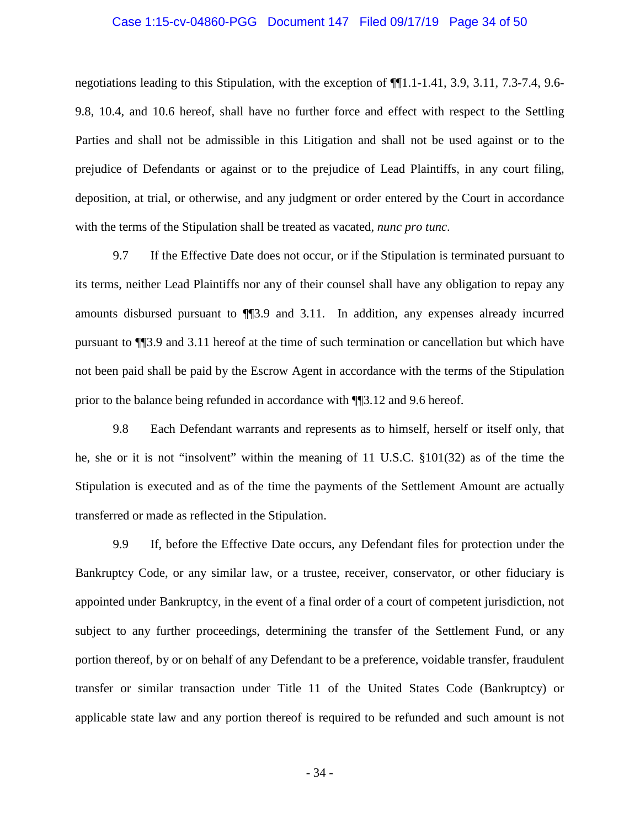# Case 1:15-cv-04860-PGG Document 147 Filed 09/17/19 Page 34 of 50

negotiations leading to this Stipulation, with the exception of ¶¶1.1-1.41, 3.9, 3.11, 7.3-7.4, 9.6- 9.8, 10.4, and 10.6 hereof, shall have no further force and effect with respect to the Settling Parties and shall not be admissible in this Litigation and shall not be used against or to the prejudice of Defendants or against or to the prejudice of Lead Plaintiffs, in any court filing, deposition, at trial, or otherwise, and any judgment or order entered by the Court in accordance with the terms of the Stipulation shall be treated as vacated, *nunc pro tunc*.

9.7 If the Effective Date does not occur, or if the Stipulation is terminated pursuant to its terms, neither Lead Plaintiffs nor any of their counsel shall have any obligation to repay any amounts disbursed pursuant to ¶¶3.9 and 3.11. In addition, any expenses already incurred pursuant to ¶¶3.9 and 3.11 hereof at the time of such termination or cancellation but which have not been paid shall be paid by the Escrow Agent in accordance with the terms of the Stipulation prior to the balance being refunded in accordance with ¶¶3.12 and 9.6 hereof.

9.8 Each Defendant warrants and represents as to himself, herself or itself only, that he, she or it is not "insolvent" within the meaning of 11 U.S.C. §101(32) as of the time the Stipulation is executed and as of the time the payments of the Settlement Amount are actually transferred or made as reflected in the Stipulation.

9.9 If, before the Effective Date occurs, any Defendant files for protection under the Bankruptcy Code, or any similar law, or a trustee, receiver, conservator, or other fiduciary is appointed under Bankruptcy, in the event of a final order of a court of competent jurisdiction, not subject to any further proceedings, determining the transfer of the Settlement Fund, or any portion thereof, by or on behalf of any Defendant to be a preference, voidable transfer, fraudulent transfer or similar transaction under Title 11 of the United States Code (Bankruptcy) or applicable state law and any portion thereof is required to be refunded and such amount is not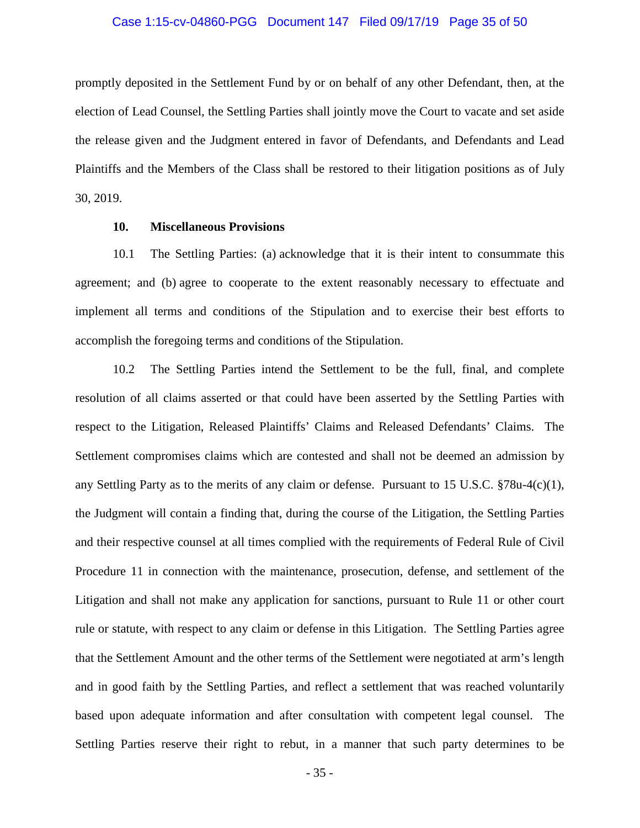# Case 1:15-cv-04860-PGG Document 147 Filed 09/17/19 Page 35 of 50

promptly deposited in the Settlement Fund by or on behalf of any other Defendant, then, at the election of Lead Counsel, the Settling Parties shall jointly move the Court to vacate and set aside the release given and the Judgment entered in favor of Defendants, and Defendants and Lead Plaintiffs and the Members of the Class shall be restored to their litigation positions as of July 30, 2019.

# **10. Miscellaneous Provisions**

10.1 The Settling Parties: (a) acknowledge that it is their intent to consummate this agreement; and (b) agree to cooperate to the extent reasonably necessary to effectuate and implement all terms and conditions of the Stipulation and to exercise their best efforts to accomplish the foregoing terms and conditions of the Stipulation.

10.2 The Settling Parties intend the Settlement to be the full, final, and complete resolution of all claims asserted or that could have been asserted by the Settling Parties with respect to the Litigation, Released Plaintiffs' Claims and Released Defendants' Claims. The Settlement compromises claims which are contested and shall not be deemed an admission by any Settling Party as to the merits of any claim or defense. Pursuant to 15 U.S.C. §78u-4(c)(1), the Judgment will contain a finding that, during the course of the Litigation, the Settling Parties and their respective counsel at all times complied with the requirements of Federal Rule of Civil Procedure 11 in connection with the maintenance, prosecution, defense, and settlement of the Litigation and shall not make any application for sanctions, pursuant to Rule 11 or other court rule or statute, with respect to any claim or defense in this Litigation. The Settling Parties agree that the Settlement Amount and the other terms of the Settlement were negotiated at arm's length and in good faith by the Settling Parties, and reflect a settlement that was reached voluntarily based upon adequate information and after consultation with competent legal counsel. The Settling Parties reserve their right to rebut, in a manner that such party determines to be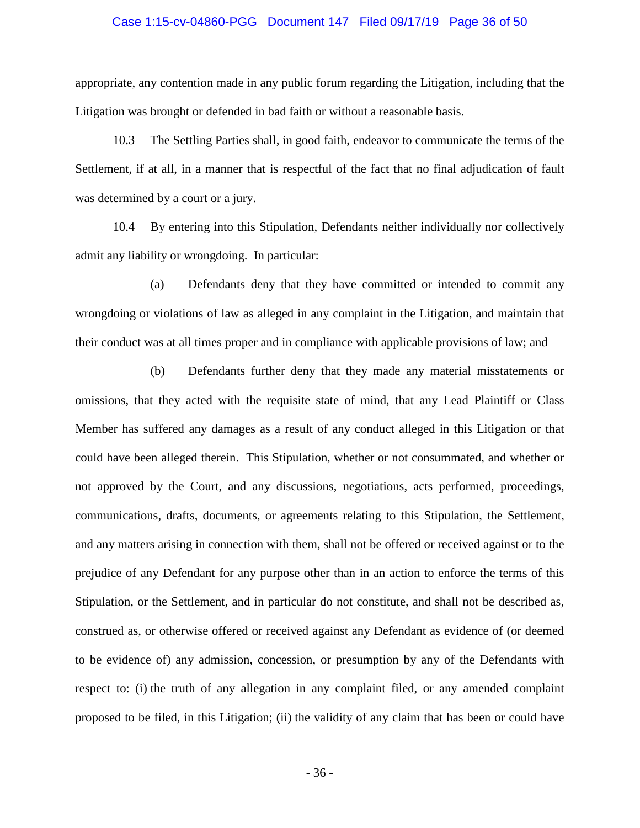#### Case 1:15-cv-04860-PGG Document 147 Filed 09/17/19 Page 36 of 50

appropriate, any contention made in any public forum regarding the Litigation, including that the Litigation was brought or defended in bad faith or without a reasonable basis.

10.3 The Settling Parties shall, in good faith, endeavor to communicate the terms of the Settlement, if at all, in a manner that is respectful of the fact that no final adjudication of fault was determined by a court or a jury.

10.4 By entering into this Stipulation, Defendants neither individually nor collectively admit any liability or wrongdoing. In particular:

(a) Defendants deny that they have committed or intended to commit any wrongdoing or violations of law as alleged in any complaint in the Litigation, and maintain that their conduct was at all times proper and in compliance with applicable provisions of law; and

(b) Defendants further deny that they made any material misstatements or omissions, that they acted with the requisite state of mind, that any Lead Plaintiff or Class Member has suffered any damages as a result of any conduct alleged in this Litigation or that could have been alleged therein. This Stipulation, whether or not consummated, and whether or not approved by the Court, and any discussions, negotiations, acts performed, proceedings, communications, drafts, documents, or agreements relating to this Stipulation, the Settlement, and any matters arising in connection with them, shall not be offered or received against or to the prejudice of any Defendant for any purpose other than in an action to enforce the terms of this Stipulation, or the Settlement, and in particular do not constitute, and shall not be described as, construed as, or otherwise offered or received against any Defendant as evidence of (or deemed to be evidence of) any admission, concession, or presumption by any of the Defendants with respect to: (i) the truth of any allegation in any complaint filed, or any amended complaint proposed to be filed, in this Litigation; (ii) the validity of any claim that has been or could have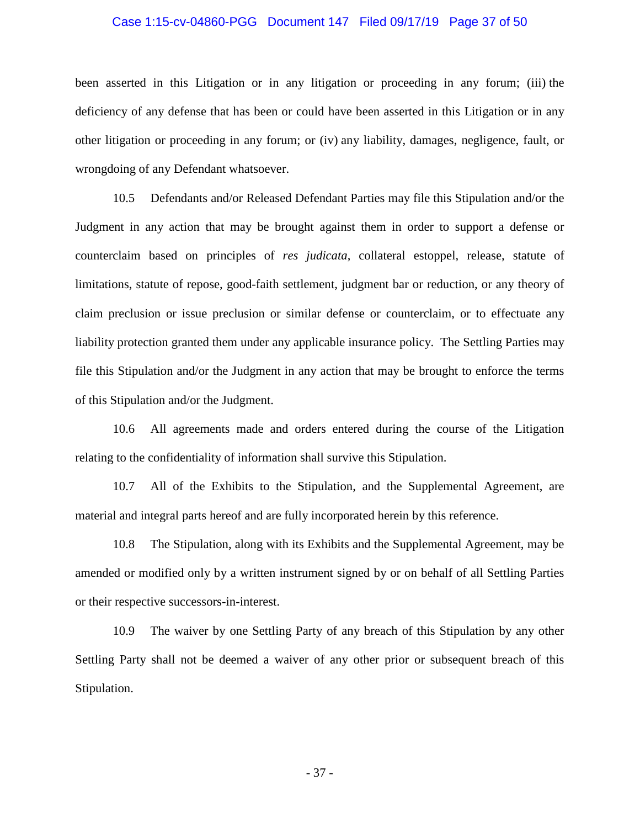#### Case 1:15-cv-04860-PGG Document 147 Filed 09/17/19 Page 37 of 50

been asserted in this Litigation or in any litigation or proceeding in any forum; (iii) the deficiency of any defense that has been or could have been asserted in this Litigation or in any other litigation or proceeding in any forum; or (iv) any liability, damages, negligence, fault, or wrongdoing of any Defendant whatsoever.

10.5 Defendants and/or Released Defendant Parties may file this Stipulation and/or the Judgment in any action that may be brought against them in order to support a defense or counterclaim based on principles of *res judicata*, collateral estoppel, release, statute of limitations, statute of repose, good-faith settlement, judgment bar or reduction, or any theory of claim preclusion or issue preclusion or similar defense or counterclaim, or to effectuate any liability protection granted them under any applicable insurance policy. The Settling Parties may file this Stipulation and/or the Judgment in any action that may be brought to enforce the terms of this Stipulation and/or the Judgment.

10.6 All agreements made and orders entered during the course of the Litigation relating to the confidentiality of information shall survive this Stipulation.

10.7 All of the Exhibits to the Stipulation, and the Supplemental Agreement, are material and integral parts hereof and are fully incorporated herein by this reference.

10.8 The Stipulation, along with its Exhibits and the Supplemental Agreement, may be amended or modified only by a written instrument signed by or on behalf of all Settling Parties or their respective successors-in-interest.

10.9 The waiver by one Settling Party of any breach of this Stipulation by any other Settling Party shall not be deemed a waiver of any other prior or subsequent breach of this Stipulation.

- 37 -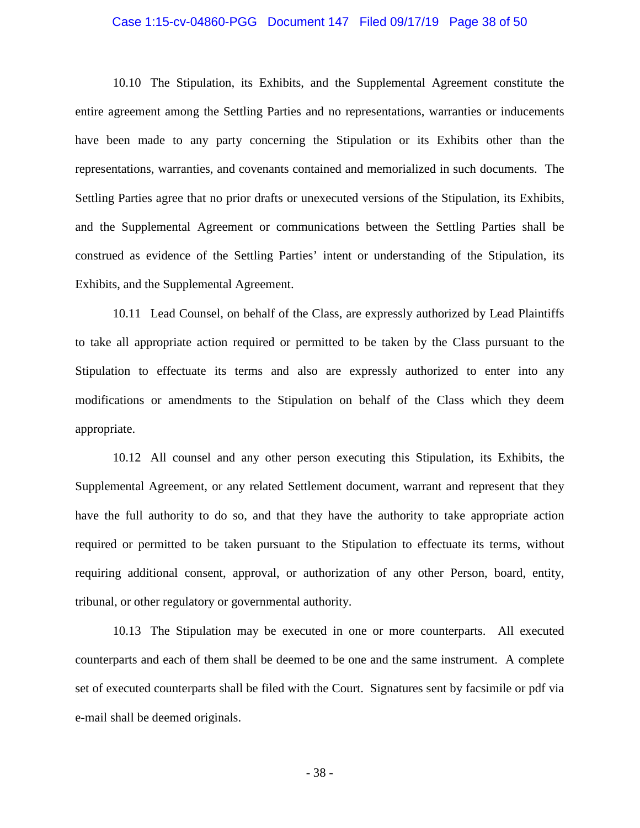#### Case 1:15-cv-04860-PGG Document 147 Filed 09/17/19 Page 38 of 50

10.10 The Stipulation, its Exhibits, and the Supplemental Agreement constitute the entire agreement among the Settling Parties and no representations, warranties or inducements have been made to any party concerning the Stipulation or its Exhibits other than the representations, warranties, and covenants contained and memorialized in such documents. The Settling Parties agree that no prior drafts or unexecuted versions of the Stipulation, its Exhibits, and the Supplemental Agreement or communications between the Settling Parties shall be construed as evidence of the Settling Parties' intent or understanding of the Stipulation, its Exhibits, and the Supplemental Agreement.

10.11 Lead Counsel, on behalf of the Class, are expressly authorized by Lead Plaintiffs to take all appropriate action required or permitted to be taken by the Class pursuant to the Stipulation to effectuate its terms and also are expressly authorized to enter into any modifications or amendments to the Stipulation on behalf of the Class which they deem appropriate.

10.12 All counsel and any other person executing this Stipulation, its Exhibits, the Supplemental Agreement, or any related Settlement document, warrant and represent that they have the full authority to do so, and that they have the authority to take appropriate action required or permitted to be taken pursuant to the Stipulation to effectuate its terms, without requiring additional consent, approval, or authorization of any other Person, board, entity, tribunal, or other regulatory or governmental authority.

10.13 The Stipulation may be executed in one or more counterparts. All executed counterparts and each of them shall be deemed to be one and the same instrument. A complete set of executed counterparts shall be filed with the Court. Signatures sent by facsimile or pdf via e-mail shall be deemed originals.

- 38 -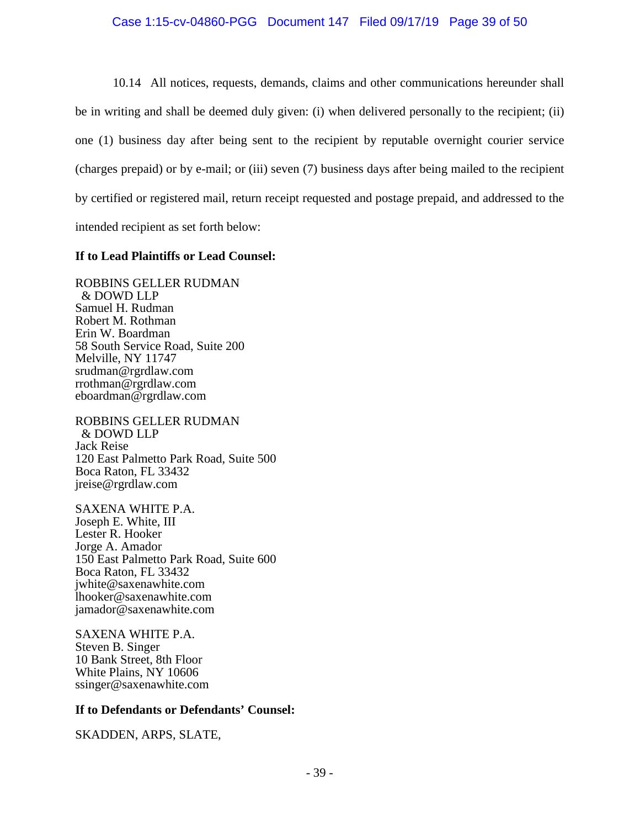### Case 1:15-cv-04860-PGG Document 147 Filed 09/17/19 Page 39 of 50

10.14 All notices, requests, demands, claims and other communications hereunder shall be in writing and shall be deemed duly given: (i) when delivered personally to the recipient; (ii) one (1) business day after being sent to the recipient by reputable overnight courier service (charges prepaid) or by e-mail; or (iii) seven (7) business days after being mailed to the recipient by certified or registered mail, return receipt requested and postage prepaid, and addressed to the intended recipient as set forth below:

## **If to Lead Plaintiffs or Lead Counsel:**

ROBBINS GELLER RUDMAN & DOWD LLP Samuel H. Rudman Robert M. Rothman Erin W. Boardman 58 South Service Road, Suite 200 Melville, NY 11747 srudman@rgrdlaw.com rrothman@rgrdlaw.com eboardman@rgrdlaw.com

ROBBINS GELLER RUDMAN & DOWD LLP Jack Reise 120 East Palmetto Park Road, Suite 500 Boca Raton, FL 33432 jreise@rgrdlaw.com

SAXENA WHITE P.A. Joseph E. White, III Lester R. Hooker Jorge A. Amador 150 East Palmetto Park Road, Suite 600 Boca Raton, FL 33432 jwhite@saxenawhite.com lhooker@saxenawhite.com jamador@saxenawhite.com

SAXENA WHITE P.A. Steven B. Singer 10 Bank Street, 8th Floor White Plains, NY 10606 ssinger@saxenawhite.com

## **If to Defendants or Defendants' Counsel:**

SKADDEN, ARPS, SLATE,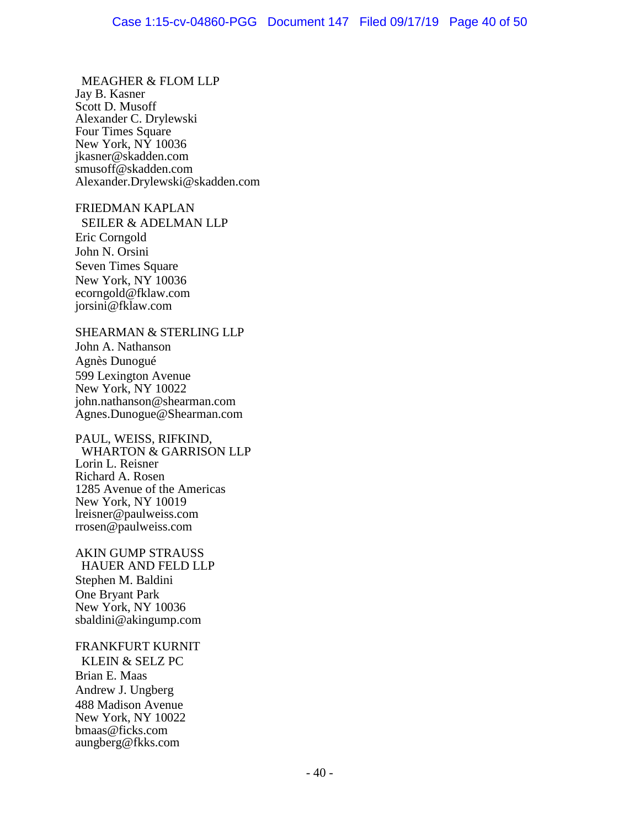MEAGHER & FLOM LLP Jay B. Kasner Scott D. Musoff Alexander C. Drylewski Four Times Square New York, NY 10036 jkasner@skadden.com smusoff@skadden.com Alexander.Drylewski@skadden.com

## FRIEDMAN KAPLAN

 SEILER & ADELMAN LLP Eric Corngold John N. Orsini Seven Times Square New York, NY 10036 ecorngold@fklaw.com jorsini@fklaw.com

#### SHEARMAN & STERLING LLP

John A. Nathanson Agnès Dunogué 599 Lexington Avenue New York, NY 10022 john.nathanson@shearman.com Agnes.Dunogue@Shearman.com

#### PAUL, WEISS, RIFKIND,

 WHARTON & GARRISON LLP Lorin L. Reisner Richard A. Rosen 1285 Avenue of the Americas New York, NY 10019 lreisner@paulweiss.com rrosen@paulweiss.com

AKIN GUMP STRAUSS HAUER AND FELD LLP Stephen M. Baldini One Bryant Park New York, NY 10036 sbaldini@akingump.com

#### FRANKFURT KURNIT

 KLEIN & SELZ PC Brian E. Maas Andrew J. Ungberg 488 Madison Avenue New York, NY 10022 bmaas@ficks.com aungberg@fkks.com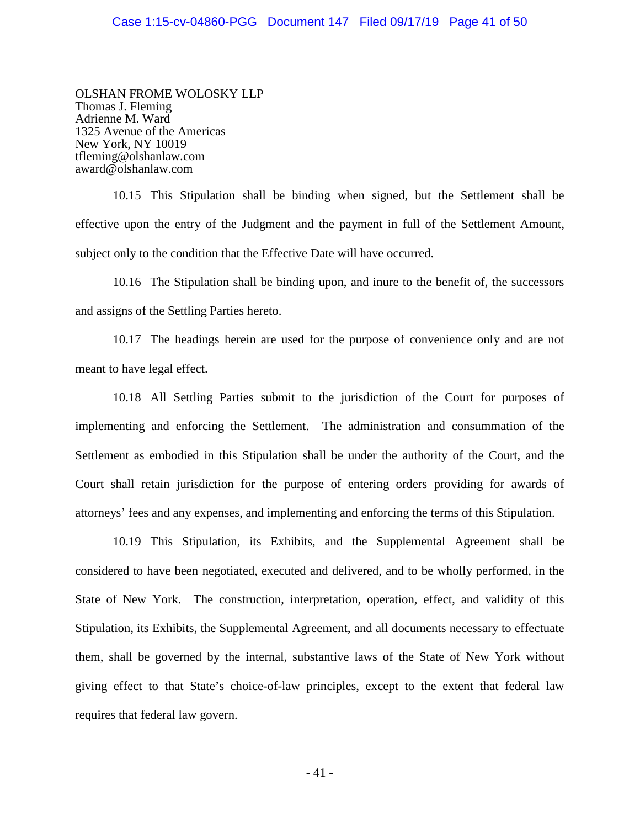OLSHAN FROME WOLOSKY LLP Thomas J. Fleming Adrienne M. Ward 1325 Avenue of the Americas New York, NY 10019 tfleming@olshanlaw.com award@olshanlaw.com

10.15 This Stipulation shall be binding when signed, but the Settlement shall be effective upon the entry of the Judgment and the payment in full of the Settlement Amount, subject only to the condition that the Effective Date will have occurred.

10.16 The Stipulation shall be binding upon, and inure to the benefit of, the successors and assigns of the Settling Parties hereto.

10.17 The headings herein are used for the purpose of convenience only and are not meant to have legal effect.

10.18 All Settling Parties submit to the jurisdiction of the Court for purposes of implementing and enforcing the Settlement. The administration and consummation of the Settlement as embodied in this Stipulation shall be under the authority of the Court, and the Court shall retain jurisdiction for the purpose of entering orders providing for awards of attorneys' fees and any expenses, and implementing and enforcing the terms of this Stipulation.

10.19 This Stipulation, its Exhibits, and the Supplemental Agreement shall be considered to have been negotiated, executed and delivered, and to be wholly performed, in the State of New York. The construction, interpretation, operation, effect, and validity of this Stipulation, its Exhibits, the Supplemental Agreement, and all documents necessary to effectuate them, shall be governed by the internal, substantive laws of the State of New York without giving effect to that State's choice-of-law principles, except to the extent that federal law requires that federal law govern.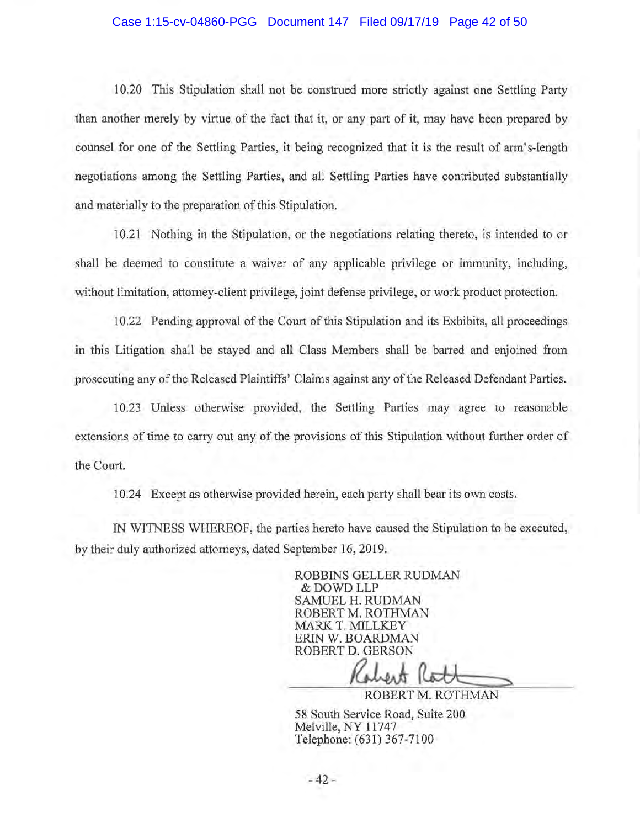#### Case 1:15-cv-04860-PGG Document 147 Filed 09/17/19 Page 42 of 50

10.20 This Stipulation shall not be construed more strictly against one Settling Party than another merely by virtue of the fact that it, or any part of it, may have been prepared by counsel for one of the Settling Parties, it being recognized that it is the result of arm's-length negotiations among the Settling Parties, and all Settling Parties have contributed substantially and materially to the preparation of this Stipulation.

10.21 Nothing in the Stipulation, or the negotiations relating thereto, is intended to or shall be deemed to constitute a waiver of any applicable privilege or immunity, including, without limitation, attorney-client privilege, joint defense privilege, or work product protection.

10 .22 Pending approval of the Court of this Stipulation and its Exhibits, all proceedings in this Litigation shall be stayed and all Class Members shall be barred and enjoined from prosecuting any of the Released Plaintiffs' Claims against any of the Released Defendant Parties.

10.23 Unless otherwise provided, the Settling Parties may agree to reasonable extensions of time to carry out any of the provisions of this Stipulation without further order of the Court.

10.24 Except as otherwise provided herein, each party shall bear its own costs.

IN WITNESS WHEREOF, the parties hereto have caused the Stipulation to be executed, by their duly authorized attorneys, dated September 16, 2019.

> ROBBINS GELLER RUDMAN &DOWDLLP SAMUEL H. RUDMAN ROBERT M. ROTHMAN MARKT. MILLKEY ERIN W. BOARDMAN ROBERT D. GERSON

MILLKEY<br>BOARDMAN<br>COLLERSON<br>COLLERT M. ROTHMAN

58 South Service Road, Suite 200 Melville, NY 11747 Telephone: (631) 367-7100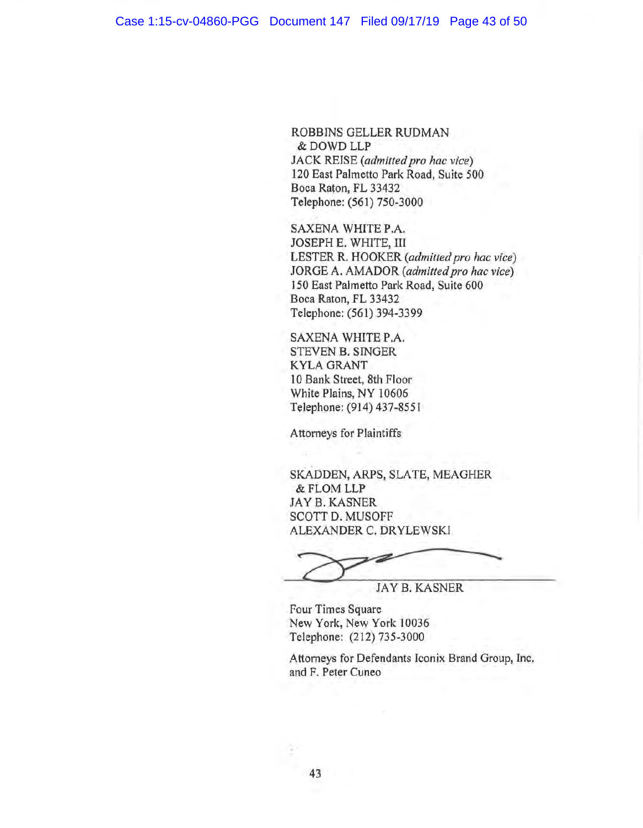ROBBINS GELLER RUDMAN &DOWD LLP JACK REISE *(admitted pro hac vice)*  120 East Palmetto Park Road, Suite 500 Boca Raton, FL 33432 Telephone: (561) 750-3000

SAXENA WHITE P.A. JOSEPH E. WHITE, III LESTER R. HOOKER *(admitted pro hac vice)*  JORGE A. AMADOR *(admitted pro hac vice)*  150 East Palmetto Park Road, Suite 600 Boca Raton, FL 33432 Telephone: (561) 394-3399

SAXENA WHITE P.A. STEVEN B. SINGER KYLA GRANT 10 Bank Street, 8th Floor White Plains, NY 10606 Telephone: (914) 437-8551

Attorneys for Plaintiffs

SKADDEN, ARPS, SLATE, MEAGHER &FLOM LLP JAY B. KASNER SCOTT D. MUSOFF ALEXANDER C. DR YLEWSKI

. JAY B. KASNER

Four Times Square New York, New York 10036 Telephone: (212) 735-3000

Attorneys for Defendants Iconix Brand Group, Inc. and F. Peter Cuneo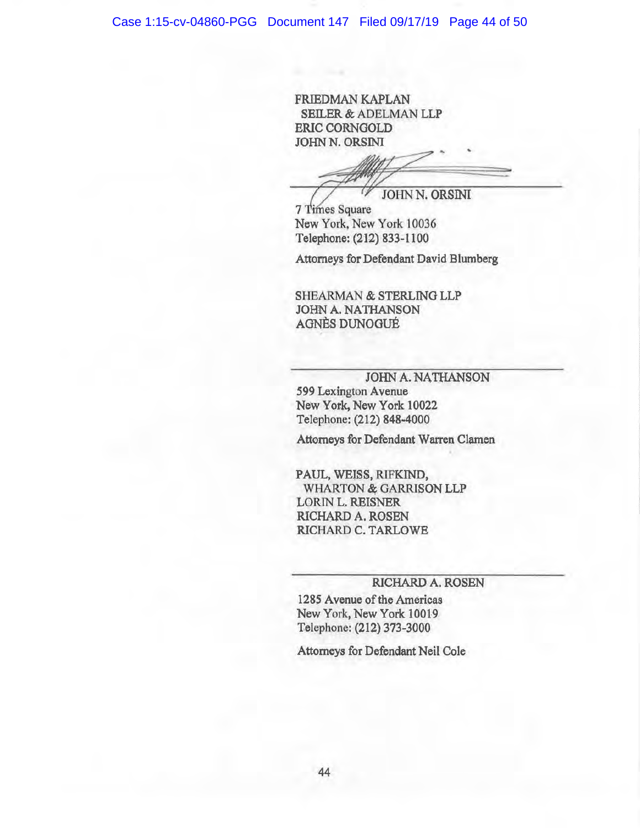FRIEDMAN KAPLAN SEILER & ADELMAN LLP ERIC CORNOOLD JOHN N. ORSINI

RIC CORNGOLD<br>DHN N. ORSINI<br>Times Square<br>Times Square<br>ew York. New York 10036 -

7 Times Square New York, New York 10036 Telephone: (212) 833-1100

Attorneys for Defendant David Blumberg

**SHEARMAN & STERLING LLP** JOHN A. NATHANSON **AGNÈS DUNOGUÉ** 

JOHN A. NATHANSON 599 Lexington Avenue New York, New York 10022 Telephone: (212) 848-4000

Attorneys for Defendant Warren Clamen

PAUL, WEISS, RIFKIND, WHARTON & GARRISON LLP LORIN L. REISNER RICHARD A. ROSEN RICHARD C. TARLOWE

### RICHARD A. ROSEN

1285 Avenue of the Americas New York, New York 10019 1elephone: (212) 373-3000

Attorneys for Defendant Neil Cole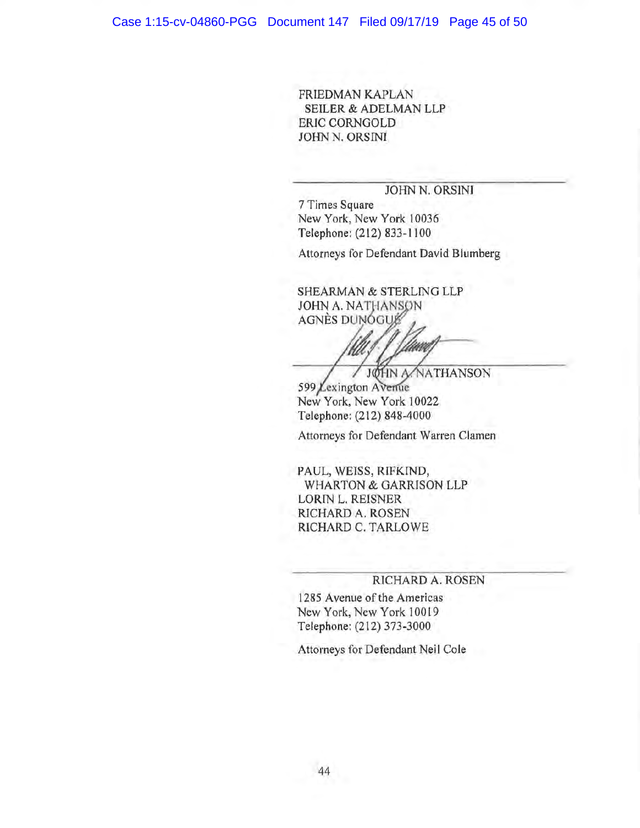FRIEDMAN KAPLAN SEILER & ADELMAN LLP ERIC CORNGOLD JOHN N. ORSINI

## JOHN N. ORSINI

7 Times Square New York, New York 10036 Telephone: (212) 833-1100

Attorneys for Defendant David Blumberg

SHEARMAN & STERLING LLP JOHN A. NATHANSON AGNÈS DUNOGUE

JØHN A/NATHANSON 599 Lexington Avenue New York, New York 10022 Telephone: (212) 848-4000

Attorneys for Defendant Warren Clamen

PAUL, WEISS, RIFKIND, WHARTON & GARRISON LLP LORIN L. REISNER RICHARD A. ROSEN RICHARD C. TARLOWE

#### RICHARD A. ROSEN

1285 Avenue of the Americas New York, New York 10019 Telephone: (212) 373-3000

Attorneys for Defendant Neil Cole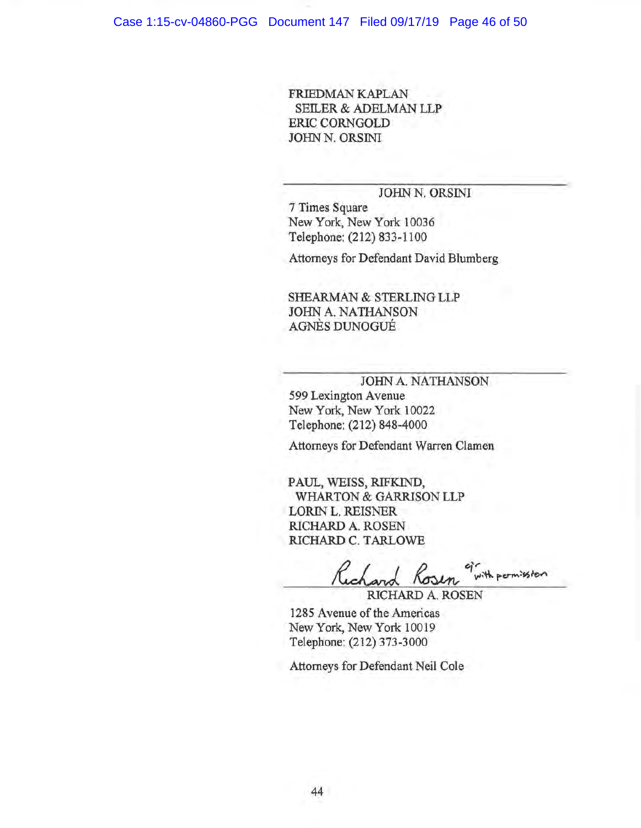FRIEDMAN KAPLAN SEILER & ADELMAN LLP ERIC CORNGOLD JOHN N. ORSINI

## JOHN N. ORSINI

7 Times Square New York, New York 10036 Telephone: (212) 833-1100

Attorneys for Defendant David Blumberg

SHEARMAN & STERLING LLP JOHN A. NATHANSON AGNES DUNOGUE

JOHN A. NATHANSON

599 Lexington Avenue New York, New York 10022 Telephone: (212) 848-4000

Attorneys for Defendant Warren Clamen

PAUL, WEISS, RIFKIND, WHARTON & GARRISON LLP LORIN L. REISNER RICHARD A. ROSEN RICHARD C. TARLOWE

with permission

RICHARD A. ROSEN

1285 Avenue of the Americas New York, New York 10019 Telephone: (212) 373-3000

Attorneys for Defendant Neil Cole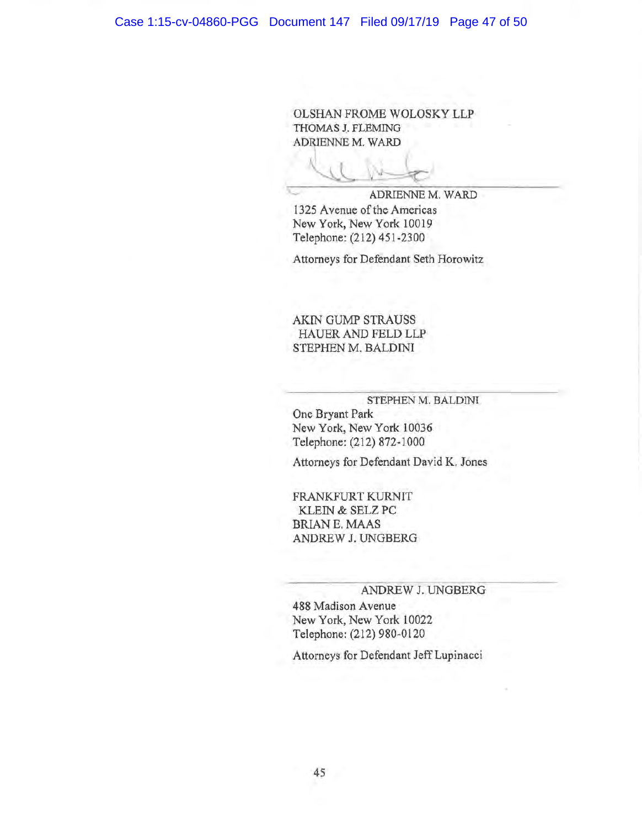OLSHAN FROME WOLOSKY LLP THOMAS J. FLEMING ADRIENNE M. WARD

**ADRIENNE M. WARD** 

1325 Avenue of the Americas New York, New York 10019 Telephone: (212) 451-2300

Attorneys for Defendant Seth Horowitz

AKIN GUMP STRAUSS HAUER AND FELD LLP STEPHEN M. BALDINI

#### STEPHEN M. BALDINI

One Bryant Park New York, New York 10036 Telephone: (212) 872-1000

Attorneys for Defendant David K. Jones

FRANKFURT KURNIT KLEIN & SELZ PC BRIAN E. MAAS ANDREW J. UNGBERG

#### ANDREW J. UNGBERG

488 Madison Avenue New York, New York 10022 Telephone: (212) 980-0120

Attorneys for Defendant Jeff Lupinacci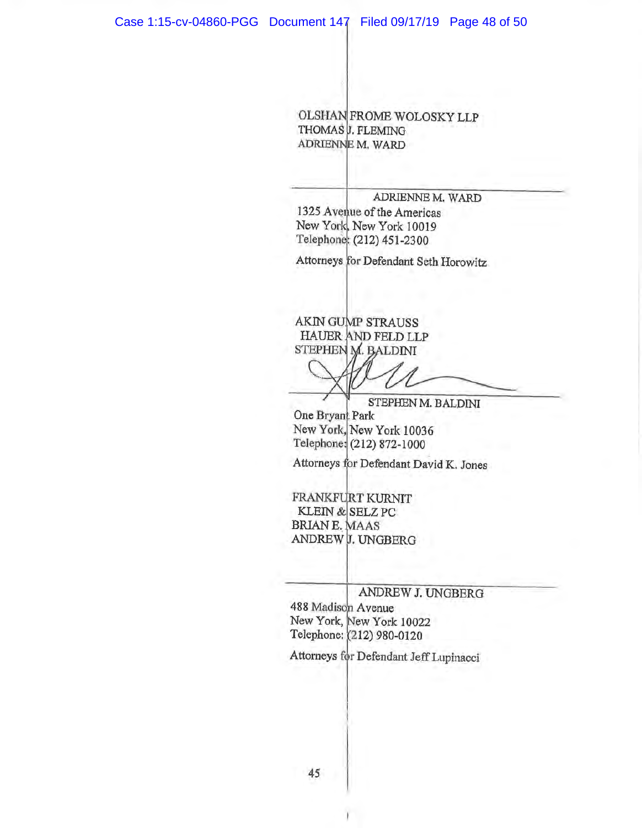OLSHAN FROME WOLOSKY LLP THOMAS **J. FLEMING** ADRIENNE M. WARD

ADRIENNE M. WARD

1325 Avenue of the Americas New York, New York 10019 Telephone: (212) 451-2300

Attorneys for Defendant Seth Horowitz

AKIN GUMP STRAUSS HAUER AND FELD LLP STEPHEN M. BALDINI

STEPHEN M. BALDINI

One Bryant Park New York, New York 10036 Telephone: (212) 872-1000

Attorneys for Defendant David K. Jones

FRANKFURT KURNIT KLEIN & SELZ PC BRIAN E. MAAS ANDREW J. UNGBERG

ANDREW J. UNGBERG

488 Madison Avenue New York, New York 10022 Telephone: (212) 980-0120

!

Attorneys for Defendant Jeff Lupinacci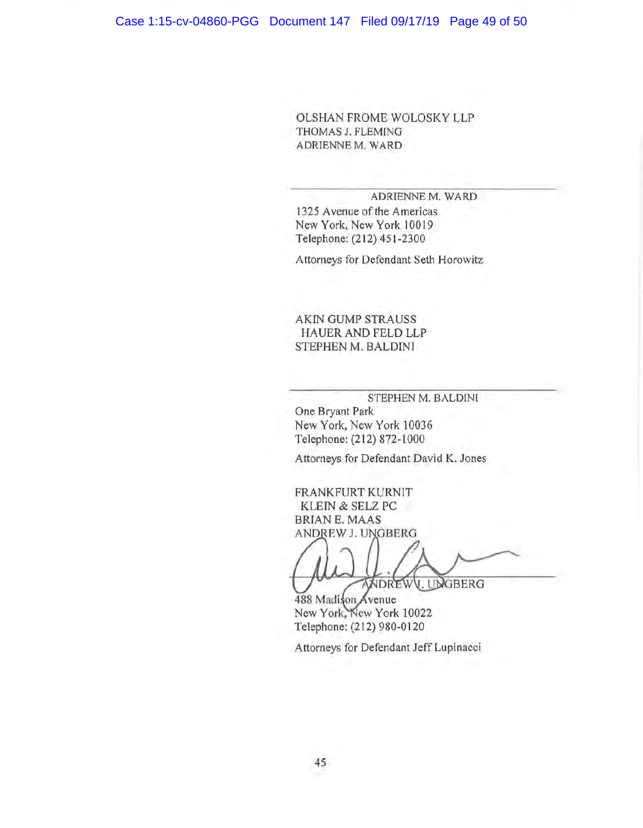OLSHAN FROME WOLOSKY LLP THOMAS J. FLEMING ADRIENNE M. WARD

#### ADRIENNE M. WARD

1325 Avenue of the Americas New York, New York 10019 Telephone: (212) 451-2300

Attorneys for Defendant Seth Horowitz

AKIN GUMP STRAUSS HAUER AND FELD LLP STEPHEN M. BALDINI

STEPHEN M. BALDINI

One Bryant Park New York, New York 10036 Telephone: (212) 872-1000

Attorneys for Defendant David K. Jones

FRANKFURT KURNlT KLEIN & SELZ PC BRIAN E. MAAS ANDREW J. UNGBERG

WDREWV. UNGBERG

488 Madison Avenue New York, New York 10022 Telephone: (212) 980-0120

Attorneys for Defendant Jeff Lupinacci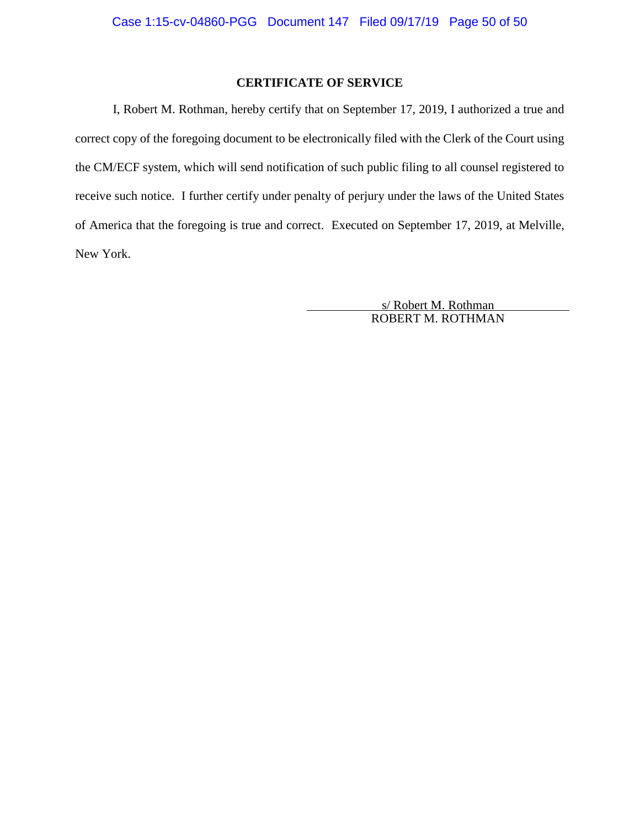## **CERTIFICATE OF SERVICE**

I, Robert M. Rothman, hereby certify that on September 17, 2019, I authorized a true and correct copy of the foregoing document to be electronically filed with the Clerk of the Court using the CM/ECF system, which will send notification of such public filing to all counsel registered to receive such notice. I further certify under penalty of perjury under the laws of the United States of America that the foregoing is true and correct. Executed on September 17, 2019, at Melville, New York.

> s/ Robert M. Rothman ROBERT M. ROTHMAN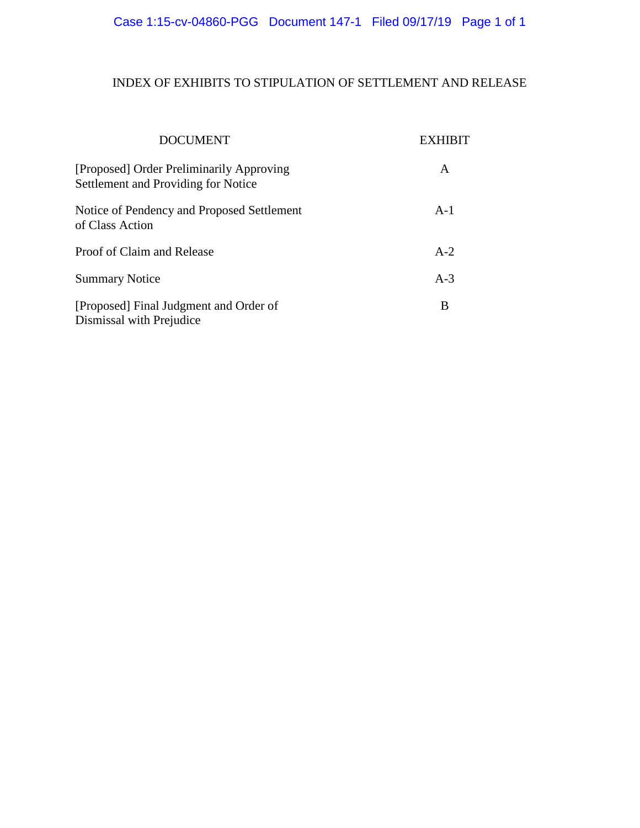# INDEX OF EXHIBITS TO STIPULATION OF SETTLEMENT AND RELEASE

| <b>DOCUMENT</b>                                                                 | EXH   |
|---------------------------------------------------------------------------------|-------|
| [Proposed] Order Preliminarily Approving<br>Settlement and Providing for Notice | A     |
| Notice of Pendency and Proposed Settlement<br>of Class Action                   | $A-1$ |
| Proof of Claim and Release                                                      | $A-2$ |
| <b>Summary Notice</b>                                                           | $A-3$ |
| [Proposed] Final Judgment and Order of<br>Dismissal with Prejudice              | B     |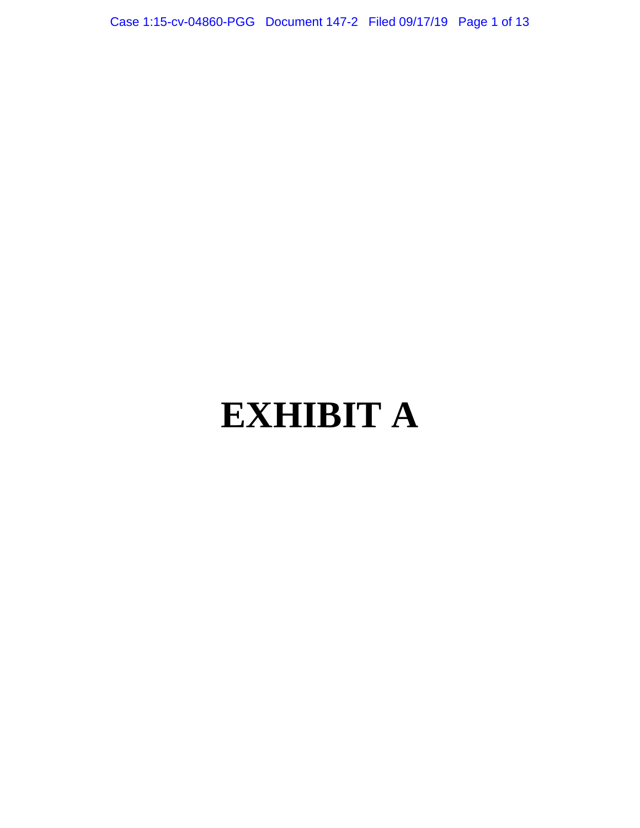Case 1:15-cv-04860-PGG Document 147-2 Filed 09/17/19 Page 1 of 13

# **EXHIBIT A**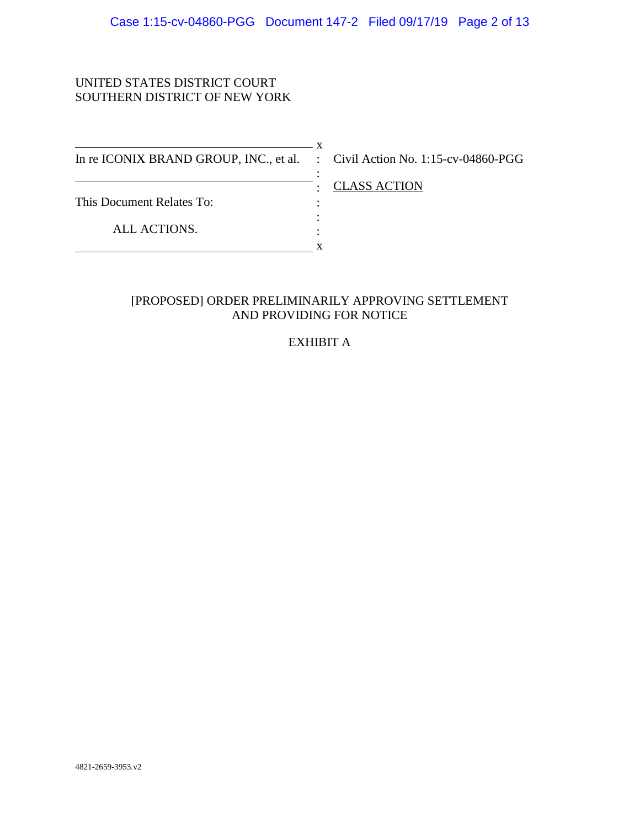## UNITED STATES DISTRICT COURT SOUTHERN DISTRICT OF NEW YORK

 $\overline{\phantom{1}}$  x In re ICONIX BRAND GROUP, INC., et al. : Civil Action No. 1:15-cv-04860-PGG This Document Relates To: ALL ACTIONS. :  $\cdot$  : : :  $\mathbf{x}$ 

: CLASS ACTION

# [PROPOSED] ORDER PRELIMINARILY APPROVING SETTLEMENT AND PROVIDING FOR NOTICE

# EXHIBIT A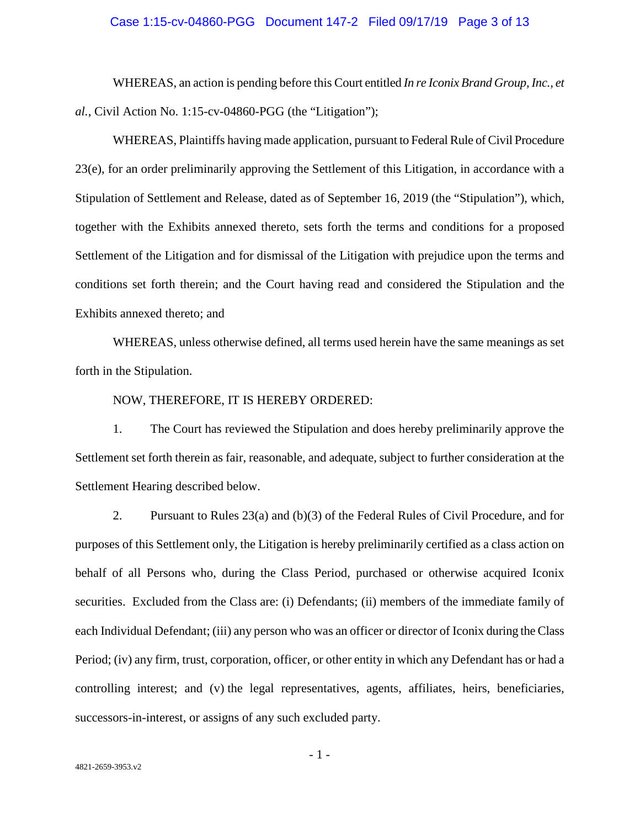#### Case 1:15-cv-04860-PGG Document 147-2 Filed 09/17/19 Page 3 of 13

WHEREAS, an action is pending before this Court entitled *In re Iconix Brand Group, Inc., et al.*, Civil Action No. 1:15-cv-04860-PGG (the "Litigation");

WHEREAS, Plaintiffs having made application, pursuant to Federal Rule of Civil Procedure 23(e), for an order preliminarily approving the Settlement of this Litigation, in accordance with a Stipulation of Settlement and Release, dated as of September 16, 2019 (the "Stipulation"), which, together with the Exhibits annexed thereto, sets forth the terms and conditions for a proposed Settlement of the Litigation and for dismissal of the Litigation with prejudice upon the terms and conditions set forth therein; and the Court having read and considered the Stipulation and the Exhibits annexed thereto; and

WHEREAS, unless otherwise defined, all terms used herein have the same meanings as set forth in the Stipulation.

#### NOW, THEREFORE, IT IS HEREBY ORDERED:

1. The Court has reviewed the Stipulation and does hereby preliminarily approve the Settlement set forth therein as fair, reasonable, and adequate, subject to further consideration at the Settlement Hearing described below.

2. Pursuant to Rules 23(a) and (b)(3) of the Federal Rules of Civil Procedure, and for purposes of this Settlement only, the Litigation is hereby preliminarily certified as a class action on behalf of all Persons who, during the Class Period, purchased or otherwise acquired Iconix securities. Excluded from the Class are: (i) Defendants; (ii) members of the immediate family of each Individual Defendant; (iii) any person who was an officer or director of Iconix during the Class Period; (iv) any firm, trust, corporation, officer, or other entity in which any Defendant has or had a controlling interest; and (v) the legal representatives, agents, affiliates, heirs, beneficiaries, successors-in-interest, or assigns of any such excluded party.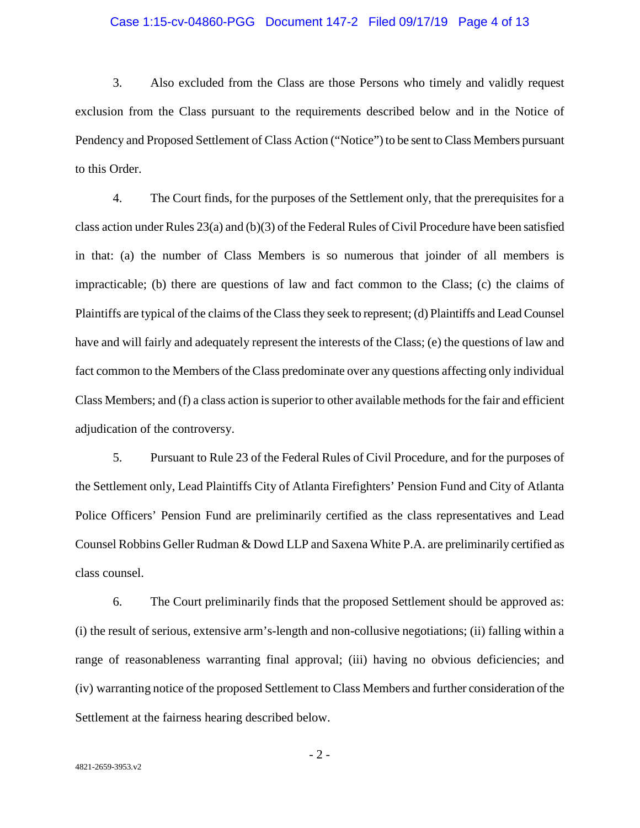#### Case 1:15-cv-04860-PGG Document 147-2 Filed 09/17/19 Page 4 of 13

3. Also excluded from the Class are those Persons who timely and validly request exclusion from the Class pursuant to the requirements described below and in the Notice of Pendency and Proposed Settlement of Class Action ("Notice") to be sent to Class Members pursuant to this Order.

4. The Court finds, for the purposes of the Settlement only, that the prerequisites for a class action under Rules 23(a) and (b)(3) of the Federal Rules of Civil Procedure have been satisfied in that: (a) the number of Class Members is so numerous that joinder of all members is impracticable; (b) there are questions of law and fact common to the Class; (c) the claims of Plaintiffs are typical of the claims of the Class they seek to represent; (d) Plaintiffs and Lead Counsel have and will fairly and adequately represent the interests of the Class; (e) the questions of law and fact common to the Members of the Class predominate over any questions affecting only individual Class Members; and (f) a class action is superior to other available methods for the fair and efficient adjudication of the controversy.

5. Pursuant to Rule 23 of the Federal Rules of Civil Procedure, and for the purposes of the Settlement only, Lead Plaintiffs City of Atlanta Firefighters' Pension Fund and City of Atlanta Police Officers' Pension Fund are preliminarily certified as the class representatives and Lead Counsel Robbins Geller Rudman & Dowd LLP and Saxena White P.A. are preliminarily certified as class counsel.

6. The Court preliminarily finds that the proposed Settlement should be approved as: (i) the result of serious, extensive arm's-length and non-collusive negotiations; (ii) falling within a range of reasonableness warranting final approval; (iii) having no obvious deficiencies; and (iv) warranting notice of the proposed Settlement to Class Members and further consideration of the Settlement at the fairness hearing described below.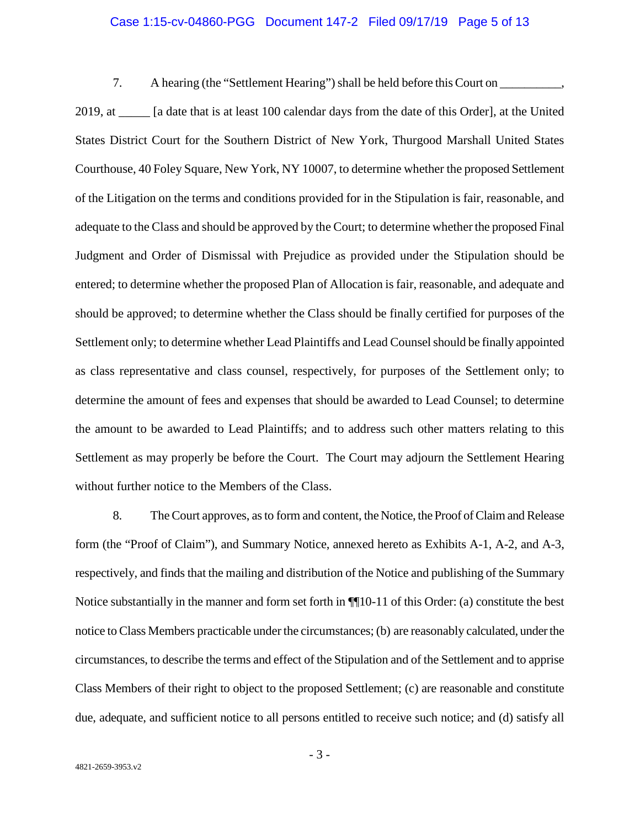#### Case 1:15-cv-04860-PGG Document 147-2 Filed 09/17/19 Page 5 of 13

7. A hearing (the "Settlement Hearing") shall be held before this Court on \_\_\_\_\_\_\_\_\_\_,

2019, at \_\_\_\_ [a date that is at least 100 calendar days from the date of this Order], at the United States District Court for the Southern District of New York, Thurgood Marshall United States Courthouse, 40 Foley Square, New York, NY 10007, to determine whether the proposed Settlement of the Litigation on the terms and conditions provided for in the Stipulation is fair, reasonable, and adequate to the Class and should be approved by the Court; to determine whether the proposed Final Judgment and Order of Dismissal with Prejudice as provided under the Stipulation should be entered; to determine whether the proposed Plan of Allocation is fair, reasonable, and adequate and should be approved; to determine whether the Class should be finally certified for purposes of the Settlement only; to determine whether Lead Plaintiffs and Lead Counsel should be finally appointed as class representative and class counsel, respectively, for purposes of the Settlement only; to determine the amount of fees and expenses that should be awarded to Lead Counsel; to determine the amount to be awarded to Lead Plaintiffs; and to address such other matters relating to this Settlement as may properly be before the Court. The Court may adjourn the Settlement Hearing without further notice to the Members of the Class.

8. The Court approves, as to form and content, the Notice, the Proof of Claim and Release form (the "Proof of Claim"), and Summary Notice, annexed hereto as Exhibits A-1, A-2, and A-3, respectively, and finds that the mailing and distribution of the Notice and publishing of the Summary Notice substantially in the manner and form set forth in ¶¶10-11 of this Order: (a) constitute the best notice to Class Members practicable under the circumstances; (b) are reasonably calculated, under the circumstances, to describe the terms and effect of the Stipulation and of the Settlement and to apprise Class Members of their right to object to the proposed Settlement; (c) are reasonable and constitute due, adequate, and sufficient notice to all persons entitled to receive such notice; and (d) satisfy all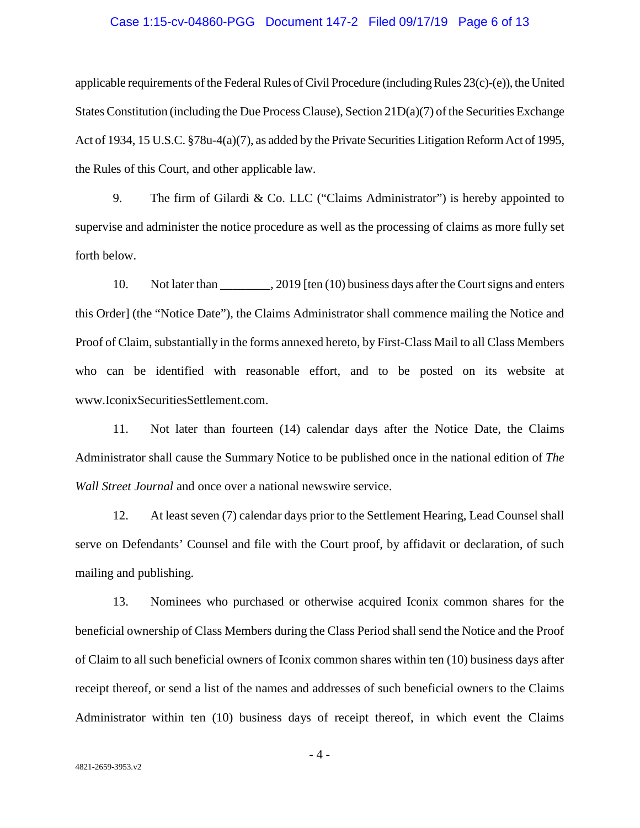#### Case 1:15-cv-04860-PGG Document 147-2 Filed 09/17/19 Page 6 of 13

applicable requirements of the Federal Rules of Civil Procedure (including Rules 23(c)-(e)), the United States Constitution (including the Due Process Clause), Section 21D(a)(7) of the Securities Exchange Act of 1934, 15 U.S.C. §78u-4(a)(7), as added by the Private Securities Litigation Reform Act of 1995, the Rules of this Court, and other applicable law.

9. The firm of Gilardi & Co. LLC ("Claims Administrator") is hereby appointed to supervise and administer the notice procedure as well as the processing of claims as more fully set forth below.

10. Not later than  $\frac{2019}{\pi}$  [ten (10) business days after the Court signs and enters this Order] (the "Notice Date"), the Claims Administrator shall commence mailing the Notice and Proof of Claim, substantially in the forms annexed hereto, by First-Class Mail to all Class Members who can be identified with reasonable effort, and to be posted on its website at www.IconixSecuritiesSettlement.com.

11. Not later than fourteen (14) calendar days after the Notice Date, the Claims Administrator shall cause the Summary Notice to be published once in the national edition of *The Wall Street Journal* and once over a national newswire service.

12. At least seven (7) calendar days prior to the Settlement Hearing, Lead Counsel shall serve on Defendants' Counsel and file with the Court proof, by affidavit or declaration, of such mailing and publishing.

13. Nominees who purchased or otherwise acquired Iconix common shares for the beneficial ownership of Class Members during the Class Period shall send the Notice and the Proof of Claim to all such beneficial owners of Iconix common shares within ten (10) business days after receipt thereof, or send a list of the names and addresses of such beneficial owners to the Claims Administrator within ten (10) business days of receipt thereof, in which event the Claims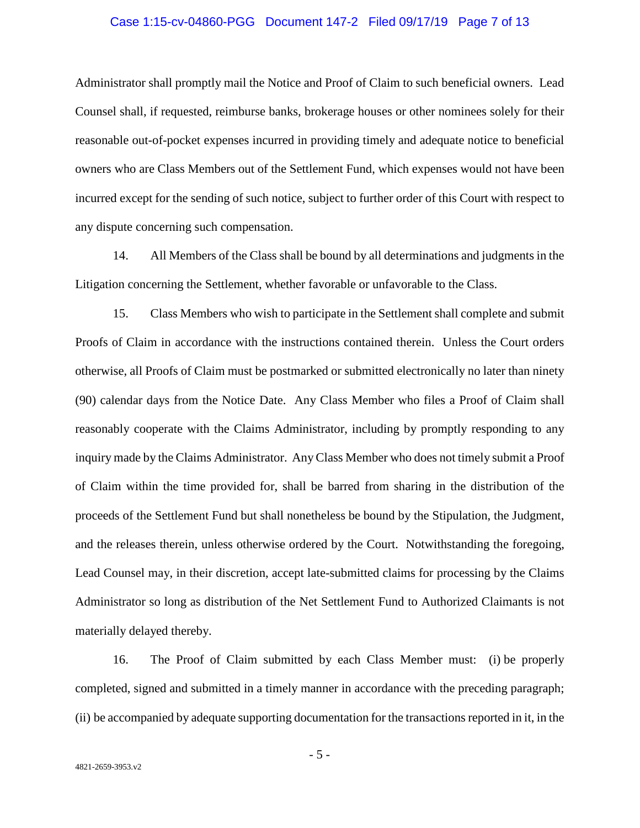#### Case 1:15-cv-04860-PGG Document 147-2 Filed 09/17/19 Page 7 of 13

Administrator shall promptly mail the Notice and Proof of Claim to such beneficial owners. Lead Counsel shall, if requested, reimburse banks, brokerage houses or other nominees solely for their reasonable out-of-pocket expenses incurred in providing timely and adequate notice to beneficial owners who are Class Members out of the Settlement Fund, which expenses would not have been incurred except for the sending of such notice, subject to further order of this Court with respect to any dispute concerning such compensation.

14. All Members of the Class shall be bound by all determinations and judgments in the Litigation concerning the Settlement, whether favorable or unfavorable to the Class.

15. Class Members who wish to participate in the Settlement shall complete and submit Proofs of Claim in accordance with the instructions contained therein. Unless the Court orders otherwise, all Proofs of Claim must be postmarked or submitted electronically no later than ninety (90) calendar days from the Notice Date. Any Class Member who files a Proof of Claim shall reasonably cooperate with the Claims Administrator, including by promptly responding to any inquiry made by the Claims Administrator. Any Class Member who does not timely submit a Proof of Claim within the time provided for, shall be barred from sharing in the distribution of the proceeds of the Settlement Fund but shall nonetheless be bound by the Stipulation, the Judgment, and the releases therein, unless otherwise ordered by the Court. Notwithstanding the foregoing, Lead Counsel may, in their discretion, accept late-submitted claims for processing by the Claims Administrator so long as distribution of the Net Settlement Fund to Authorized Claimants is not materially delayed thereby.

16. The Proof of Claim submitted by each Class Member must: (i) be properly completed, signed and submitted in a timely manner in accordance with the preceding paragraph; (ii) be accompanied by adequate supporting documentation for the transactions reported in it, in the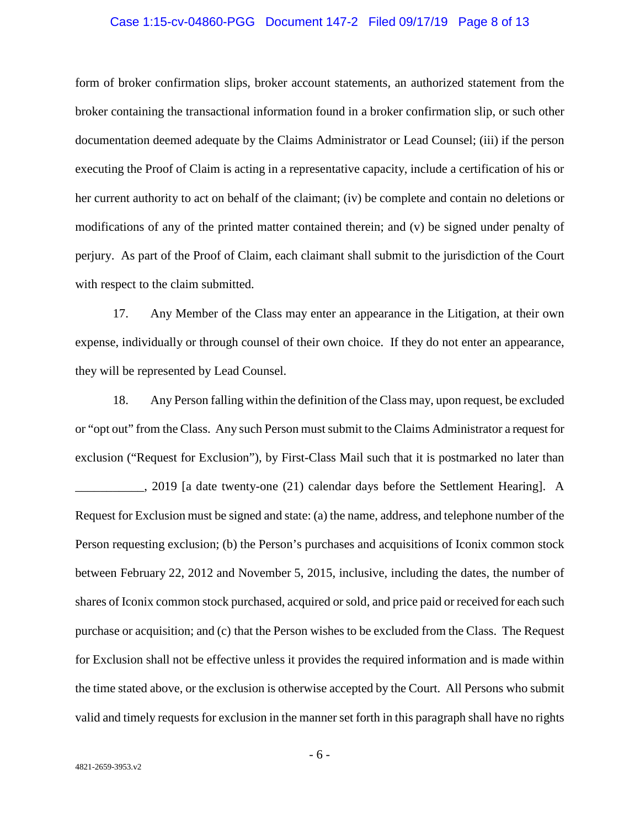#### Case 1:15-cv-04860-PGG Document 147-2 Filed 09/17/19 Page 8 of 13

form of broker confirmation slips, broker account statements, an authorized statement from the broker containing the transactional information found in a broker confirmation slip, or such other documentation deemed adequate by the Claims Administrator or Lead Counsel; (iii) if the person executing the Proof of Claim is acting in a representative capacity, include a certification of his or her current authority to act on behalf of the claimant; (iv) be complete and contain no deletions or modifications of any of the printed matter contained therein; and (v) be signed under penalty of perjury. As part of the Proof of Claim, each claimant shall submit to the jurisdiction of the Court with respect to the claim submitted.

17. Any Member of the Class may enter an appearance in the Litigation, at their own expense, individually or through counsel of their own choice. If they do not enter an appearance, they will be represented by Lead Counsel.

18. Any Person falling within the definition of the Class may, upon request, be excluded or "opt out" from the Class. Any such Person must submit to the Claims Administrator a request for exclusion ("Request for Exclusion"), by First-Class Mail such that it is postmarked no later than \_\_\_\_\_\_\_\_\_\_\_, 2019 [a date twenty-one (21) calendar days before the Settlement Hearing]. A Request for Exclusion must be signed and state: (a) the name, address, and telephone number of the Person requesting exclusion; (b) the Person's purchases and acquisitions of Iconix common stock between February 22, 2012 and November 5, 2015, inclusive, including the dates, the number of shares of Iconix common stock purchased, acquired or sold, and price paid or received for each such purchase or acquisition; and (c) that the Person wishes to be excluded from the Class. The Request for Exclusion shall not be effective unless it provides the required information and is made within the time stated above, or the exclusion is otherwise accepted by the Court. All Persons who submit valid and timely requests for exclusion in the manner set forth in this paragraph shall have no rights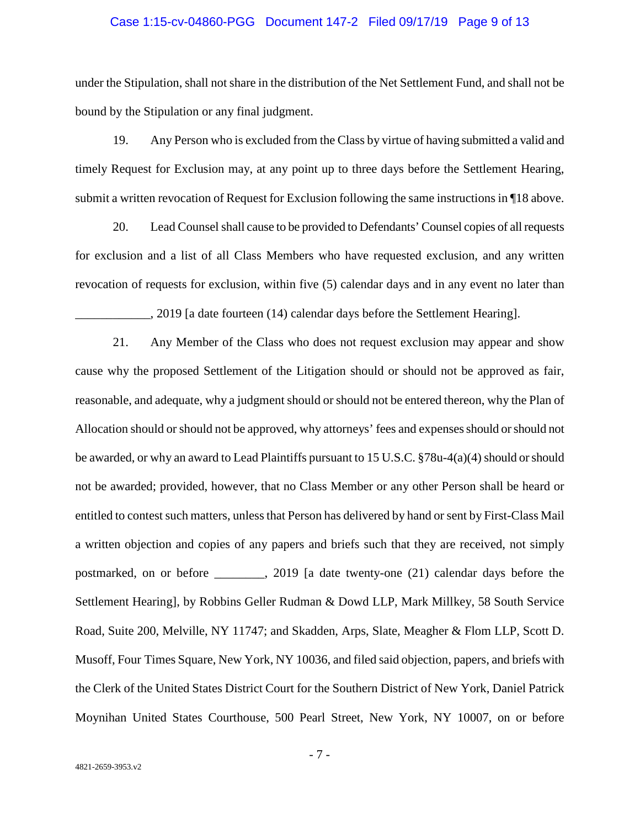#### Case 1:15-cv-04860-PGG Document 147-2 Filed 09/17/19 Page 9 of 13

under the Stipulation, shall not share in the distribution of the Net Settlement Fund, and shall not be bound by the Stipulation or any final judgment.

19. Any Person who is excluded from the Class by virtue of having submitted a valid and timely Request for Exclusion may, at any point up to three days before the Settlement Hearing, submit a written revocation of Request for Exclusion following the same instructions in ¶18 above.

20. Lead Counsel shall cause to be provided to Defendants' Counsel copies of all requests for exclusion and a list of all Class Members who have requested exclusion, and any written revocation of requests for exclusion, within five (5) calendar days and in any event no later than

\_\_\_\_\_\_\_\_\_\_\_\_, 2019 [a date fourteen (14) calendar days before the Settlement Hearing].

21. Any Member of the Class who does not request exclusion may appear and show cause why the proposed Settlement of the Litigation should or should not be approved as fair, reasonable, and adequate, why a judgment should or should not be entered thereon, why the Plan of Allocation should or should not be approved, why attorneys' fees and expenses should or should not be awarded, or why an award to Lead Plaintiffs pursuant to 15 U.S.C. §78u-4(a)(4) should or should not be awarded; provided, however, that no Class Member or any other Person shall be heard or entitled to contest such matters, unless that Person has delivered by hand or sent by First-Class Mail a written objection and copies of any papers and briefs such that they are received, not simply postmarked, on or before \_\_\_\_\_\_\_\_, 2019 [a date twenty-one (21) calendar days before the Settlement Hearing], by Robbins Geller Rudman & Dowd LLP, Mark Millkey, 58 South Service Road, Suite 200, Melville, NY 11747; and Skadden, Arps, Slate, Meagher & Flom LLP, Scott D. Musoff, Four Times Square, New York, NY 10036, and filed said objection, papers, and briefs with the Clerk of the United States District Court for the Southern District of New York, Daniel Patrick Moynihan United States Courthouse, 500 Pearl Street, New York, NY 10007, on or before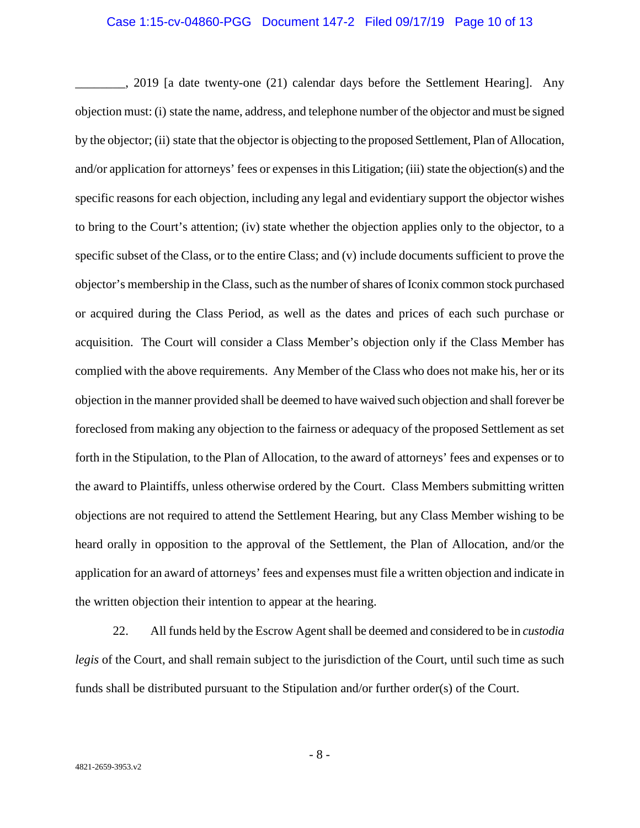#### Case 1:15-cv-04860-PGG Document 147-2 Filed 09/17/19 Page 10 of 13

\_\_\_\_\_\_\_\_, 2019 [a date twenty-one (21) calendar days before the Settlement Hearing]. Any objection must: (i) state the name, address, and telephone number of the objector and must be signed by the objector; (ii) state that the objector is objecting to the proposed Settlement, Plan of Allocation, and/or application for attorneys' fees or expenses in this Litigation; (iii) state the objection(s) and the specific reasons for each objection, including any legal and evidentiary support the objector wishes to bring to the Court's attention; (iv) state whether the objection applies only to the objector, to a specific subset of the Class, or to the entire Class; and (v) include documents sufficient to prove the objector's membership in the Class, such as the number of shares of Iconix common stock purchased or acquired during the Class Period, as well as the dates and prices of each such purchase or acquisition. The Court will consider a Class Member's objection only if the Class Member has complied with the above requirements. Any Member of the Class who does not make his, her or its objection in the manner provided shall be deemed to have waived such objection and shall forever be foreclosed from making any objection to the fairness or adequacy of the proposed Settlement as set forth in the Stipulation, to the Plan of Allocation, to the award of attorneys' fees and expenses or to the award to Plaintiffs, unless otherwise ordered by the Court. Class Members submitting written objections are not required to attend the Settlement Hearing, but any Class Member wishing to be heard orally in opposition to the approval of the Settlement, the Plan of Allocation, and/or the application for an award of attorneys' fees and expenses must file a written objection and indicate in the written objection their intention to appear at the hearing.

22. All funds held by the Escrow Agent shall be deemed and considered to be in *custodia legis* of the Court, and shall remain subject to the jurisdiction of the Court, until such time as such funds shall be distributed pursuant to the Stipulation and/or further order(s) of the Court.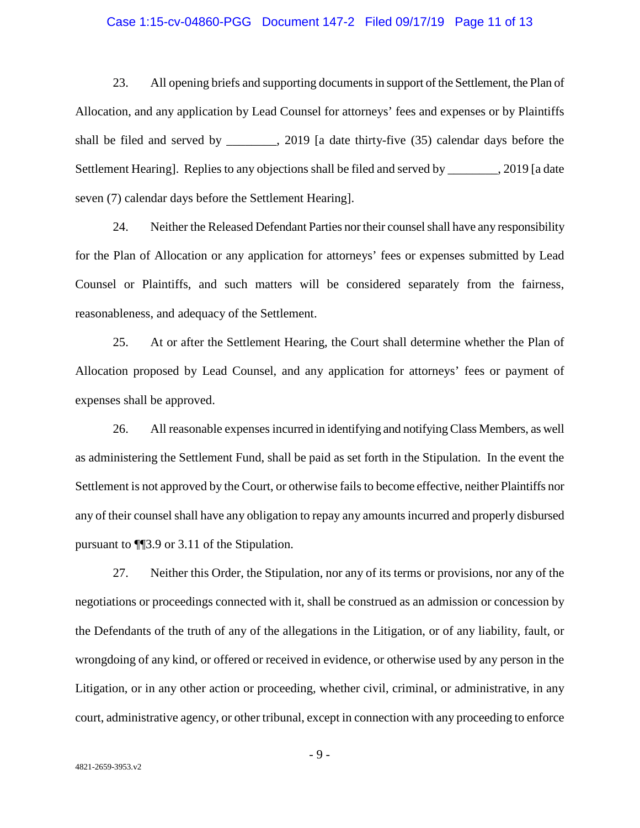#### Case 1:15-cv-04860-PGG Document 147-2 Filed 09/17/19 Page 11 of 13

23. All opening briefs and supporting documents in support of the Settlement, the Plan of Allocation, and any application by Lead Counsel for attorneys' fees and expenses or by Plaintiffs shall be filed and served by \_\_\_\_\_\_\_\_, 2019 [a date thirty-five (35) calendar days before the Settlement Hearing]. Replies to any objections shall be filed and served by \_\_\_\_\_\_\_, 2019 [a date seven (7) calendar days before the Settlement Hearing].

24. Neither the Released Defendant Parties nor their counsel shall have any responsibility for the Plan of Allocation or any application for attorneys' fees or expenses submitted by Lead Counsel or Plaintiffs, and such matters will be considered separately from the fairness, reasonableness, and adequacy of the Settlement.

25. At or after the Settlement Hearing, the Court shall determine whether the Plan of Allocation proposed by Lead Counsel, and any application for attorneys' fees or payment of expenses shall be approved.

26. All reasonable expenses incurred in identifying and notifying Class Members, as well as administering the Settlement Fund, shall be paid as set forth in the Stipulation. In the event the Settlement is not approved by the Court, or otherwise fails to become effective, neither Plaintiffs nor any of their counsel shall have any obligation to repay any amounts incurred and properly disbursed pursuant to ¶¶3.9 or 3.11 of the Stipulation.

27. Neither this Order, the Stipulation, nor any of its terms or provisions, nor any of the negotiations or proceedings connected with it, shall be construed as an admission or concession by the Defendants of the truth of any of the allegations in the Litigation, or of any liability, fault, or wrongdoing of any kind, or offered or received in evidence, or otherwise used by any person in the Litigation, or in any other action or proceeding, whether civil, criminal, or administrative, in any court, administrative agency, or other tribunal, except in connection with any proceeding to enforce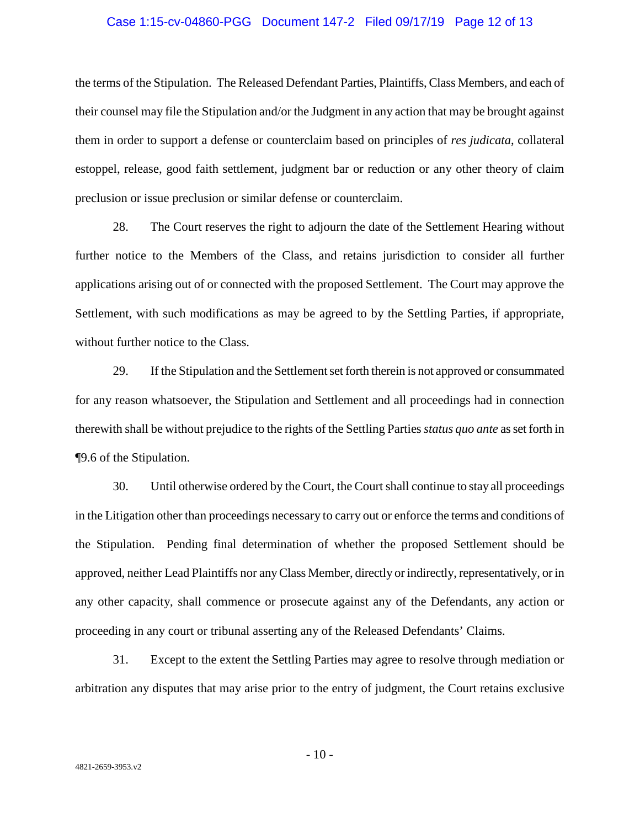#### Case 1:15-cv-04860-PGG Document 147-2 Filed 09/17/19 Page 12 of 13

the terms of the Stipulation. The Released Defendant Parties, Plaintiffs, Class Members, and each of their counsel may file the Stipulation and/or the Judgment in any action that may be brought against them in order to support a defense or counterclaim based on principles of *res judicata*, collateral estoppel, release, good faith settlement, judgment bar or reduction or any other theory of claim preclusion or issue preclusion or similar defense or counterclaim.

28. The Court reserves the right to adjourn the date of the Settlement Hearing without further notice to the Members of the Class, and retains jurisdiction to consider all further applications arising out of or connected with the proposed Settlement. The Court may approve the Settlement, with such modifications as may be agreed to by the Settling Parties, if appropriate, without further notice to the Class.

29. If the Stipulation and the Settlement set forth therein is not approved or consummated for any reason whatsoever, the Stipulation and Settlement and all proceedings had in connection therewith shall be without prejudice to the rights of the Settling Parties *status quo ante* as set forth in ¶9.6 of the Stipulation.

30. Until otherwise ordered by the Court, the Court shall continue to stay all proceedings in the Litigation other than proceedings necessary to carry out or enforce the terms and conditions of the Stipulation. Pending final determination of whether the proposed Settlement should be approved, neither Lead Plaintiffs nor any Class Member, directly or indirectly, representatively, or in any other capacity, shall commence or prosecute against any of the Defendants, any action or proceeding in any court or tribunal asserting any of the Released Defendants' Claims.

31. Except to the extent the Settling Parties may agree to resolve through mediation or arbitration any disputes that may arise prior to the entry of judgment, the Court retains exclusive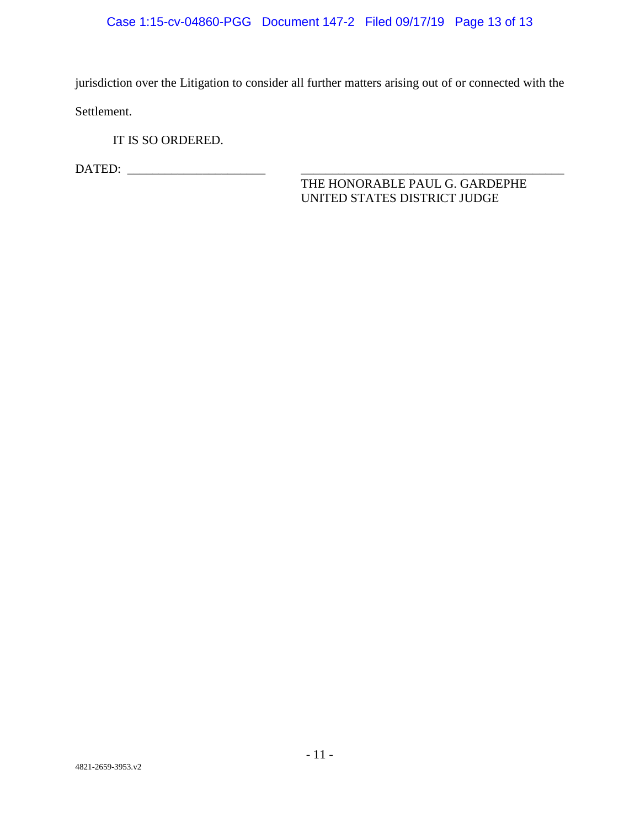# Case 1:15-cv-04860-PGG Document 147-2 Filed 09/17/19 Page 13 of 13

jurisdiction over the Litigation to consider all further matters arising out of or connected with the Settlement.

IT IS SO ORDERED.

DATED: \_\_\_\_\_\_\_\_\_\_\_\_\_\_\_\_\_\_\_\_\_\_ \_\_\_\_\_\_\_\_\_\_\_\_\_\_\_\_\_\_\_\_\_\_\_\_\_\_\_\_\_\_\_\_\_\_\_\_\_\_\_\_\_\_

THE HONORABLE PAUL G. GARDEPHE UNITED STATES DISTRICT JUDGE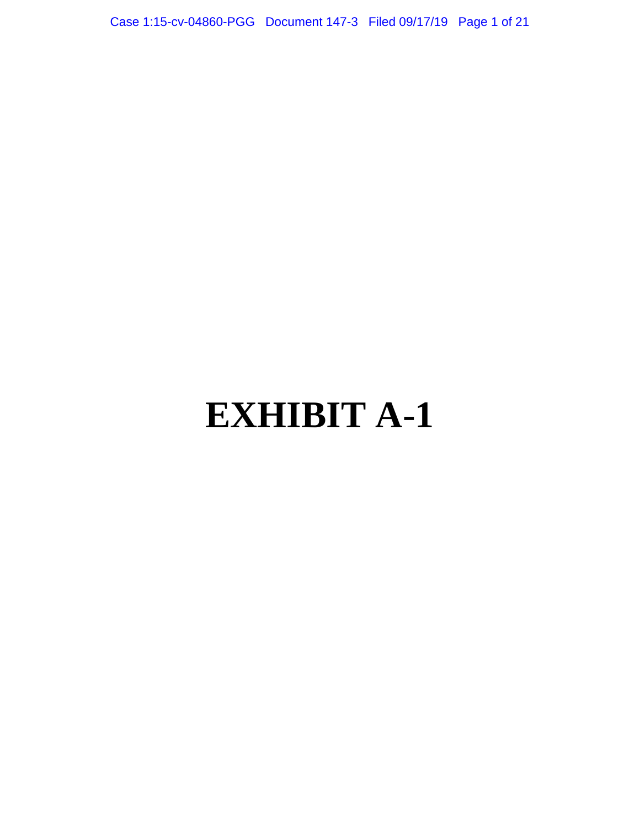Case 1:15-cv-04860-PGG Document 147-3 Filed 09/17/19 Page 1 of 21

# **EXHIBIT A-1**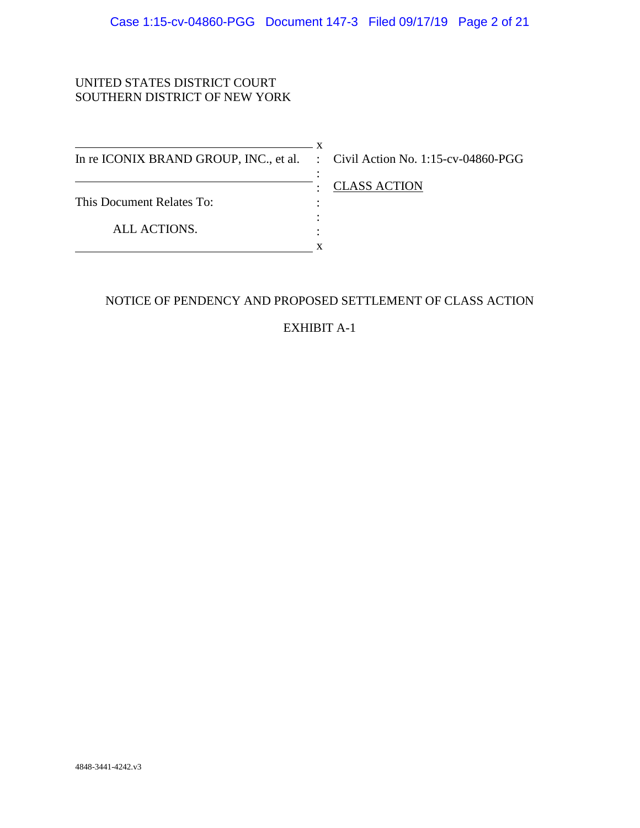## UNITED STATES DISTRICT COURT SOUTHERN DISTRICT OF NEW YORK

 $\overline{\phantom{1}}$  x In re ICONIX BRAND GROUP, INC., et al. : Civil Action No. 1:15-cv-04860-PGG This Document Relates To: ALL ACTIONS. :  $\cdot$  : : : **x** 

: CLASS ACTION

# NOTICE OF PENDENCY AND PROPOSED SETTLEMENT OF CLASS ACTION

EXHIBIT A-1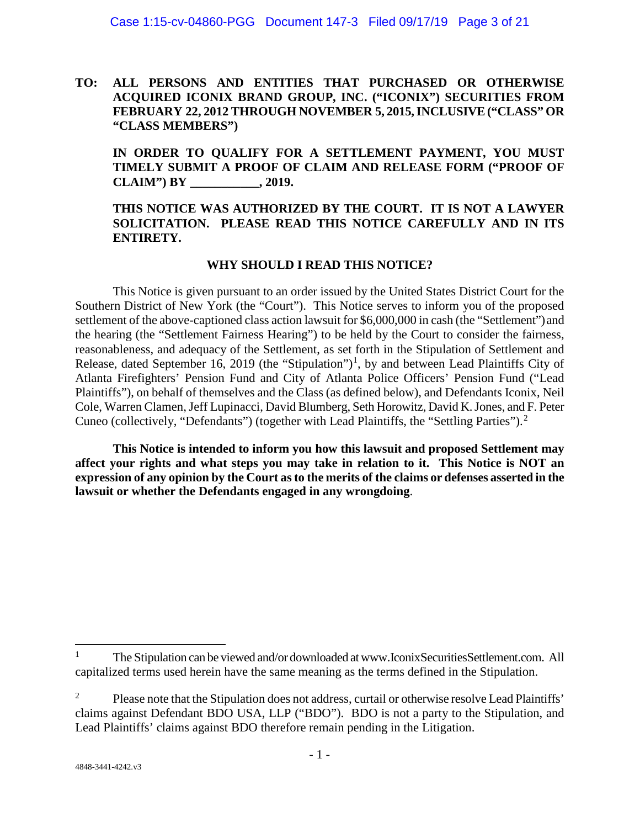**TO: ALL PERSONS AND ENTITIES THAT PURCHASED OR OTHERWISE ACQUIRED ICONIX BRAND GROUP, INC. ("ICONIX") SECURITIES FROM FEBRUARY 22, 2012 THROUGH NOVEMBER 5, 2015, INCLUSIVE ("CLASS" OR "CLASS MEMBERS")**

**IN ORDER TO QUALIFY FOR A SETTLEMENT PAYMENT, YOU MUST TIMELY SUBMIT A PROOF OF CLAIM AND RELEASE FORM ("PROOF OF CLAIM") BY \_\_\_\_\_\_\_\_\_\_\_, 2019.** 

## **THIS NOTICE WAS AUTHORIZED BY THE COURT. IT IS NOT A LAWYER SOLICITATION. PLEASE READ THIS NOTICE CAREFULLY AND IN ITS ENTIRETY.**

## **WHY SHOULD I READ THIS NOTICE?**

This Notice is given pursuant to an order issued by the United States District Court for the Southern District of New York (the "Court"). This Notice serves to inform you of the proposed settlement of the above-captioned class action lawsuit for \$6,000,000 in cash (the "Settlement") and the hearing (the "Settlement Fairness Hearing") to be held by the Court to consider the fairness, reasonableness, and adequacy of the Settlement, as set forth in the Stipulation of Settlement and Release, dated September [1](#page-66-0)6, 2019 (the "Stipulation")<sup>1</sup>, by and between Lead Plaintiffs City of Atlanta Firefighters' Pension Fund and City of Atlanta Police Officers' Pension Fund ("Lead Plaintiffs"), on behalf of themselves and the Class (as defined below), and Defendants Iconix, Neil Cole, Warren Clamen, Jeff Lupinacci, David Blumberg, Seth Horowitz, David K. Jones, and F. Peter Cuneo (collectively, "Defendants") (together with Lead Plaintiffs, the "Settling Parties").[2](#page-66-1)

**This Notice is intended to inform you how this lawsuit and proposed Settlement may affect your rights and what steps you may take in relation to it. This Notice is NOT an expression of any opinion by the Court as to the merits of the claims or defenses asserted in the lawsuit or whether the Defendants engaged in any wrongdoing**.

 $\overline{a}$ 

<span id="page-66-0"></span><sup>1</sup> The Stipulation can be viewed and/or downloaded at www.IconixSecuritiesSettlement.com. All capitalized terms used herein have the same meaning as the terms defined in the Stipulation.

<span id="page-66-1"></span><sup>2</sup> Please note that the Stipulation does not address, curtail or otherwise resolve Lead Plaintiffs' claims against Defendant BDO USA, LLP ("BDO"). BDO is not a party to the Stipulation, and Lead Plaintiffs' claims against BDO therefore remain pending in the Litigation.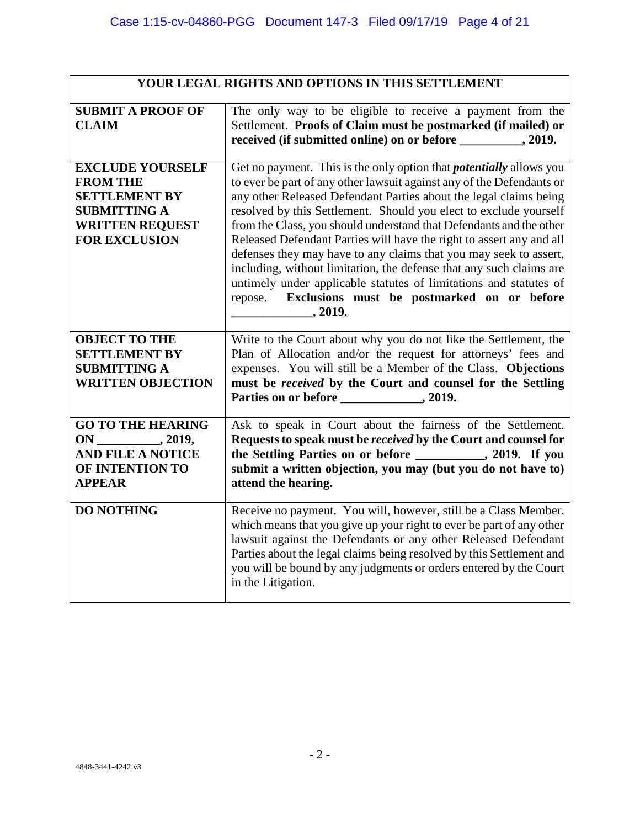| YOUR LEGAL RIGHTS AND OPTIONS IN THIS SETTLEMENT                                                                                            |                                                                                                                                                                                                                                                                                                                                                                                                                                                                                                                                                                                                                                                                                                                     |
|---------------------------------------------------------------------------------------------------------------------------------------------|---------------------------------------------------------------------------------------------------------------------------------------------------------------------------------------------------------------------------------------------------------------------------------------------------------------------------------------------------------------------------------------------------------------------------------------------------------------------------------------------------------------------------------------------------------------------------------------------------------------------------------------------------------------------------------------------------------------------|
| <b>SUBMIT A PROOF OF</b><br><b>CLAIM</b>                                                                                                    | The only way to be eligible to receive a payment from the<br>Settlement. Proofs of Claim must be postmarked (if mailed) or<br>received (if submitted online) on or before _________, 2019.                                                                                                                                                                                                                                                                                                                                                                                                                                                                                                                          |
| <b>EXCLUDE YOURSELF</b><br><b>FROM THE</b><br><b>SETTLEMENT BY</b><br><b>SUBMITTING A</b><br><b>WRITTEN REQUEST</b><br><b>FOR EXCLUSION</b> | Get no payment. This is the only option that <i>potentially</i> allows you<br>to ever be part of any other lawsuit against any of the Defendants or<br>any other Released Defendant Parties about the legal claims being<br>resolved by this Settlement. Should you elect to exclude yourself<br>from the Class, you should understand that Defendants and the other<br>Released Defendant Parties will have the right to assert any and all<br>defenses they may have to any claims that you may seek to assert,<br>including, without limitation, the defense that any such claims are<br>untimely under applicable statutes of limitations and statutes of<br>repose. Exclusions must be postmarked on or before |
| <b>OBJECT TO THE</b><br><b>SETTLEMENT BY</b><br><b>SUBMITTING A</b><br><b>WRITTEN OBJECTION</b>                                             | Write to the Court about why you do not like the Settlement, the<br>Plan of Allocation and/or the request for attorneys' fees and<br>expenses. You will still be a Member of the Class. Objections<br>must be received by the Court and counsel for the Settling                                                                                                                                                                                                                                                                                                                                                                                                                                                    |
| <b>GO TO THE HEARING</b><br><b>AND FILE A NOTICE</b><br>OF INTENTION TO<br><b>APPEAR</b>                                                    | Ask to speak in Court about the fairness of the Settlement.<br>Requests to speak must be received by the Court and counsel for<br>the Settling Parties on or before ___________, 2019. If you<br>submit a written objection, you may (but you do not have to)<br>attend the hearing.                                                                                                                                                                                                                                                                                                                                                                                                                                |
| <b>DO NOTHING</b>                                                                                                                           | Receive no payment. You will, however, still be a Class Member,<br>which means that you give up your right to ever be part of any other<br>lawsuit against the Defendants or any other Released Defendant<br>Parties about the legal claims being resolved by this Settlement and<br>you will be bound by any judgments or orders entered by the Court<br>in the Litigation.                                                                                                                                                                                                                                                                                                                                        |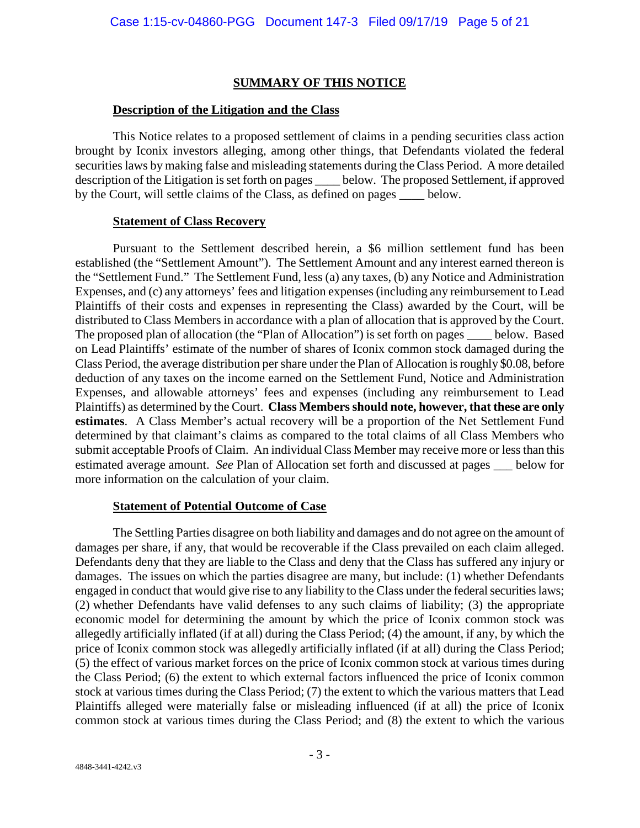## **SUMMARY OF THIS NOTICE**

## **Description of the Litigation and the Class**

This Notice relates to a proposed settlement of claims in a pending securities class action brought by Iconix investors alleging, among other things, that Defendants violated the federal securities laws by making false and misleading statements during the Class Period. A more detailed description of the Litigation is set forth on pages \_\_\_\_ below. The proposed Settlement, if approved by the Court, will settle claims of the Class, as defined on pages \_\_\_\_ below.

## **Statement of Class Recovery**

Pursuant to the Settlement described herein, a \$6 million settlement fund has been established (the "Settlement Amount"). The Settlement Amount and any interest earned thereon is the "Settlement Fund." The Settlement Fund, less (a) any taxes, (b) any Notice and Administration Expenses, and (c) any attorneys' fees and litigation expenses (including any reimbursement to Lead Plaintiffs of their costs and expenses in representing the Class) awarded by the Court, will be distributed to Class Members in accordance with a plan of allocation that is approved by the Court. The proposed plan of allocation (the "Plan of Allocation") is set forth on pages \_\_\_\_ below. Based on Lead Plaintiffs' estimate of the number of shares of Iconix common stock damaged during the Class Period, the average distribution per share under the Plan of Allocation is roughly \$0.08, before deduction of any taxes on the income earned on the Settlement Fund, Notice and Administration Expenses, and allowable attorneys' fees and expenses (including any reimbursement to Lead Plaintiffs) as determined by the Court. **Class Members should note, however, that these are only estimates**. A Class Member's actual recovery will be a proportion of the Net Settlement Fund determined by that claimant's claims as compared to the total claims of all Class Members who submit acceptable Proofs of Claim. An individual Class Member may receive more or less than this estimated average amount. *See* Plan of Allocation set forth and discussed at pages \_\_\_ below for more information on the calculation of your claim.

## **Statement of Potential Outcome of Case**

The Settling Parties disagree on both liability and damages and do not agree on the amount of damages per share, if any, that would be recoverable if the Class prevailed on each claim alleged. Defendants deny that they are liable to the Class and deny that the Class has suffered any injury or damages. The issues on which the parties disagree are many, but include: (1) whether Defendants engaged in conduct that would give rise to any liability to the Class under the federal securities laws; (2) whether Defendants have valid defenses to any such claims of liability; (3) the appropriate economic model for determining the amount by which the price of Iconix common stock was allegedly artificially inflated (if at all) during the Class Period; (4) the amount, if any, by which the price of Iconix common stock was allegedly artificially inflated (if at all) during the Class Period; (5) the effect of various market forces on the price of Iconix common stock at various times during the Class Period; (6) the extent to which external factors influenced the price of Iconix common stock at various times during the Class Period; (7) the extent to which the various matters that Lead Plaintiffs alleged were materially false or misleading influenced (if at all) the price of Iconix common stock at various times during the Class Period; and (8) the extent to which the various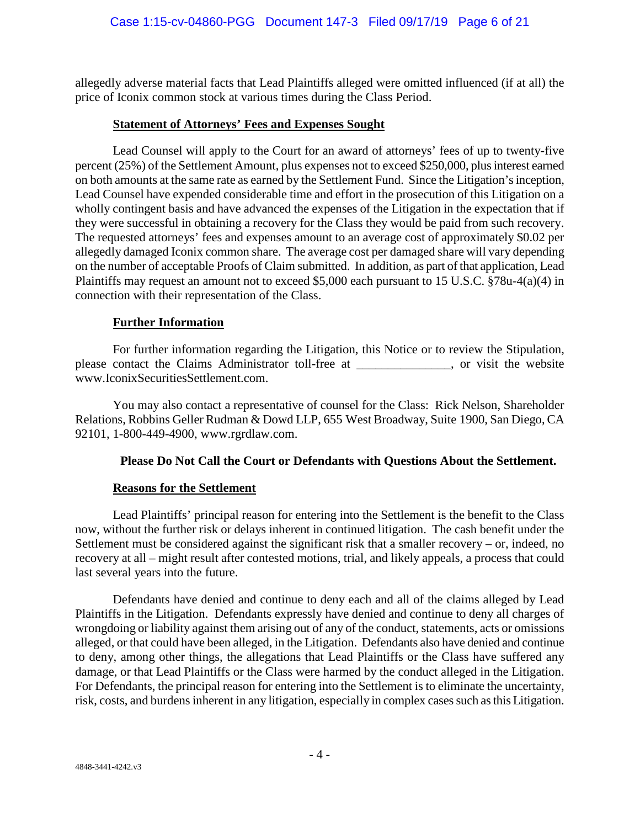allegedly adverse material facts that Lead Plaintiffs alleged were omitted influenced (if at all) the price of Iconix common stock at various times during the Class Period.

## **Statement of Attorneys' Fees and Expenses Sought**

Lead Counsel will apply to the Court for an award of attorneys' fees of up to twenty-five percent (25%) of the Settlement Amount, plus expenses not to exceed \$250,000, plus interest earned on both amounts at the same rate as earned by the Settlement Fund. Since the Litigation's inception, Lead Counsel have expended considerable time and effort in the prosecution of this Litigation on a wholly contingent basis and have advanced the expenses of the Litigation in the expectation that if they were successful in obtaining a recovery for the Class they would be paid from such recovery. The requested attorneys' fees and expenses amount to an average cost of approximately \$0.02 per allegedly damaged Iconix common share. The average cost per damaged share will vary depending on the number of acceptable Proofs of Claim submitted. In addition, as part of that application, Lead Plaintiffs may request an amount not to exceed \$5,000 each pursuant to 15 U.S.C. §78u-4(a)(4) in connection with their representation of the Class.

# **Further Information**

For further information regarding the Litigation, this Notice or to review the Stipulation, please contact the Claims Administrator toll-free at , or visit the website www.IconixSecuritiesSettlement.com.

You may also contact a representative of counsel for the Class: Rick Nelson, Shareholder Relations, Robbins Geller Rudman & Dowd LLP, 655 West Broadway, Suite 1900, San Diego, CA 92101, 1-800-449-4900, www.rgrdlaw.com.

# **Please Do Not Call the Court or Defendants with Questions About the Settlement.**

## **Reasons for the Settlement**

Lead Plaintiffs' principal reason for entering into the Settlement is the benefit to the Class now, without the further risk or delays inherent in continued litigation. The cash benefit under the Settlement must be considered against the significant risk that a smaller recovery – or, indeed, no recovery at all – might result after contested motions, trial, and likely appeals, a process that could last several years into the future.

Defendants have denied and continue to deny each and all of the claims alleged by Lead Plaintiffs in the Litigation. Defendants expressly have denied and continue to deny all charges of wrongdoing or liability against them arising out of any of the conduct, statements, acts or omissions alleged, or that could have been alleged, in the Litigation. Defendants also have denied and continue to deny, among other things, the allegations that Lead Plaintiffs or the Class have suffered any damage, or that Lead Plaintiffs or the Class were harmed by the conduct alleged in the Litigation. For Defendants, the principal reason for entering into the Settlement is to eliminate the uncertainty, risk, costs, and burdens inherent in any litigation, especially in complex cases such as this Litigation.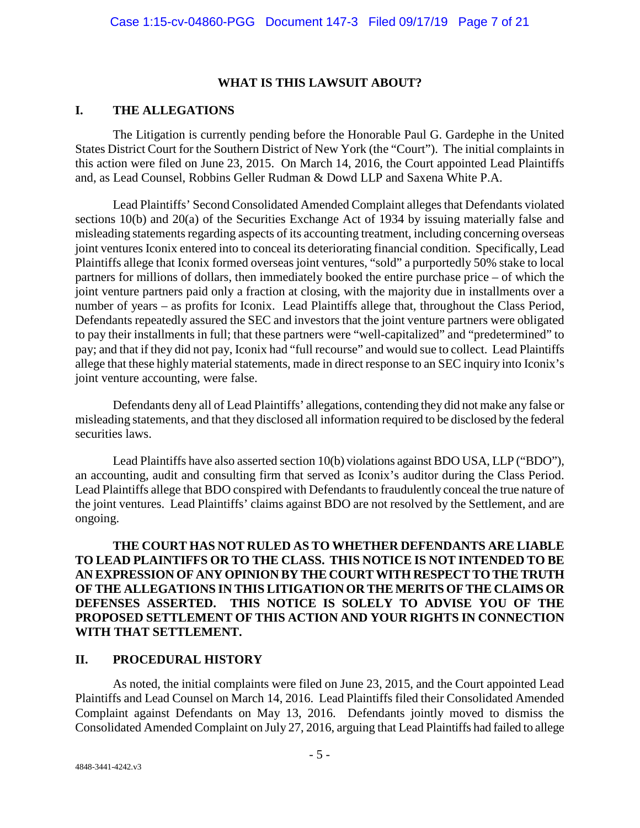## **WHAT IS THIS LAWSUIT ABOUT?**

## **I. THE ALLEGATIONS**

The Litigation is currently pending before the Honorable Paul G. Gardephe in the United States District Court for the Southern District of New York (the "Court"). The initial complaints in this action were filed on June 23, 2015. On March 14, 2016, the Court appointed Lead Plaintiffs and, as Lead Counsel, Robbins Geller Rudman & Dowd LLP and Saxena White P.A.

Lead Plaintiffs' Second Consolidated Amended Complaint alleges that Defendants violated sections 10(b) and 20(a) of the Securities Exchange Act of 1934 by issuing materially false and misleading statements regarding aspects of its accounting treatment, including concerning overseas joint ventures Iconix entered into to conceal its deteriorating financial condition. Specifically, Lead Plaintiffs allege that Iconix formed overseas joint ventures, "sold" a purportedly 50% stake to local partners for millions of dollars, then immediately booked the entire purchase price – of which the joint venture partners paid only a fraction at closing, with the majority due in installments over a number of years – as profits for Iconix. Lead Plaintiffs allege that, throughout the Class Period, Defendants repeatedly assured the SEC and investors that the joint venture partners were obligated to pay their installments in full; that these partners were "well-capitalized" and "predetermined" to pay; and that if they did not pay, Iconix had "full recourse" and would sue to collect. Lead Plaintiffs allege that these highly material statements, made in direct response to an SEC inquiry into Iconix's joint venture accounting, were false.

Defendants deny all of Lead Plaintiffs' allegations, contending they did not make any false or misleading statements, and that they disclosed all information required to be disclosed by the federal securities laws.

Lead Plaintiffs have also asserted section 10(b) violations against BDO USA, LLP ("BDO"), an accounting, audit and consulting firm that served as Iconix's auditor during the Class Period. Lead Plaintiffs allege that BDO conspired with Defendants to fraudulently conceal the true nature of the joint ventures. Lead Plaintiffs' claims against BDO are not resolved by the Settlement, and are ongoing.

**THE COURT HAS NOT RULED AS TO WHETHER DEFENDANTS ARE LIABLE TO LEAD PLAINTIFFS OR TO THE CLASS. THIS NOTICE IS NOT INTENDED TO BE AN EXPRESSION OF ANY OPINION BY THE COURT WITH RESPECT TO THE TRUTH OF THE ALLEGATIONS IN THIS LITIGATION OR THE MERITS OF THE CLAIMS OR DEFENSES ASSERTED. THIS NOTICE IS SOLELY TO ADVISE YOU OF THE PROPOSED SETTLEMENT OF THIS ACTION AND YOUR RIGHTS IN CONNECTION WITH THAT SETTLEMENT.**

## **II. PROCEDURAL HISTORY**

As noted, the initial complaints were filed on June 23, 2015, and the Court appointed Lead Plaintiffs and Lead Counsel on March 14, 2016. Lead Plaintiffs filed their Consolidated Amended Complaint against Defendants on May 13, 2016. Defendants jointly moved to dismiss the Consolidated Amended Complaint on July 27, 2016, arguing that Lead Plaintiffs had failed to allege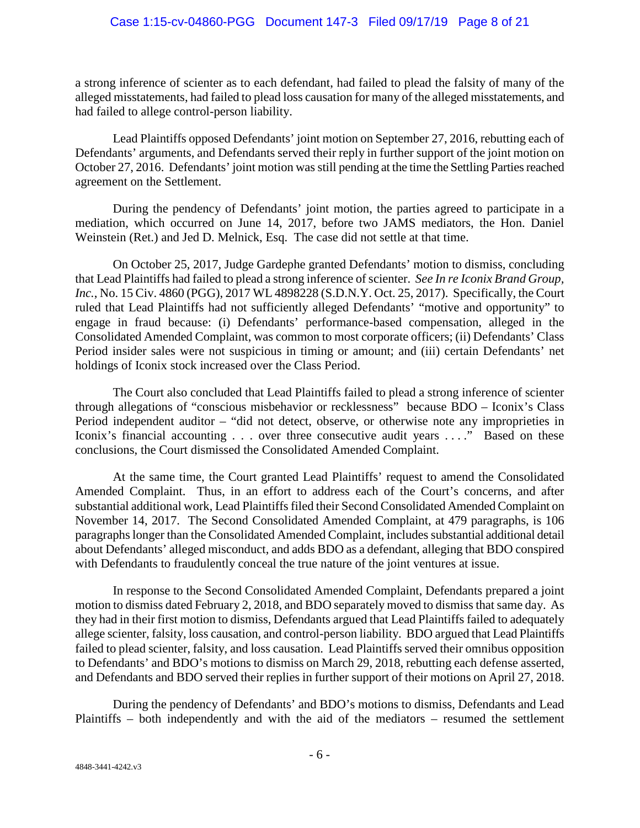a strong inference of scienter as to each defendant, had failed to plead the falsity of many of the alleged misstatements, had failed to plead loss causation for many of the alleged misstatements, and had failed to allege control-person liability.

Lead Plaintiffs opposed Defendants' joint motion on September 27, 2016, rebutting each of Defendants' arguments, and Defendants served their reply in further support of the joint motion on October 27, 2016. Defendants' joint motion was still pending at the time the Settling Parties reached agreement on the Settlement.

During the pendency of Defendants' joint motion, the parties agreed to participate in a mediation, which occurred on June 14, 2017, before two JAMS mediators, the Hon. Daniel Weinstein (Ret.) and Jed D. Melnick, Esq. The case did not settle at that time.

On October 25, 2017, Judge Gardephe granted Defendants' motion to dismiss, concluding that Lead Plaintiffs had failed to plead a strong inference of scienter. *See In re Iconix Brand Group, Inc.*, No. 15 Civ. 4860 (PGG), 2017 WL 4898228 (S.D.N.Y. Oct. 25, 2017). Specifically, the Court ruled that Lead Plaintiffs had not sufficiently alleged Defendants' "motive and opportunity" to engage in fraud because: (i) Defendants' performance-based compensation, alleged in the Consolidated Amended Complaint, was common to most corporate officers; (ii) Defendants' Class Period insider sales were not suspicious in timing or amount; and (iii) certain Defendants' net holdings of Iconix stock increased over the Class Period.

The Court also concluded that Lead Plaintiffs failed to plead a strong inference of scienter through allegations of "conscious misbehavior or recklessness" because BDO – Iconix's Class Period independent auditor – "did not detect, observe, or otherwise note any improprieties in Iconix's financial accounting . . . over three consecutive audit years . . . ." Based on these conclusions, the Court dismissed the Consolidated Amended Complaint.

At the same time, the Court granted Lead Plaintiffs' request to amend the Consolidated Amended Complaint. Thus, in an effort to address each of the Court's concerns, and after substantial additional work, Lead Plaintiffs filed their Second Consolidated Amended Complaint on November 14, 2017. The Second Consolidated Amended Complaint, at 479 paragraphs, is 106 paragraphs longer than the Consolidated Amended Complaint, includes substantial additional detail about Defendants' alleged misconduct, and adds BDO as a defendant, alleging that BDO conspired with Defendants to fraudulently conceal the true nature of the joint ventures at issue.

In response to the Second Consolidated Amended Complaint, Defendants prepared a joint motion to dismiss dated February 2, 2018, and BDO separately moved to dismiss that same day. As they had in their first motion to dismiss, Defendants argued that Lead Plaintiffs failed to adequately allege scienter, falsity, loss causation, and control-person liability. BDO argued that Lead Plaintiffs failed to plead scienter, falsity, and loss causation. Lead Plaintiffs served their omnibus opposition to Defendants' and BDO's motions to dismiss on March 29, 2018, rebutting each defense asserted, and Defendants and BDO served their replies in further support of their motions on April 27, 2018.

During the pendency of Defendants' and BDO's motions to dismiss, Defendants and Lead Plaintiffs – both independently and with the aid of the mediators – resumed the settlement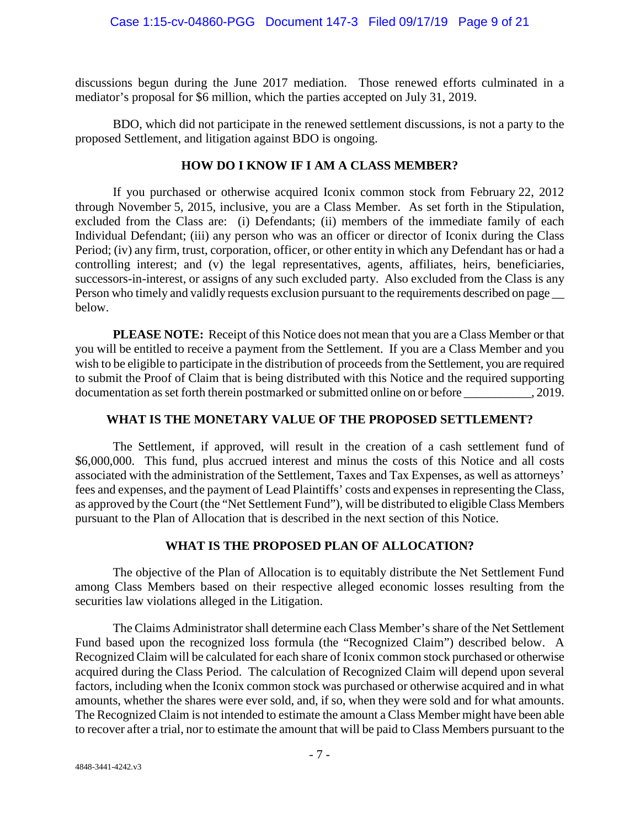discussions begun during the June 2017 mediation. Those renewed efforts culminated in a mediator's proposal for \$6 million, which the parties accepted on July 31, 2019.

BDO, which did not participate in the renewed settlement discussions, is not a party to the proposed Settlement, and litigation against BDO is ongoing.

# **HOW DO I KNOW IF I AM A CLASS MEMBER?**

If you purchased or otherwise acquired Iconix common stock from February 22, 2012 through November 5, 2015, inclusive, you are a Class Member. As set forth in the Stipulation, excluded from the Class are: (i) Defendants; (ii) members of the immediate family of each Individual Defendant; (iii) any person who was an officer or director of Iconix during the Class Period; (iv) any firm, trust, corporation, officer, or other entity in which any Defendant has or had a controlling interest; and (v) the legal representatives, agents, affiliates, heirs, beneficiaries, successors-in-interest, or assigns of any such excluded party. Also excluded from the Class is any Person who timely and validly requests exclusion pursuant to the requirements described on page below.

**PLEASE NOTE:** Receipt of this Notice does not mean that you are a Class Member or that you will be entitled to receive a payment from the Settlement. If you are a Class Member and you wish to be eligible to participate in the distribution of proceeds from the Settlement, you are required to submit the Proof of Claim that is being distributed with this Notice and the required supporting documentation as set forth therein postmarked or submitted online on or before  $\qquad \qquad .2019.$ 

## **WHAT IS THE MONETARY VALUE OF THE PROPOSED SETTLEMENT?**

The Settlement, if approved, will result in the creation of a cash settlement fund of \$6,000,000. This fund, plus accrued interest and minus the costs of this Notice and all costs associated with the administration of the Settlement, Taxes and Tax Expenses, as well as attorneys' fees and expenses, and the payment of Lead Plaintiffs' costs and expenses in representing the Class, as approved by the Court (the "Net Settlement Fund"), will be distributed to eligible Class Members pursuant to the Plan of Allocation that is described in the next section of this Notice.

# **WHAT IS THE PROPOSED PLAN OF ALLOCATION?**

The objective of the Plan of Allocation is to equitably distribute the Net Settlement Fund among Class Members based on their respective alleged economic losses resulting from the securities law violations alleged in the Litigation.

The Claims Administrator shall determine each Class Member's share of the Net Settlement Fund based upon the recognized loss formula (the "Recognized Claim") described below. A Recognized Claim will be calculated for each share of Iconix common stock purchased or otherwise acquired during the Class Period. The calculation of Recognized Claim will depend upon several factors, including when the Iconix common stock was purchased or otherwise acquired and in what amounts, whether the shares were ever sold, and, if so, when they were sold and for what amounts. The Recognized Claim is not intended to estimate the amount a Class Member might have been able to recover after a trial, nor to estimate the amount that will be paid to Class Members pursuant to the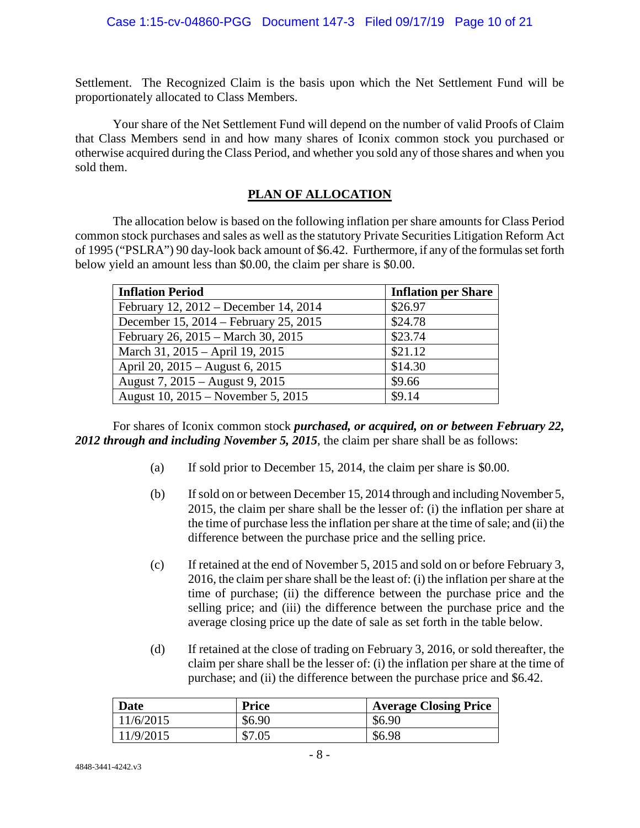Settlement. The Recognized Claim is the basis upon which the Net Settlement Fund will be proportionately allocated to Class Members.

Your share of the Net Settlement Fund will depend on the number of valid Proofs of Claim that Class Members send in and how many shares of Iconix common stock you purchased or otherwise acquired during the Class Period, and whether you sold any of those shares and when you sold them.

# **PLAN OF ALLOCATION**

The allocation below is based on the following inflation per share amounts for Class Period common stock purchases and sales as well as the statutory Private Securities Litigation Reform Act of 1995 ("PSLRA") 90 day-look back amount of \$6.42. Furthermore, if any of the formulas set forth below yield an amount less than \$0.00, the claim per share is \$0.00.

| <b>Inflation Period</b>               | <b>Inflation per Share</b> |
|---------------------------------------|----------------------------|
| February 12, 2012 – December 14, 2014 | \$26.97                    |
| December 15, 2014 – February 25, 2015 | \$24.78                    |
| February 26, 2015 – March 30, 2015    | \$23.74                    |
| March 31, 2015 - April 19, 2015       | \$21.12                    |
| April 20, 2015 – August 6, 2015       | \$14.30                    |
| August 7, 2015 – August 9, 2015       | \$9.66                     |
| August 10, 2015 – November 5, 2015    | \$9.14                     |

For shares of Iconix common stock *purchased, or acquired, on or between February 22, 2012 through and including November 5, 2015*, the claim per share shall be as follows:

- (a) If sold prior to December 15, 2014, the claim per share is \$0.00.
- (b) If sold on or between December 15, 2014 through and including November 5, 2015, the claim per share shall be the lesser of: (i) the inflation per share at the time of purchase less the inflation per share at the time of sale; and (ii) the difference between the purchase price and the selling price.
- (c) If retained at the end of November 5, 2015 and sold on or before February 3, 2016, the claim per share shall be the least of: (i) the inflation per share at the time of purchase; (ii) the difference between the purchase price and the selling price; and (iii) the difference between the purchase price and the average closing price up the date of sale as set forth in the table below.
- (d) If retained at the close of trading on February 3, 2016, or sold thereafter, the claim per share shall be the lesser of: (i) the inflation per share at the time of purchase; and (ii) the difference between the purchase price and \$6.42.

| Date      | <b>Price</b> | <b>Average Closing Price</b> |
|-----------|--------------|------------------------------|
| 11/6/2015 | \$6.90       | \$6.90                       |
| 11/9/2015 | \$7.05       | \$6.98                       |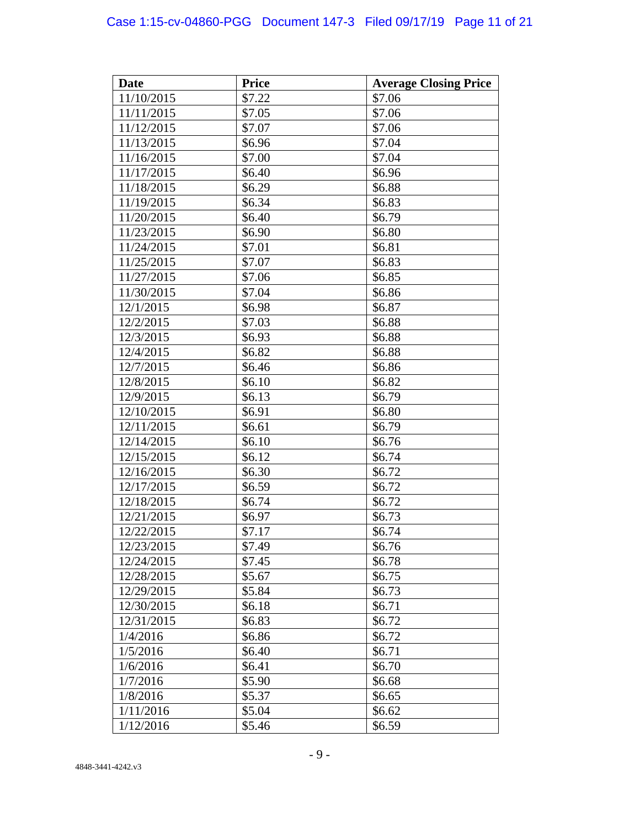# Case 1:15-cv-04860-PGG Document 147-3 Filed 09/17/19 Page 11 of 21

| <b>Date</b> | <b>Price</b> | <b>Average Closing Price</b> |  |
|-------------|--------------|------------------------------|--|
| 11/10/2015  | \$7.22       | \$7.06                       |  |
| 11/11/2015  | \$7.05       | \$7.06                       |  |
| 11/12/2015  | \$7.07       | \$7.06                       |  |
| 11/13/2015  | \$6.96       | \$7.04                       |  |
| 11/16/2015  | \$7.00       | \$7.04                       |  |
| 11/17/2015  | \$6.40       | \$6.96                       |  |
| 11/18/2015  | \$6.29       | \$6.88                       |  |
| 11/19/2015  | \$6.34       | \$6.83                       |  |
| 11/20/2015  | \$6.40       | \$6.79                       |  |
| 11/23/2015  | \$6.90       | \$6.80                       |  |
| 11/24/2015  | \$7.01       | \$6.81                       |  |
| 11/25/2015  | \$7.07       | \$6.83                       |  |
| 11/27/2015  | \$7.06       | \$6.85                       |  |
| 11/30/2015  | \$7.04       | \$6.86                       |  |
| 12/1/2015   | \$6.98       | \$6.87                       |  |
| 12/2/2015   | \$7.03       | \$6.88                       |  |
| 12/3/2015   | \$6.93       | \$6.88                       |  |
| 12/4/2015   | \$6.82       | \$6.88                       |  |
| 12/7/2015   | \$6.46       | \$6.86                       |  |
| 12/8/2015   | \$6.10       | \$6.82                       |  |
| 12/9/2015   | \$6.13       | \$6.79                       |  |
| 12/10/2015  | \$6.91       | \$6.80                       |  |
| 12/11/2015  | \$6.61       | \$6.79                       |  |
| 12/14/2015  | \$6.10       | \$6.76                       |  |
| 12/15/2015  | \$6.12       | \$6.74                       |  |
| 12/16/2015  | \$6.30       | \$6.72                       |  |
| 12/17/2015  | \$6.59       | \$6.72                       |  |
| 12/18/2015  | \$6.74       | \$6.72                       |  |
| 12/21/2015  | \$6.97       | \$6.73                       |  |
| 12/22/2015  | \$7.17       | \$6.74                       |  |
| 12/23/2015  | \$7.49       | \$6.76                       |  |
| 12/24/2015  | \$7.45       | \$6.78                       |  |
| 12/28/2015  | \$5.67       | \$6.75                       |  |
| 12/29/2015  | \$5.84       | \$6.73                       |  |
| 12/30/2015  | \$6.18       | \$6.71                       |  |
| 12/31/2015  | \$6.83       | \$6.72                       |  |
| 1/4/2016    | \$6.86       | \$6.72                       |  |
| 1/5/2016    | \$6.40       | \$6.71                       |  |
| 1/6/2016    | \$6.41       | \$6.70                       |  |
| 1/7/2016    | \$5.90       | \$6.68                       |  |
| 1/8/2016    | \$5.37       | \$6.65                       |  |
| 1/11/2016   | \$5.04       | \$6.62                       |  |
| 1/12/2016   | \$5.46       | \$6.59                       |  |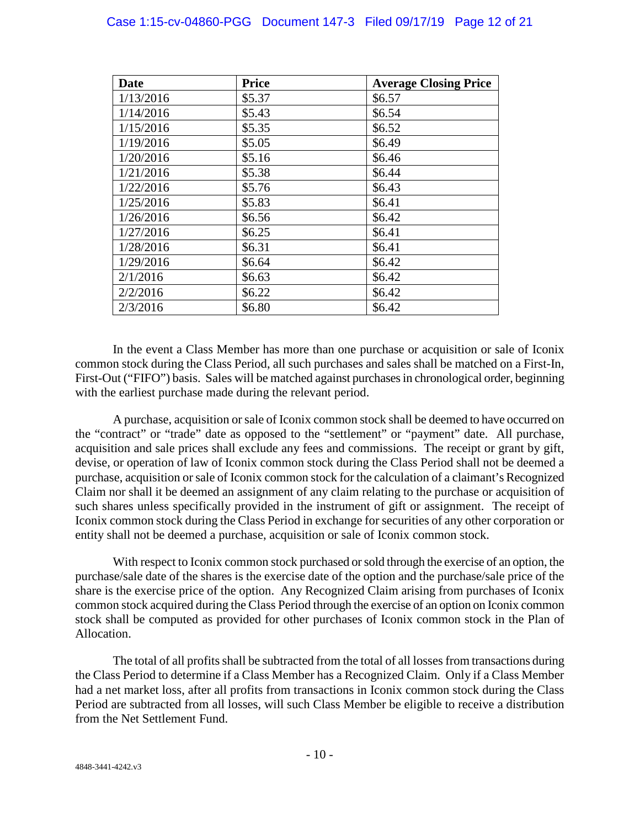# Case 1:15-cv-04860-PGG Document 147-3 Filed 09/17/19 Page 12 of 21

| <b>Date</b> | <b>Price</b> | <b>Average Closing Price</b> |
|-------------|--------------|------------------------------|
| 1/13/2016   | \$5.37       | \$6.57                       |
| 1/14/2016   | \$5.43       | \$6.54                       |
| 1/15/2016   | \$5.35       | \$6.52                       |
| 1/19/2016   | \$5.05       | \$6.49                       |
| 1/20/2016   | \$5.16       | \$6.46                       |
| 1/21/2016   | \$5.38       | \$6.44                       |
| 1/22/2016   | \$5.76       | \$6.43                       |
| 1/25/2016   | \$5.83       | \$6.41                       |
| 1/26/2016   | \$6.56       | \$6.42                       |
| 1/27/2016   | \$6.25       | \$6.41                       |
| 1/28/2016   | \$6.31       | \$6.41                       |
| 1/29/2016   | \$6.64       | \$6.42                       |
| 2/1/2016    | \$6.63       | \$6.42                       |
| 2/2/2016    | \$6.22       | \$6.42                       |
| 2/3/2016    | \$6.80       | \$6.42                       |

In the event a Class Member has more than one purchase or acquisition or sale of Iconix common stock during the Class Period, all such purchases and sales shall be matched on a First-In, First-Out ("FIFO") basis. Sales will be matched against purchases in chronological order, beginning with the earliest purchase made during the relevant period.

A purchase, acquisition or sale of Iconix common stock shall be deemed to have occurred on the "contract" or "trade" date as opposed to the "settlement" or "payment" date. All purchase, acquisition and sale prices shall exclude any fees and commissions. The receipt or grant by gift, devise, or operation of law of Iconix common stock during the Class Period shall not be deemed a purchase, acquisition or sale of Iconix common stock for the calculation of a claimant's Recognized Claim nor shall it be deemed an assignment of any claim relating to the purchase or acquisition of such shares unless specifically provided in the instrument of gift or assignment. The receipt of Iconix common stock during the Class Period in exchange for securities of any other corporation or entity shall not be deemed a purchase, acquisition or sale of Iconix common stock.

With respect to Iconix common stock purchased or sold through the exercise of an option, the purchase/sale date of the shares is the exercise date of the option and the purchase/sale price of the share is the exercise price of the option. Any Recognized Claim arising from purchases of Iconix common stock acquired during the Class Period through the exercise of an option on Iconix common stock shall be computed as provided for other purchases of Iconix common stock in the Plan of Allocation.

The total of all profits shall be subtracted from the total of all losses from transactions during the Class Period to determine if a Class Member has a Recognized Claim. Only if a Class Member had a net market loss, after all profits from transactions in Iconix common stock during the Class Period are subtracted from all losses, will such Class Member be eligible to receive a distribution from the Net Settlement Fund.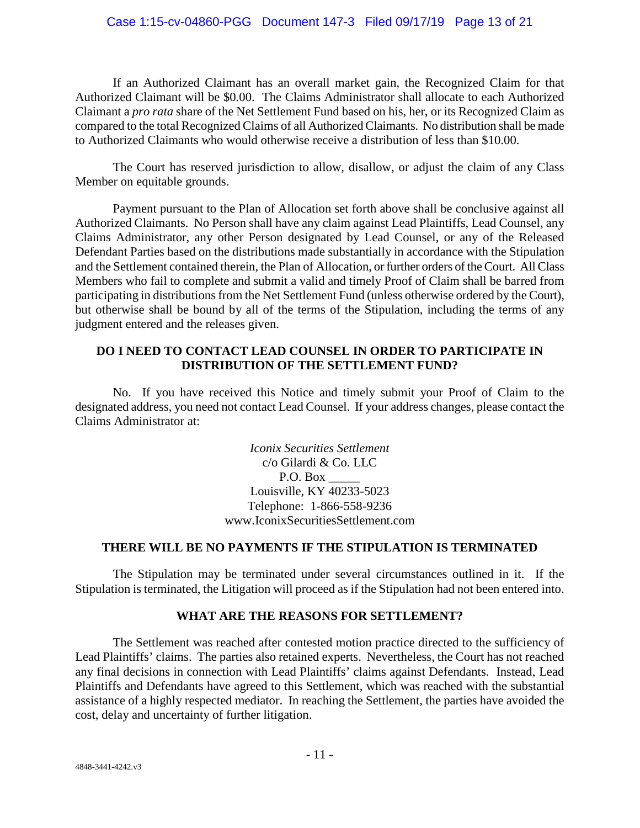# Case 1:15-cv-04860-PGG Document 147-3 Filed 09/17/19 Page 13 of 21

If an Authorized Claimant has an overall market gain, the Recognized Claim for that Authorized Claimant will be \$0.00. The Claims Administrator shall allocate to each Authorized Claimant a *pro rata* share of the Net Settlement Fund based on his, her, or its Recognized Claim as compared to the total Recognized Claims of all Authorized Claimants. No distribution shall be made to Authorized Claimants who would otherwise receive a distribution of less than \$10.00.

The Court has reserved jurisdiction to allow, disallow, or adjust the claim of any Class Member on equitable grounds.

Payment pursuant to the Plan of Allocation set forth above shall be conclusive against all Authorized Claimants. No Person shall have any claim against Lead Plaintiffs, Lead Counsel, any Claims Administrator, any other Person designated by Lead Counsel, or any of the Released Defendant Parties based on the distributions made substantially in accordance with the Stipulation and the Settlement contained therein, the Plan of Allocation, or further orders of the Court. All Class Members who fail to complete and submit a valid and timely Proof of Claim shall be barred from participating in distributions from the Net Settlement Fund (unless otherwise ordered by the Court), but otherwise shall be bound by all of the terms of the Stipulation, including the terms of any judgment entered and the releases given.

# **DO I NEED TO CONTACT LEAD COUNSEL IN ORDER TO PARTICIPATE IN DISTRIBUTION OF THE SETTLEMENT FUND?**

No. If you have received this Notice and timely submit your Proof of Claim to the designated address, you need not contact Lead Counsel. If your address changes, please contact the Claims Administrator at:

> *Iconix Securities Settlement* c/o Gilardi & Co. LLC P.O. Box Louisville, KY 40233-5023 Telephone: 1-866-558-9236 www.IconixSecuritiesSettlement.com

## **THERE WILL BE NO PAYMENTS IF THE STIPULATION IS TERMINATED**

The Stipulation may be terminated under several circumstances outlined in it. If the Stipulation is terminated, the Litigation will proceed as if the Stipulation had not been entered into.

# **WHAT ARE THE REASONS FOR SETTLEMENT?**

The Settlement was reached after contested motion practice directed to the sufficiency of Lead Plaintiffs' claims. The parties also retained experts. Nevertheless, the Court has not reached any final decisions in connection with Lead Plaintiffs' claims against Defendants. Instead, Lead Plaintiffs and Defendants have agreed to this Settlement, which was reached with the substantial assistance of a highly respected mediator. In reaching the Settlement, the parties have avoided the cost, delay and uncertainty of further litigation.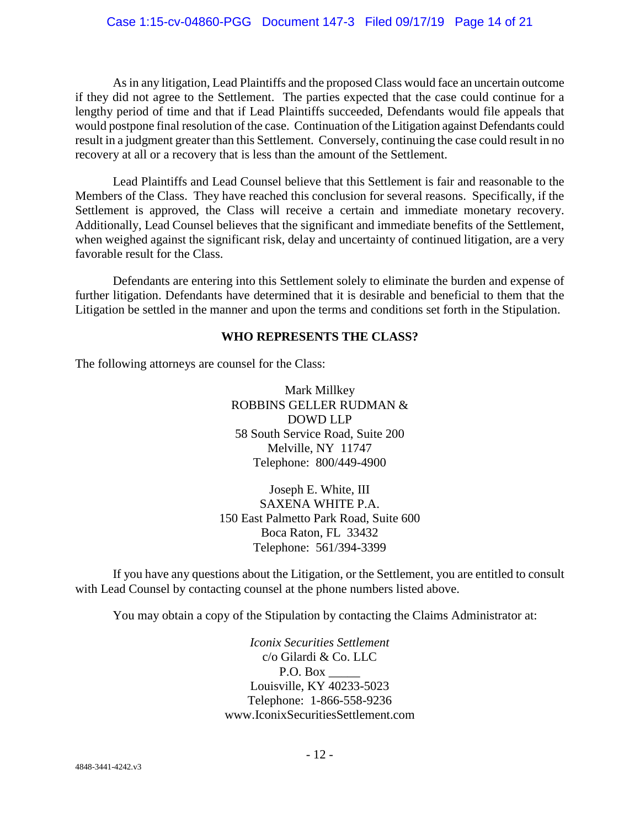As in any litigation, Lead Plaintiffs and the proposed Class would face an uncertain outcome if they did not agree to the Settlement. The parties expected that the case could continue for a lengthy period of time and that if Lead Plaintiffs succeeded, Defendants would file appeals that would postpone final resolution of the case. Continuation of the Litigation against Defendants could result in a judgment greater than this Settlement. Conversely, continuing the case could result in no recovery at all or a recovery that is less than the amount of the Settlement.

Lead Plaintiffs and Lead Counsel believe that this Settlement is fair and reasonable to the Members of the Class. They have reached this conclusion for several reasons. Specifically, if the Settlement is approved, the Class will receive a certain and immediate monetary recovery. Additionally, Lead Counsel believes that the significant and immediate benefits of the Settlement, when weighed against the significant risk, delay and uncertainty of continued litigation, are a very favorable result for the Class.

Defendants are entering into this Settlement solely to eliminate the burden and expense of further litigation. Defendants have determined that it is desirable and beneficial to them that the Litigation be settled in the manner and upon the terms and conditions set forth in the Stipulation.

# **WHO REPRESENTS THE CLASS?**

The following attorneys are counsel for the Class:

Mark Millkey ROBBINS GELLER RUDMAN & DOWD LLP 58 South Service Road, Suite 200 Melville, NY 11747 Telephone: 800/449-4900

Joseph E. White, III SAXENA WHITE P.A. 150 East Palmetto Park Road, Suite 600 Boca Raton, FL 33432 Telephone: 561/394-3399

If you have any questions about the Litigation, or the Settlement, you are entitled to consult with Lead Counsel by contacting counsel at the phone numbers listed above.

You may obtain a copy of the Stipulation by contacting the Claims Administrator at:

*Iconix Securities Settlement* c/o Gilardi & Co. LLC P.O. Box Louisville, KY 40233-5023 Telephone: 1-866-558-9236 www.IconixSecuritiesSettlement.com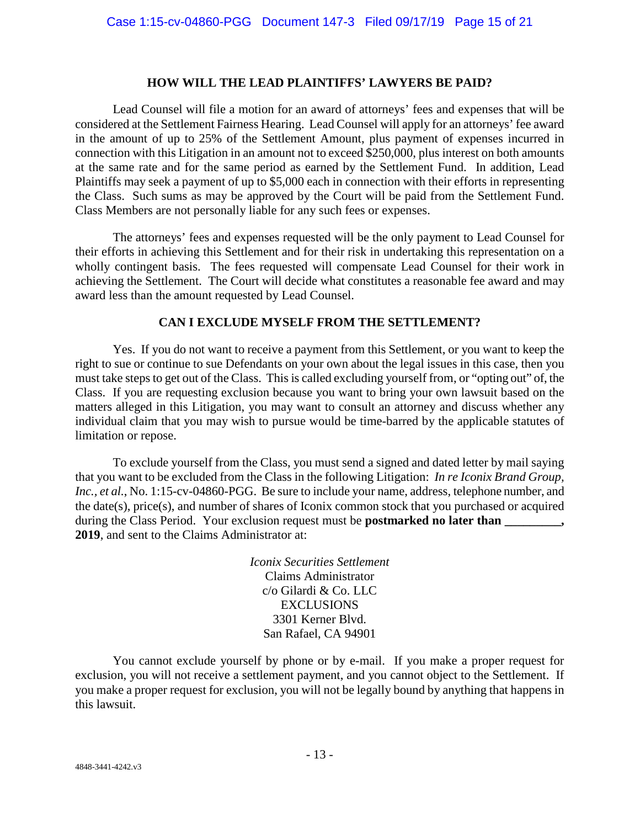#### **HOW WILL THE LEAD PLAINTIFFS' LAWYERS BE PAID?**

Lead Counsel will file a motion for an award of attorneys' fees and expenses that will be considered at the Settlement Fairness Hearing. Lead Counsel will apply for an attorneys' fee award in the amount of up to 25% of the Settlement Amount, plus payment of expenses incurred in connection with this Litigation in an amount not to exceed \$250,000, plus interest on both amounts at the same rate and for the same period as earned by the Settlement Fund. In addition, Lead Plaintiffs may seek a payment of up to \$5,000 each in connection with their efforts in representing the Class. Such sums as may be approved by the Court will be paid from the Settlement Fund. Class Members are not personally liable for any such fees or expenses.

The attorneys' fees and expenses requested will be the only payment to Lead Counsel for their efforts in achieving this Settlement and for their risk in undertaking this representation on a wholly contingent basis. The fees requested will compensate Lead Counsel for their work in achieving the Settlement. The Court will decide what constitutes a reasonable fee award and may award less than the amount requested by Lead Counsel.

# **CAN I EXCLUDE MYSELF FROM THE SETTLEMENT?**

Yes. If you do not want to receive a payment from this Settlement, or you want to keep the right to sue or continue to sue Defendants on your own about the legal issues in this case, then you must take steps to get out of the Class. This is called excluding yourself from, or "opting out" of, the Class. If you are requesting exclusion because you want to bring your own lawsuit based on the matters alleged in this Litigation, you may want to consult an attorney and discuss whether any individual claim that you may wish to pursue would be time-barred by the applicable statutes of limitation or repose.

To exclude yourself from the Class, you must send a signed and dated letter by mail saying that you want to be excluded from the Class in the following Litigation: *In re Iconix Brand Group,*  Inc., et al., No. 1:15-cv-04860-PGG. Be sure to include your name, address, telephone number, and the date(s), price(s), and number of shares of Iconix common stock that you purchased or acquired during the Class Period. Your exclusion request must be **postmarked no later than** \_\_\_\_\_\_\_\_, **2019**, and sent to the Claims Administrator at:

> *Iconix Securities Settlement* Claims Administrator c/o Gilardi & Co. LLC EXCLUSIONS 3301 Kerner Blvd. San Rafael, CA 94901

You cannot exclude yourself by phone or by e-mail. If you make a proper request for exclusion, you will not receive a settlement payment, and you cannot object to the Settlement. If you make a proper request for exclusion, you will not be legally bound by anything that happens in this lawsuit.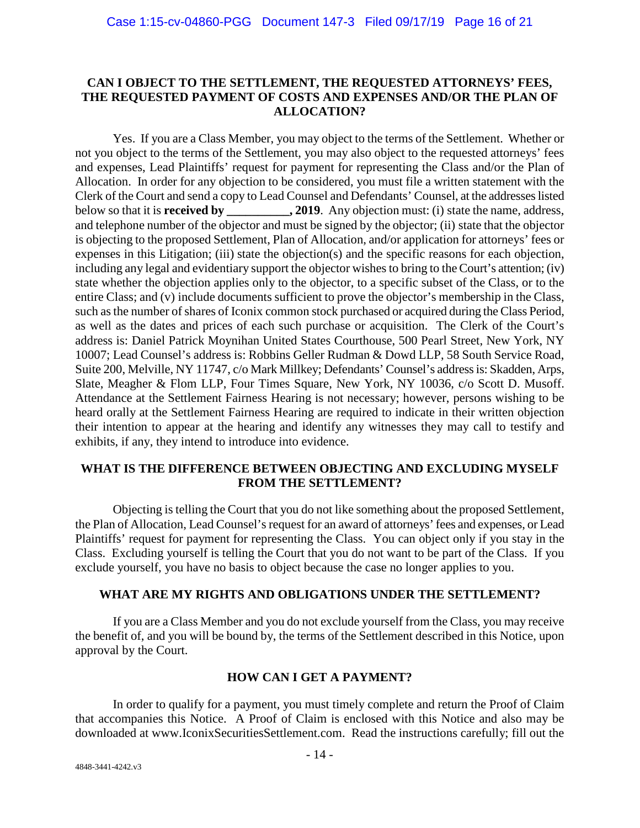# **CAN I OBJECT TO THE SETTLEMENT, THE REQUESTED ATTORNEYS' FEES, THE REQUESTED PAYMENT OF COSTS AND EXPENSES AND/OR THE PLAN OF ALLOCATION?**

Yes. If you are a Class Member, you may object to the terms of the Settlement. Whether or not you object to the terms of the Settlement, you may also object to the requested attorneys' fees and expenses, Lead Plaintiffs' request for payment for representing the Class and/or the Plan of Allocation. In order for any objection to be considered, you must file a written statement with the Clerk of the Court and send a copy to Lead Counsel and Defendants' Counsel, at the addresses listed below so that it is **received by \_\_\_\_\_\_\_\_\_\_, 2019**. Any objection must: (i) state the name, address, and telephone number of the objector and must be signed by the objector; (ii) state that the objector is objecting to the proposed Settlement, Plan of Allocation, and/or application for attorneys' fees or expenses in this Litigation; (iii) state the objection(s) and the specific reasons for each objection, including any legal and evidentiary support the objector wishes to bring to the Court's attention; (iv) state whether the objection applies only to the objector, to a specific subset of the Class, or to the entire Class; and (v) include documents sufficient to prove the objector's membership in the Class, such as the number of shares of Iconix common stock purchased or acquired during the Class Period, as well as the dates and prices of each such purchase or acquisition. The Clerk of the Court's address is: Daniel Patrick Moynihan United States Courthouse, 500 Pearl Street, New York, NY 10007; Lead Counsel's address is: Robbins Geller Rudman & Dowd LLP, 58 South Service Road, Suite 200, Melville, NY 11747, c/o Mark Millkey; Defendants' Counsel's address is: Skadden, Arps, Slate, Meagher & Flom LLP, Four Times Square, New York, NY 10036, c/o Scott D. Musoff. Attendance at the Settlement Fairness Hearing is not necessary; however, persons wishing to be heard orally at the Settlement Fairness Hearing are required to indicate in their written objection their intention to appear at the hearing and identify any witnesses they may call to testify and exhibits, if any, they intend to introduce into evidence.

# **WHAT IS THE DIFFERENCE BETWEEN OBJECTING AND EXCLUDING MYSELF FROM THE SETTLEMENT?**

Objecting is telling the Court that you do not like something about the proposed Settlement, the Plan of Allocation, Lead Counsel's request for an award of attorneys' fees and expenses, or Lead Plaintiffs' request for payment for representing the Class. You can object only if you stay in the Class. Excluding yourself is telling the Court that you do not want to be part of the Class. If you exclude yourself, you have no basis to object because the case no longer applies to you.

# **WHAT ARE MY RIGHTS AND OBLIGATIONS UNDER THE SETTLEMENT?**

If you are a Class Member and you do not exclude yourself from the Class, you may receive the benefit of, and you will be bound by, the terms of the Settlement described in this Notice, upon approval by the Court.

# **HOW CAN I GET A PAYMENT?**

In order to qualify for a payment, you must timely complete and return the Proof of Claim that accompanies this Notice. A Proof of Claim is enclosed with this Notice and also may be downloaded at www.IconixSecuritiesSettlement.com. Read the instructions carefully; fill out the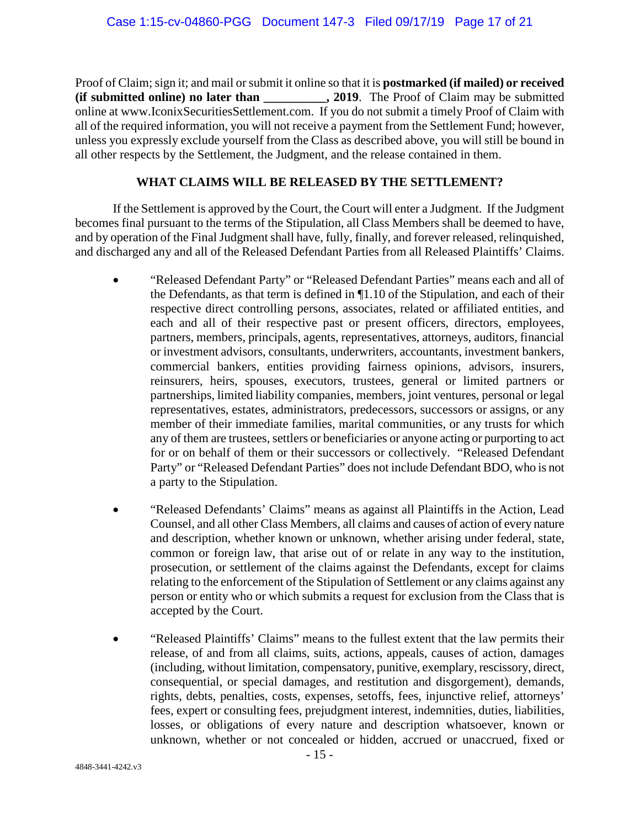Proof of Claim; sign it; and mail or submit it online so that it is **postmarked (if mailed) or received (if submitted online) no later than \_\_\_\_\_\_\_\_\_\_, 2019**. The Proof of Claim may be submitted online at www.IconixSecuritiesSettlement.com. If you do not submit a timely Proof of Claim with all of the required information, you will not receive a payment from the Settlement Fund; however, unless you expressly exclude yourself from the Class as described above, you will still be bound in all other respects by the Settlement, the Judgment, and the release contained in them.

# **WHAT CLAIMS WILL BE RELEASED BY THE SETTLEMENT?**

If the Settlement is approved by the Court, the Court will enter a Judgment. If the Judgment becomes final pursuant to the terms of the Stipulation, all Class Members shall be deemed to have, and by operation of the Final Judgment shall have, fully, finally, and forever released, relinquished, and discharged any and all of the Released Defendant Parties from all Released Plaintiffs' Claims.

- "Released Defendant Party" or "Released Defendant Parties" means each and all of the Defendants, as that term is defined in ¶1.10 of the Stipulation, and each of their respective direct controlling persons, associates, related or affiliated entities, and each and all of their respective past or present officers, directors, employees, partners, members, principals, agents, representatives, attorneys, auditors, financial or investment advisors, consultants, underwriters, accountants, investment bankers, commercial bankers, entities providing fairness opinions, advisors, insurers, reinsurers, heirs, spouses, executors, trustees, general or limited partners or partnerships, limited liability companies, members, joint ventures, personal or legal representatives, estates, administrators, predecessors, successors or assigns, or any member of their immediate families, marital communities, or any trusts for which any of them are trustees, settlers or beneficiaries or anyone acting or purporting to act for or on behalf of them or their successors or collectively. "Released Defendant Party" or "Released Defendant Parties" does not include Defendant BDO, who is not a party to the Stipulation.
- "Released Defendants' Claims" means as against all Plaintiffs in the Action, Lead Counsel, and all other Class Members, all claims and causes of action of every nature and description, whether known or unknown, whether arising under federal, state, common or foreign law, that arise out of or relate in any way to the institution, prosecution, or settlement of the claims against the Defendants, except for claims relating to the enforcement of the Stipulation of Settlement or any claims against any person or entity who or which submits a request for exclusion from the Class that is accepted by the Court.
- "Released Plaintiffs' Claims" means to the fullest extent that the law permits their release, of and from all claims, suits, actions, appeals, causes of action, damages (including, without limitation, compensatory, punitive, exemplary, rescissory, direct, consequential, or special damages, and restitution and disgorgement), demands, rights, debts, penalties, costs, expenses, setoffs, fees, injunctive relief, attorneys' fees, expert or consulting fees, prejudgment interest, indemnities, duties, liabilities, losses, or obligations of every nature and description whatsoever, known or unknown, whether or not concealed or hidden, accrued or unaccrued, fixed or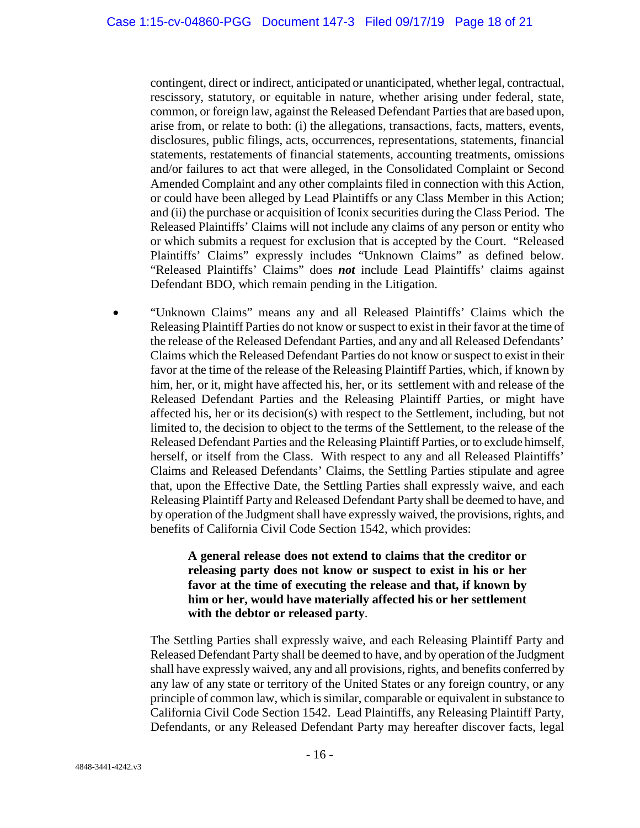contingent, direct or indirect, anticipated or unanticipated, whether legal, contractual, rescissory, statutory, or equitable in nature, whether arising under federal, state, common, or foreign law, against the Released Defendant Parties that are based upon, arise from, or relate to both: (i) the allegations, transactions, facts, matters, events, disclosures, public filings, acts, occurrences, representations, statements, financial statements, restatements of financial statements, accounting treatments, omissions and/or failures to act that were alleged, in the Consolidated Complaint or Second Amended Complaint and any other complaints filed in connection with this Action, or could have been alleged by Lead Plaintiffs or any Class Member in this Action; and (ii) the purchase or acquisition of Iconix securities during the Class Period. The Released Plaintiffs' Claims will not include any claims of any person or entity who or which submits a request for exclusion that is accepted by the Court. "Released Plaintiffs' Claims" expressly includes "Unknown Claims" as defined below. "Released Plaintiffs' Claims" does *not* include Lead Plaintiffs' claims against Defendant BDO, which remain pending in the Litigation.

• "Unknown Claims" means any and all Released Plaintiffs' Claims which the Releasing Plaintiff Parties do not know or suspect to exist in their favor at the time of the release of the Released Defendant Parties, and any and all Released Defendants' Claims which the Released Defendant Parties do not know or suspect to exist in their favor at the time of the release of the Releasing Plaintiff Parties, which, if known by him, her, or it, might have affected his, her, or its settlement with and release of the Released Defendant Parties and the Releasing Plaintiff Parties, or might have affected his, her or its decision(s) with respect to the Settlement, including, but not limited to, the decision to object to the terms of the Settlement, to the release of the Released Defendant Parties and the Releasing Plaintiff Parties, or to exclude himself, herself, or itself from the Class. With respect to any and all Released Plaintiffs' Claims and Released Defendants' Claims, the Settling Parties stipulate and agree that, upon the Effective Date, the Settling Parties shall expressly waive, and each Releasing Plaintiff Party and Released Defendant Party shall be deemed to have, and by operation of the Judgment shall have expressly waived, the provisions, rights, and benefits of California Civil Code Section 1542, which provides:

# **A general release does not extend to claims that the creditor or releasing party does not know or suspect to exist in his or her favor at the time of executing the release and that, if known by him or her, would have materially affected his or her settlement with the debtor or released party**.

The Settling Parties shall expressly waive, and each Releasing Plaintiff Party and Released Defendant Party shall be deemed to have, and by operation of the Judgment shall have expressly waived, any and all provisions, rights, and benefits conferred by any law of any state or territory of the United States or any foreign country, or any principle of common law, which is similar, comparable or equivalent in substance to California Civil Code Section 1542. Lead Plaintiffs, any Releasing Plaintiff Party, Defendants, or any Released Defendant Party may hereafter discover facts, legal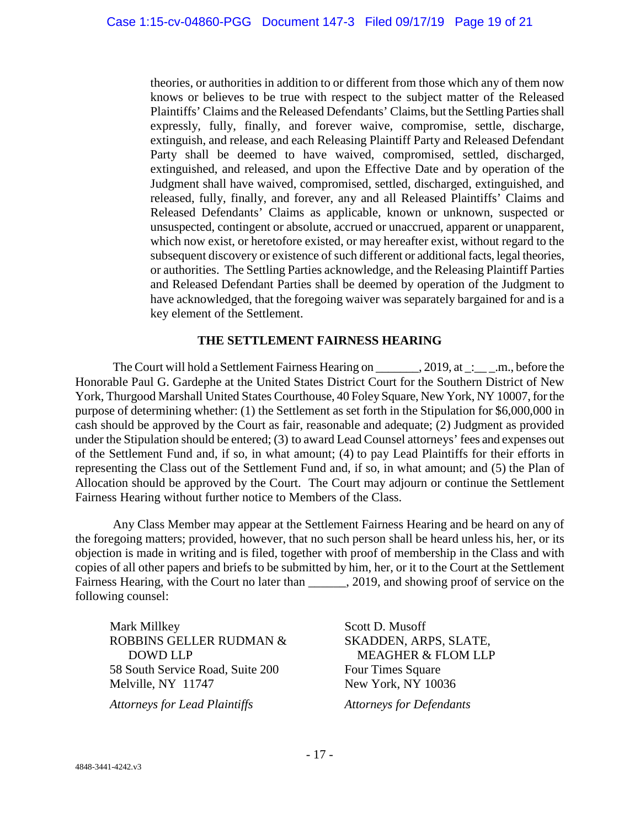theories, or authorities in addition to or different from those which any of them now knows or believes to be true with respect to the subject matter of the Released Plaintiffs' Claims and the Released Defendants' Claims, but the Settling Parties shall expressly, fully, finally, and forever waive, compromise, settle, discharge, extinguish, and release, and each Releasing Plaintiff Party and Released Defendant Party shall be deemed to have waived, compromised, settled, discharged, extinguished, and released, and upon the Effective Date and by operation of the Judgment shall have waived, compromised, settled, discharged, extinguished, and released, fully, finally, and forever, any and all Released Plaintiffs' Claims and Released Defendants' Claims as applicable, known or unknown, suspected or unsuspected, contingent or absolute, accrued or unaccrued, apparent or unapparent, which now exist, or heretofore existed, or may hereafter exist, without regard to the subsequent discovery or existence of such different or additional facts, legal theories, or authorities. The Settling Parties acknowledge, and the Releasing Plaintiff Parties and Released Defendant Parties shall be deemed by operation of the Judgment to have acknowledged, that the foregoing waiver was separately bargained for and is a key element of the Settlement.

#### **THE SETTLEMENT FAIRNESS HEARING**

The Court will hold a Settlement Fairness Hearing on \_\_\_\_\_\_\_, 2019, at \_: \_\_\_\_, m., before the Honorable Paul G. Gardephe at the United States District Court for the Southern District of New York, Thurgood Marshall United States Courthouse, 40 Foley Square, New York, NY 10007, for the purpose of determining whether: (1) the Settlement as set forth in the Stipulation for \$6,000,000 in cash should be approved by the Court as fair, reasonable and adequate; (2) Judgment as provided under the Stipulation should be entered; (3) to award Lead Counsel attorneys' fees and expenses out of the Settlement Fund and, if so, in what amount; (4) to pay Lead Plaintiffs for their efforts in representing the Class out of the Settlement Fund and, if so, in what amount; and (5) the Plan of Allocation should be approved by the Court. The Court may adjourn or continue the Settlement Fairness Hearing without further notice to Members of the Class.

Any Class Member may appear at the Settlement Fairness Hearing and be heard on any of the foregoing matters; provided, however, that no such person shall be heard unless his, her, or its objection is made in writing and is filed, together with proof of membership in the Class and with copies of all other papers and briefs to be submitted by him, her, or it to the Court at the Settlement Fairness Hearing, with the Court no later than . 2019, and showing proof of service on the following counsel:

Mark Millkey ROBBINS GELLER RUDMAN & DOWD LLP 58 South Service Road, Suite 200 Melville, NY 11747

Scott D. Musoff SKADDEN, ARPS, SLATE, MEAGHER & FLOM LLP Four Times Square New York, NY 10036 *Attorneys for Lead Plaintiffs Attorneys for Defendants*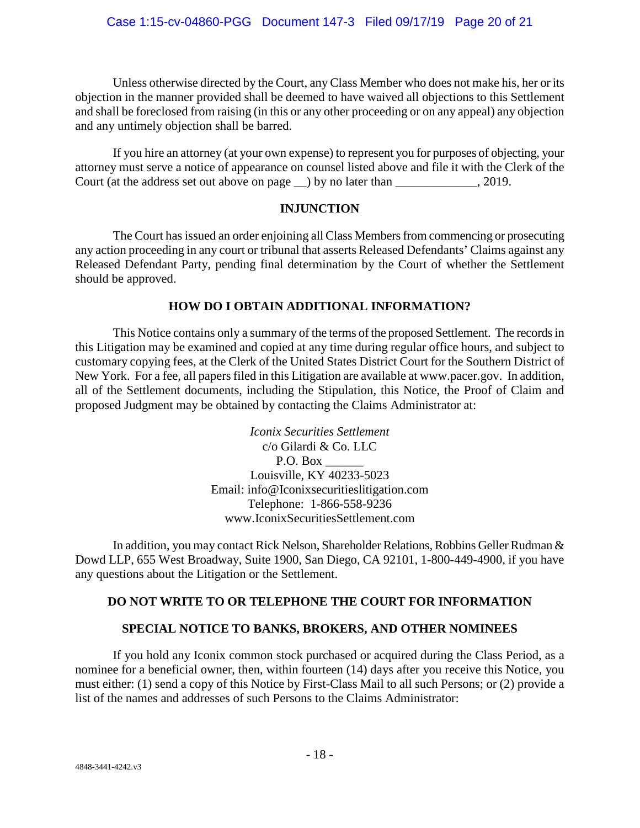Unless otherwise directed by the Court, any Class Member who does not make his, her or its objection in the manner provided shall be deemed to have waived all objections to this Settlement and shall be foreclosed from raising (in this or any other proceeding or on any appeal) any objection and any untimely objection shall be barred.

If you hire an attorney (at your own expense) to represent you for purposes of objecting, your attorney must serve a notice of appearance on counsel listed above and file it with the Clerk of the Court (at the address set out above on page \_\_) by no later than \_\_\_\_\_\_\_\_\_\_\_\_\_, 2019.

# **INJUNCTION**

The Court has issued an order enjoining all Class Members from commencing or prosecuting any action proceeding in any court or tribunal that asserts Released Defendants' Claims against any Released Defendant Party, pending final determination by the Court of whether the Settlement should be approved.

# **HOW DO I OBTAIN ADDITIONAL INFORMATION?**

This Notice contains only a summary of the terms of the proposed Settlement. The records in this Litigation may be examined and copied at any time during regular office hours, and subject to customary copying fees, at the Clerk of the United States District Court for the Southern District of New York. For a fee, all papers filed in this Litigation are available at www.pacer.gov. In addition, all of the Settlement documents, including the Stipulation, this Notice, the Proof of Claim and proposed Judgment may be obtained by contacting the Claims Administrator at:

> *Iconix Securities Settlement* c/o Gilardi & Co. LLC P.O. Box Louisville, KY 40233-5023 Email: info@Iconixsecuritieslitigation.com Telephone: 1-866-558-9236 www.IconixSecuritiesSettlement.com

In addition, you may contact Rick Nelson, Shareholder Relations, Robbins Geller Rudman & Dowd LLP, 655 West Broadway, Suite 1900, San Diego, CA 92101, 1-800-449-4900, if you have any questions about the Litigation or the Settlement.

# **DO NOT WRITE TO OR TELEPHONE THE COURT FOR INFORMATION**

# **SPECIAL NOTICE TO BANKS, BROKERS, AND OTHER NOMINEES**

If you hold any Iconix common stock purchased or acquired during the Class Period, as a nominee for a beneficial owner, then, within fourteen (14) days after you receive this Notice, you must either: (1) send a copy of this Notice by First-Class Mail to all such Persons; or (2) provide a list of the names and addresses of such Persons to the Claims Administrator: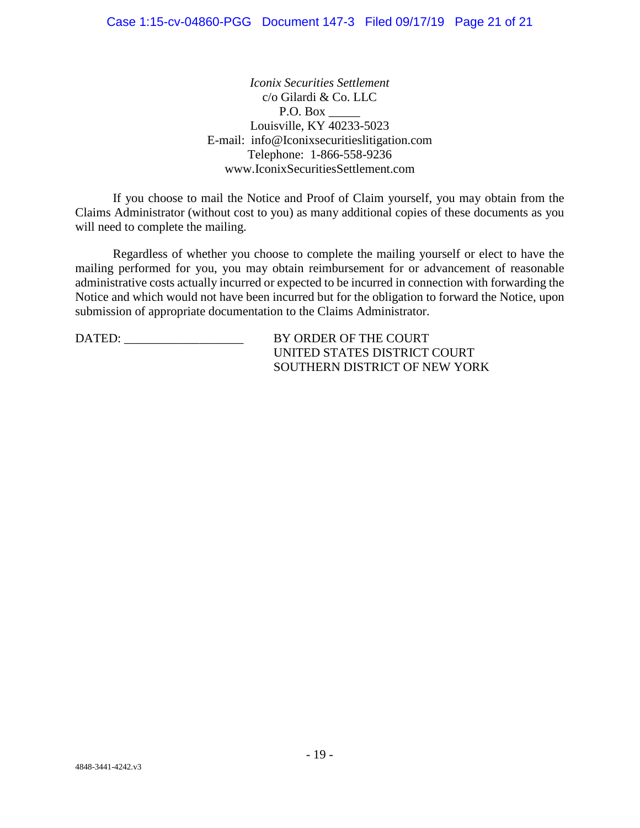*Iconix Securities Settlement* c/o Gilardi & Co. LLC P.O. Box \_\_\_\_\_ Louisville, KY 40233-5023 E-mail: info@Iconixsecuritieslitigation.com Telephone: 1-866-558-9236 www.IconixSecuritiesSettlement.com

If you choose to mail the Notice and Proof of Claim yourself, you may obtain from the Claims Administrator (without cost to you) as many additional copies of these documents as you will need to complete the mailing.

Regardless of whether you choose to complete the mailing yourself or elect to have the mailing performed for you, you may obtain reimbursement for or advancement of reasonable administrative costs actually incurred or expected to be incurred in connection with forwarding the Notice and which would not have been incurred but for the obligation to forward the Notice, upon submission of appropriate documentation to the Claims Administrator.

DATED: BY ORDER OF THE COURT UNITED STATES DISTRICT COURT SOUTHERN DISTRICT OF NEW YORK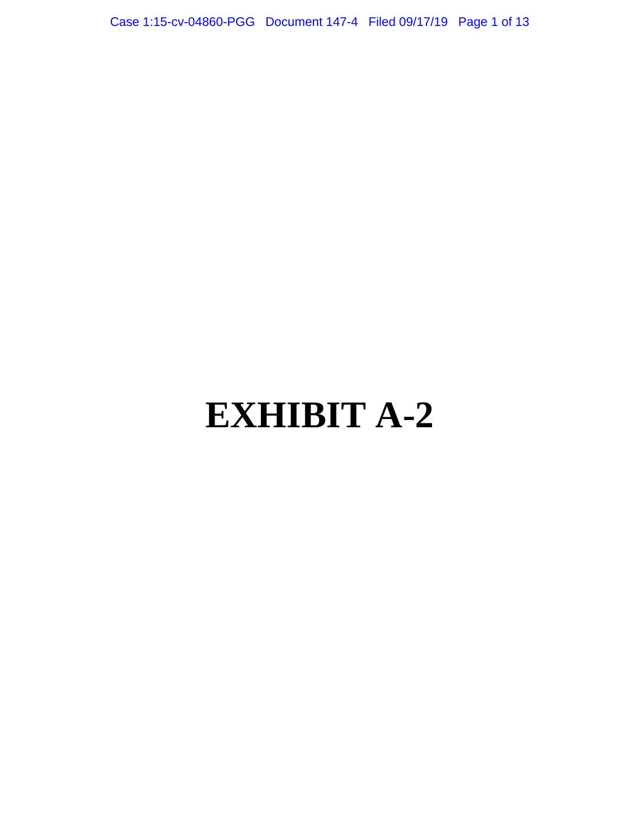Case 1:15-cv-04860-PGG Document 147-4 Filed 09/17/19 Page 1 of 13

# **EXHIBIT A-2**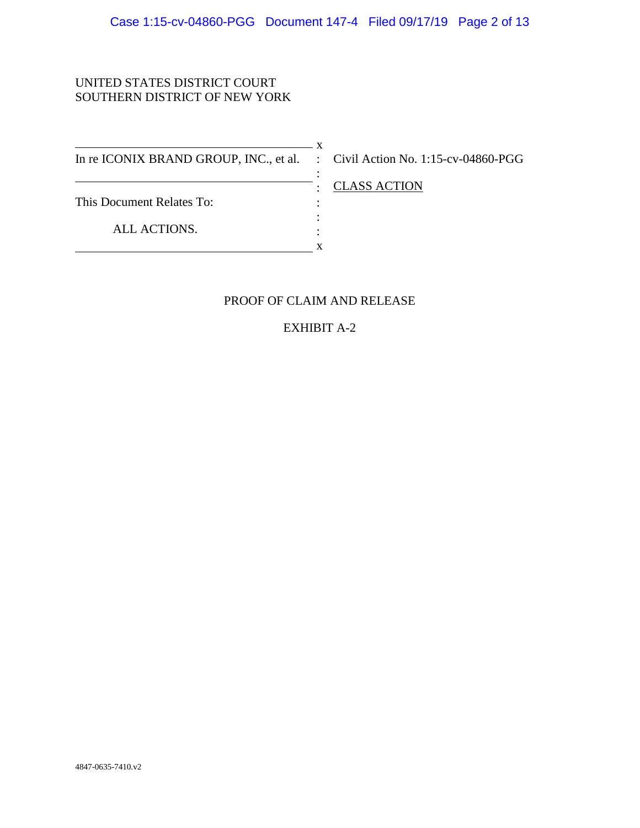# UNITED STATES DISTRICT COURT SOUTHERN DISTRICT OF NEW YORK

 $\overline{\phantom{1}}$  x In re ICONIX BRAND GROUP, INC., et al. : Civil Action No. 1:15-cv-04860-PGG This Document Relates To: ALL ACTIONS. :  $\cdot$  : : : **x** 

: CLASS ACTION

# PROOF OF CLAIM AND RELEASE

EXHIBIT A-2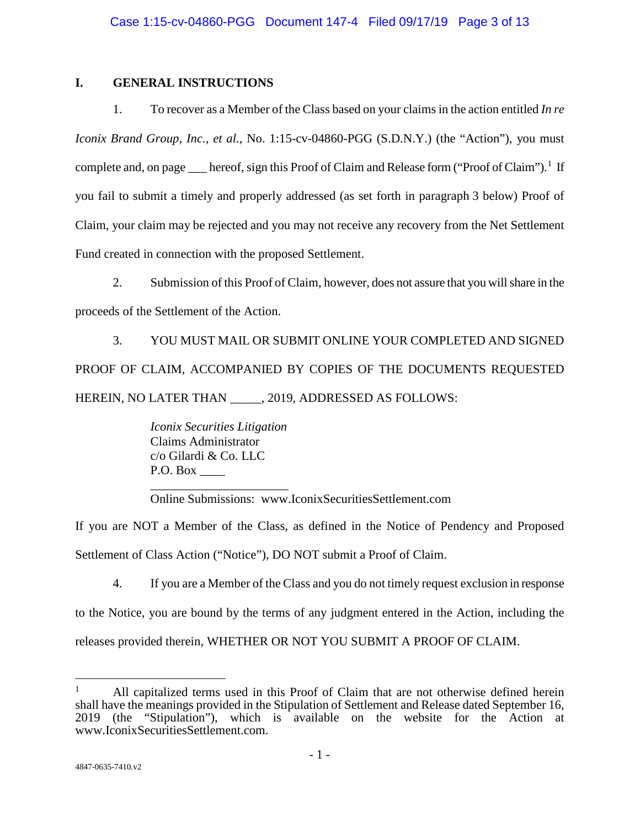# **I. GENERAL INSTRUCTIONS**

1. To recover as a Member of the Class based on your claims in the action entitled *In re Iconix Brand Group, Inc., et al., No.* 1:15-cv-04860-PGG (S.D.N.Y.) (the "Action"), you must complete and, on page \_\_\_ hereof, sign this Proof of Claim and Release form ("Proof of Claim").<sup>[1](#page-87-0)</sup> If you fail to submit a timely and properly addressed (as set forth in paragraph 3 below) Proof of Claim, your claim may be rejected and you may not receive any recovery from the Net Settlement Fund created in connection with the proposed Settlement.

2. Submission of this Proof of Claim, however, does not assure that you will share in the proceeds of the Settlement of the Action.

3. YOU MUST MAIL OR SUBMIT ONLINE YOUR COMPLETED AND SIGNED PROOF OF CLAIM, ACCOMPANIED BY COPIES OF THE DOCUMENTS REQUESTED HEREIN, NO LATER THAN . 2019, ADDRESSED AS FOLLOWS:

> *Iconix Securities Litigation* Claims Administrator c/o Gilardi & Co. LLC P.O. Box

\_\_\_\_\_\_\_\_\_\_\_\_\_\_\_\_\_\_\_\_\_\_ Online Submissions: www.IconixSecuritiesSettlement.com

If you are NOT a Member of the Class, as defined in the Notice of Pendency and Proposed Settlement of Class Action ("Notice"), DO NOT submit a Proof of Claim.

4. If you are a Member of the Class and you do not timely request exclusion in response to the Notice, you are bound by the terms of any judgment entered in the Action, including the

releases provided therein, WHETHER OR NOT YOU SUBMIT A PROOF OF CLAIM.

 $\overline{a}$ 

<span id="page-87-0"></span><sup>&</sup>lt;sup>1</sup> All capitalized terms used in this Proof of Claim that are not otherwise defined herein shall have the meanings provided in the Stipulation of Settlement and Release dated September 16, 2019 (the "Stipulation"), which is available on the website for the Action at www.IconixSecuritiesSettlement.com.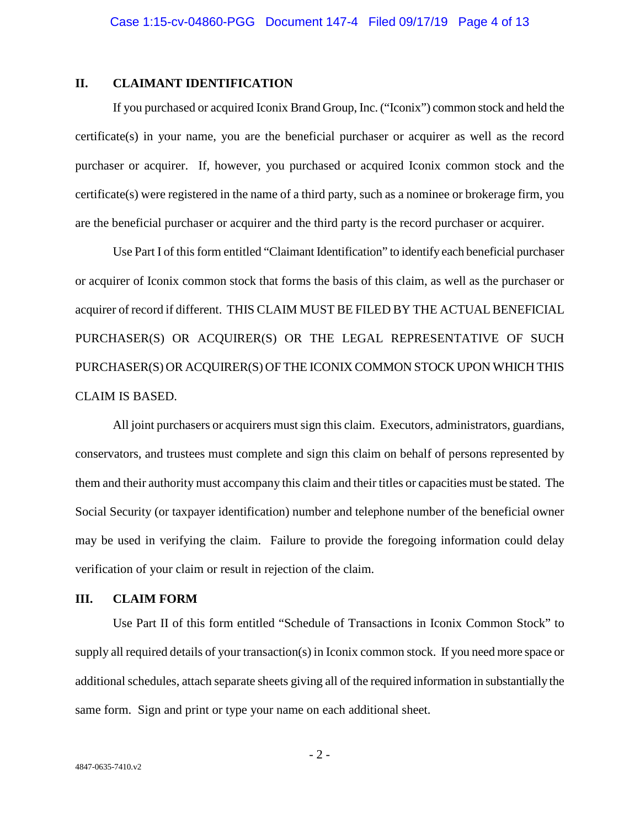## **II. CLAIMANT IDENTIFICATION**

If you purchased or acquired Iconix Brand Group, Inc. ("Iconix") common stock and held the certificate(s) in your name, you are the beneficial purchaser or acquirer as well as the record purchaser or acquirer. If, however, you purchased or acquired Iconix common stock and the certificate(s) were registered in the name of a third party, such as a nominee or brokerage firm, you are the beneficial purchaser or acquirer and the third party is the record purchaser or acquirer.

Use Part I of this form entitled "Claimant Identification" to identify each beneficial purchaser or acquirer of Iconix common stock that forms the basis of this claim, as well as the purchaser or acquirer of record if different. THIS CLAIM MUST BE FILED BY THE ACTUAL BENEFICIAL PURCHASER(S) OR ACQUIRER(S) OR THE LEGAL REPRESENTATIVE OF SUCH PURCHASER(S) OR ACQUIRER(S) OF THE ICONIX COMMON STOCK UPON WHICH THIS CLAIM IS BASED.

All joint purchasers or acquirers must sign this claim. Executors, administrators, guardians, conservators, and trustees must complete and sign this claim on behalf of persons represented by them and their authority must accompany this claim and their titles or capacities must be stated. The Social Security (or taxpayer identification) number and telephone number of the beneficial owner may be used in verifying the claim. Failure to provide the foregoing information could delay verification of your claim or result in rejection of the claim.

#### **III. CLAIM FORM**

Use Part II of this form entitled "Schedule of Transactions in Iconix Common Stock" to supply all required details of your transaction(s) in Iconix common stock. If you need more space or additional schedules, attach separate sheets giving all of the required information in substantially the same form. Sign and print or type your name on each additional sheet.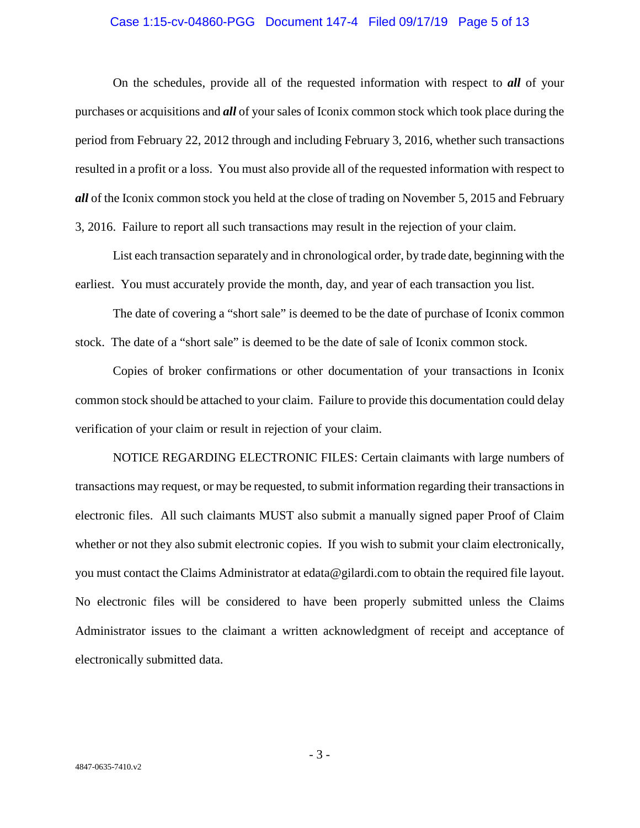#### Case 1:15-cv-04860-PGG Document 147-4 Filed 09/17/19 Page 5 of 13

On the schedules, provide all of the requested information with respect to *all* of your purchases or acquisitions and *all* of your sales of Iconix common stock which took place during the period from February 22, 2012 through and including February 3, 2016, whether such transactions resulted in a profit or a loss. You must also provide all of the requested information with respect to *all* of the Iconix common stock you held at the close of trading on November 5, 2015 and February 3, 2016. Failure to report all such transactions may result in the rejection of your claim.

List each transaction separately and in chronological order, by trade date, beginning with the earliest. You must accurately provide the month, day, and year of each transaction you list.

The date of covering a "short sale" is deemed to be the date of purchase of Iconix common stock. The date of a "short sale" is deemed to be the date of sale of Iconix common stock.

Copies of broker confirmations or other documentation of your transactions in Iconix common stock should be attached to your claim. Failure to provide this documentation could delay verification of your claim or result in rejection of your claim.

NOTICE REGARDING ELECTRONIC FILES: Certain claimants with large numbers of transactions may request, or may be requested, to submit information regarding their transactions in electronic files. All such claimants MUST also submit a manually signed paper Proof of Claim whether or not they also submit electronic copies. If you wish to submit your claim electronically, you must contact the Claims Administrator at edata@gilardi.com to obtain the required file layout. No electronic files will be considered to have been properly submitted unless the Claims Administrator issues to the claimant a written acknowledgment of receipt and acceptance of electronically submitted data.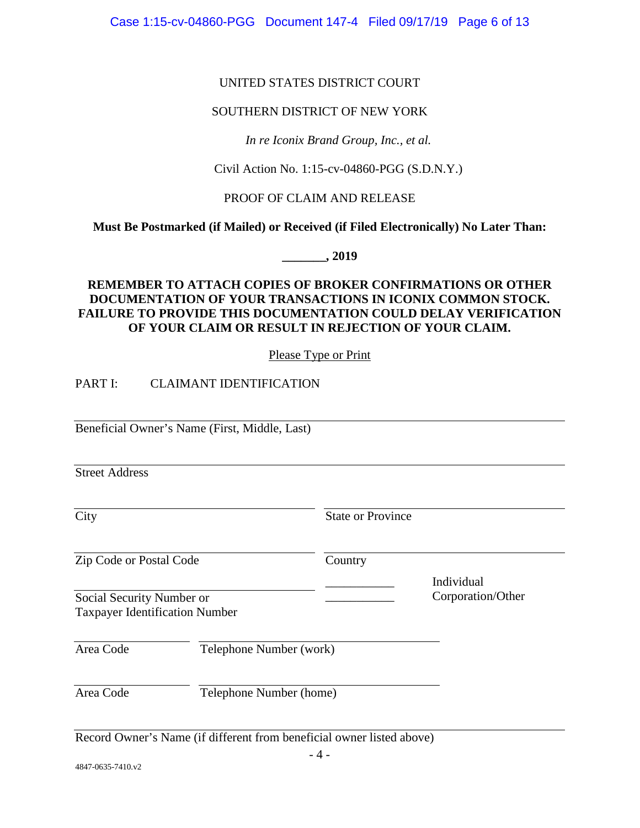Case 1:15-cv-04860-PGG Document 147-4 Filed 09/17/19 Page 6 of 13

# UNITED STATES DISTRICT COURT

# SOUTHERN DISTRICT OF NEW YORK

*In re Iconix Brand Group, Inc., et al.*

Civil Action No. 1:15-cv-04860-PGG (S.D.N.Y.)

# PROOF OF CLAIM AND RELEASE

**Must Be Postmarked (if Mailed) or Received (if Filed Electronically) No Later Than:**

**\_\_\_\_\_\_\_, 2019** 

# **REMEMBER TO ATTACH COPIES OF BROKER CONFIRMATIONS OR OTHER DOCUMENTATION OF YOUR TRANSACTIONS IN ICONIX COMMON STOCK. FAILURE TO PROVIDE THIS DOCUMENTATION COULD DELAY VERIFICATION OF YOUR CLAIM OR RESULT IN REJECTION OF YOUR CLAIM.**

Please Type or Print

PART I: CLAIMANT IDENTIFICATION

Beneficial Owner's Name (First, Middle, Last)

Street Address

City State or Province

\_\_\_\_\_\_\_\_\_\_\_ Individual

\_\_\_\_\_\_\_\_\_\_\_ Corporation/Other

Zip Code or Postal Code Country

Social Security Number or Taxpayer Identification Number

Area Code Telephone Number (work)

Area Code Telephone Number (home)

Record Owner's Name (if different from beneficial owner listed above)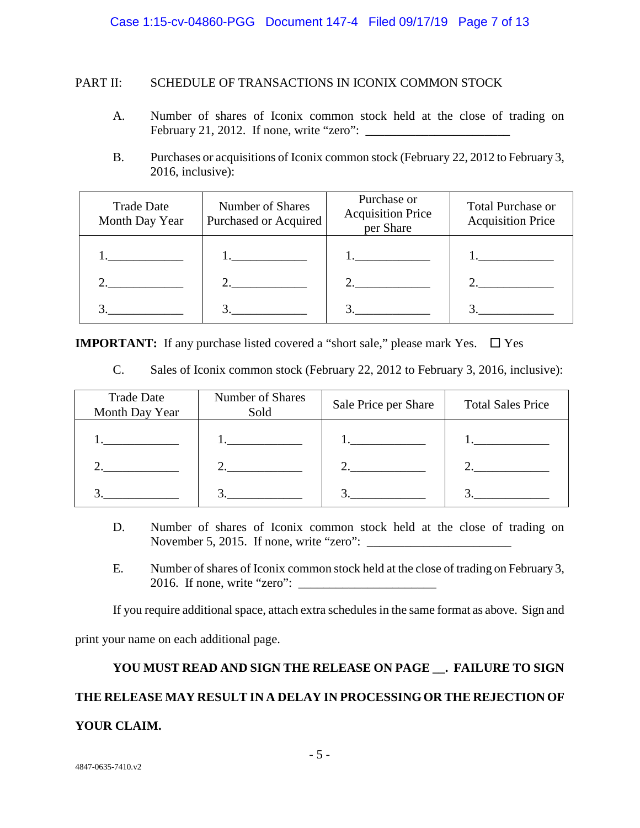# PART II: SCHEDULE OF TRANSACTIONS IN ICONIX COMMON STOCK

- A. Number of shares of Iconix common stock held at the close of trading on February 21, 2012. If none, write "zero":  $\blacksquare$
- B. Purchases or acquisitions of Iconix common stock (February 22, 2012 to February 3, 2016, inclusive):

| <b>Trade Date</b><br>Month Day Year             | Number of Shares<br>Purchased or Acquired | Purchase or<br><b>Acquisition Price</b><br>per Share | <b>Total Purchase or</b><br><b>Acquisition Price</b>     |
|-------------------------------------------------|-------------------------------------------|------------------------------------------------------|----------------------------------------------------------|
| <u> 1989 - Johann Stein, fransk politiker (</u> | 1. __________                             | l. <u>_______</u>                                    | $\cdots$ . The contract of $\cdots$ is a set of $\cdots$ |
| 2. $\qquad \qquad$                              | 2. $\qquad \qquad$                        |                                                      | 2. ___________                                           |
|                                                 | $\frac{3}{2}$ $\frac{1}{2}$               |                                                      |                                                          |

**IMPORTANT:** If any purchase listed covered a "short sale," please mark Yes.  $\Box$  Yes

C. Sales of Iconix common stock (February 22, 2012 to February 3, 2016, inclusive):

| <b>Trade Date</b><br>Month Day Year                                  | Number of Shares<br>Sold | Sale Price per Share                         | <b>Total Sales Price</b> |
|----------------------------------------------------------------------|--------------------------|----------------------------------------------|--------------------------|
| $\bullet$ . The contract of the contract of $\overline{\phantom{a}}$ |                          |                                              |                          |
|                                                                      |                          | 2. $\qquad \qquad \overline{\qquad \qquad }$ |                          |
|                                                                      |                          |                                              |                          |

- D. Number of shares of Iconix common stock held at the close of trading on November 5, 2015. If none, write "zero":
- E. Number of shares of Iconix common stock held at the close of trading on February 3, 2016. If none, write "zero":

If you require additional space, attach extra schedules in the same format as above. Sign and

print your name on each additional page.

# **YOU MUST READ AND SIGN THE RELEASE ON PAGE \_\_. FAILURE TO SIGN THE RELEASE MAY RESULT IN A DELAY IN PROCESSING OR THE REJECTION OF YOUR CLAIM.**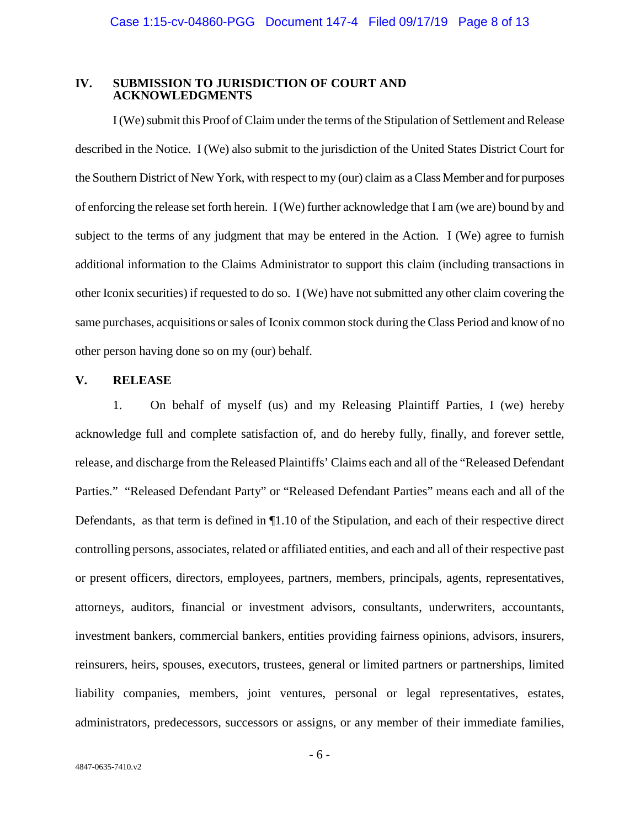#### **IV. SUBMISSION TO JURISDICTION OF COURT AND ACKNOWLEDGMENTS**

I (We) submit this Proof of Claim under the terms of the Stipulation of Settlement and Release described in the Notice. I (We) also submit to the jurisdiction of the United States District Court for the Southern District of New York, with respect to my (our) claim as a Class Member and for purposes of enforcing the release set forth herein. I (We) further acknowledge that I am (we are) bound by and subject to the terms of any judgment that may be entered in the Action. I (We) agree to furnish additional information to the Claims Administrator to support this claim (including transactions in other Iconix securities) if requested to do so. I (We) have not submitted any other claim covering the same purchases, acquisitions or sales of Iconix common stock during the Class Period and know of no other person having done so on my (our) behalf.

# **V. RELEASE**

1. On behalf of myself (us) and my Releasing Plaintiff Parties, I (we) hereby acknowledge full and complete satisfaction of, and do hereby fully, finally, and forever settle, release, and discharge from the Released Plaintiffs' Claims each and all of the "Released Defendant Parties." "Released Defendant Party" or "Released Defendant Parties" means each and all of the Defendants, as that term is defined in ¶1.10 of the Stipulation, and each of their respective direct controlling persons, associates, related or affiliated entities, and each and all of their respective past or present officers, directors, employees, partners, members, principals, agents, representatives, attorneys, auditors, financial or investment advisors, consultants, underwriters, accountants, investment bankers, commercial bankers, entities providing fairness opinions, advisors, insurers, reinsurers, heirs, spouses, executors, trustees, general or limited partners or partnerships, limited liability companies, members, joint ventures, personal or legal representatives, estates, administrators, predecessors, successors or assigns, or any member of their immediate families,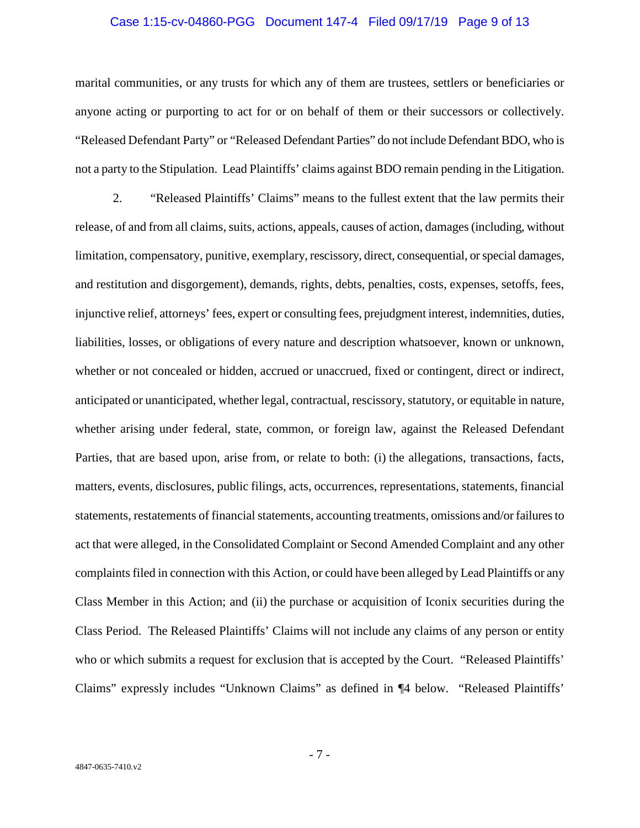#### Case 1:15-cv-04860-PGG Document 147-4 Filed 09/17/19 Page 9 of 13

marital communities, or any trusts for which any of them are trustees, settlers or beneficiaries or anyone acting or purporting to act for or on behalf of them or their successors or collectively. "Released Defendant Party" or "Released Defendant Parties" do not include Defendant BDO, who is not a party to the Stipulation. Lead Plaintiffs' claims against BDO remain pending in the Litigation.

2. "Released Plaintiffs' Claims" means to the fullest extent that the law permits their release, of and from all claims, suits, actions, appeals, causes of action, damages (including, without limitation, compensatory, punitive, exemplary, rescissory, direct, consequential, or special damages, and restitution and disgorgement), demands, rights, debts, penalties, costs, expenses, setoffs, fees, injunctive relief, attorneys' fees, expert or consulting fees, prejudgment interest, indemnities, duties, liabilities, losses, or obligations of every nature and description whatsoever, known or unknown, whether or not concealed or hidden, accrued or unaccrued, fixed or contingent, direct or indirect, anticipated or unanticipated, whether legal, contractual, rescissory, statutory, or equitable in nature, whether arising under federal, state, common, or foreign law, against the Released Defendant Parties, that are based upon, arise from, or relate to both: (i) the allegations, transactions, facts, matters, events, disclosures, public filings, acts, occurrences, representations, statements, financial statements, restatements of financial statements, accounting treatments, omissions and/or failures to act that were alleged, in the Consolidated Complaint or Second Amended Complaint and any other complaints filed in connection with this Action, or could have been alleged by Lead Plaintiffs or any Class Member in this Action; and (ii) the purchase or acquisition of Iconix securities during the Class Period. The Released Plaintiffs' Claims will not include any claims of any person or entity who or which submits a request for exclusion that is accepted by the Court. "Released Plaintiffs' Claims" expressly includes "Unknown Claims" as defined in ¶4 below. "Released Plaintiffs'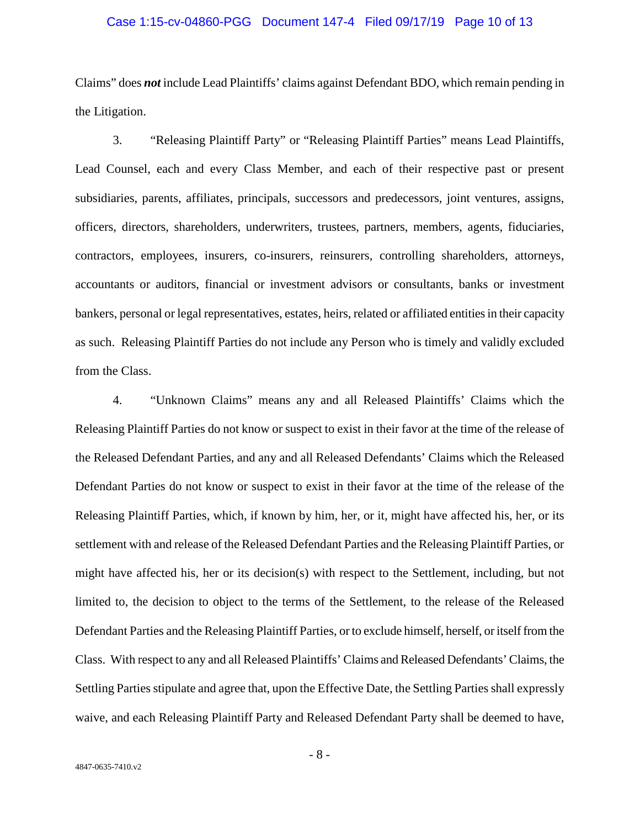#### Case 1:15-cv-04860-PGG Document 147-4 Filed 09/17/19 Page 10 of 13

Claims" does *not* include Lead Plaintiffs' claims against Defendant BDO, which remain pending in the Litigation.

3. "Releasing Plaintiff Party" or "Releasing Plaintiff Parties" means Lead Plaintiffs, Lead Counsel, each and every Class Member, and each of their respective past or present subsidiaries, parents, affiliates, principals, successors and predecessors, joint ventures, assigns, officers, directors, shareholders, underwriters, trustees, partners, members, agents, fiduciaries, contractors, employees, insurers, co-insurers, reinsurers, controlling shareholders, attorneys, accountants or auditors, financial or investment advisors or consultants, banks or investment bankers, personal or legal representatives, estates, heirs, related or affiliated entities in their capacity as such. Releasing Plaintiff Parties do not include any Person who is timely and validly excluded from the Class.

4. "Unknown Claims" means any and all Released Plaintiffs' Claims which the Releasing Plaintiff Parties do not know or suspect to exist in their favor at the time of the release of the Released Defendant Parties, and any and all Released Defendants' Claims which the Released Defendant Parties do not know or suspect to exist in their favor at the time of the release of the Releasing Plaintiff Parties, which, if known by him, her, or it, might have affected his, her, or its settlement with and release of the Released Defendant Parties and the Releasing Plaintiff Parties, or might have affected his, her or its decision(s) with respect to the Settlement, including, but not limited to, the decision to object to the terms of the Settlement, to the release of the Released Defendant Parties and the Releasing Plaintiff Parties, or to exclude himself, herself, or itself from the Class. With respect to any and all Released Plaintiffs' Claims and Released Defendants' Claims, the Settling Parties stipulate and agree that, upon the Effective Date, the Settling Parties shall expressly waive, and each Releasing Plaintiff Party and Released Defendant Party shall be deemed to have,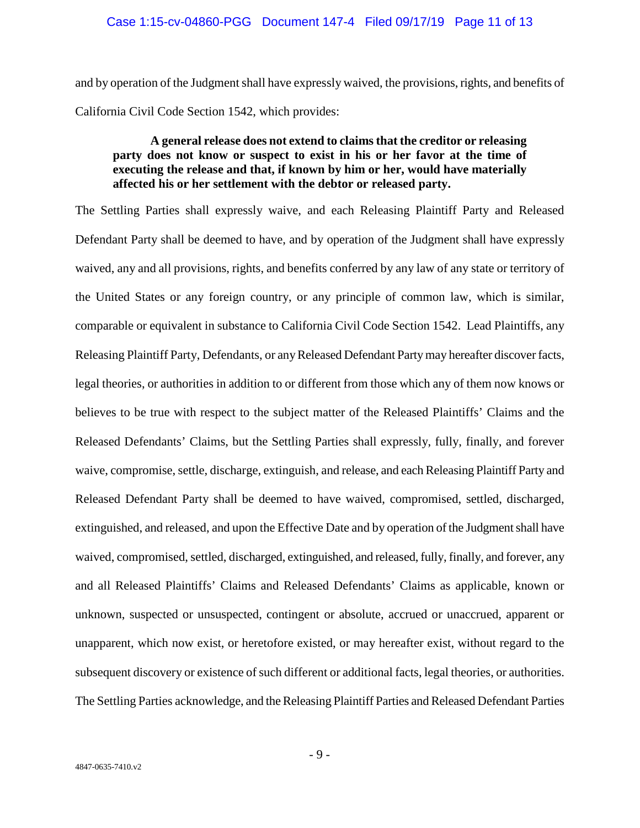and by operation of the Judgment shall have expressly waived, the provisions, rights, and benefits of California Civil Code Section 1542, which provides:

# **A general release does not extend to claims that the creditor or releasing party does not know or suspect to exist in his or her favor at the time of executing the release and that, if known by him or her, would have materially affected his or her settlement with the debtor or released party.**

The Settling Parties shall expressly waive, and each Releasing Plaintiff Party and Released Defendant Party shall be deemed to have, and by operation of the Judgment shall have expressly waived, any and all provisions, rights, and benefits conferred by any law of any state or territory of the United States or any foreign country, or any principle of common law, which is similar, comparable or equivalent in substance to California Civil Code Section 1542. Lead Plaintiffs, any Releasing Plaintiff Party, Defendants, or any Released Defendant Party may hereafter discover facts, legal theories, or authorities in addition to or different from those which any of them now knows or believes to be true with respect to the subject matter of the Released Plaintiffs' Claims and the Released Defendants' Claims, but the Settling Parties shall expressly, fully, finally, and forever waive, compromise, settle, discharge, extinguish, and release, and each Releasing Plaintiff Party and Released Defendant Party shall be deemed to have waived, compromised, settled, discharged, extinguished, and released, and upon the Effective Date and by operation of the Judgment shall have waived, compromised, settled, discharged, extinguished, and released, fully, finally, and forever, any and all Released Plaintiffs' Claims and Released Defendants' Claims as applicable, known or unknown, suspected or unsuspected, contingent or absolute, accrued or unaccrued, apparent or unapparent, which now exist, or heretofore existed, or may hereafter exist, without regard to the subsequent discovery or existence of such different or additional facts, legal theories, or authorities. The Settling Parties acknowledge, and the Releasing Plaintiff Parties and Released Defendant Parties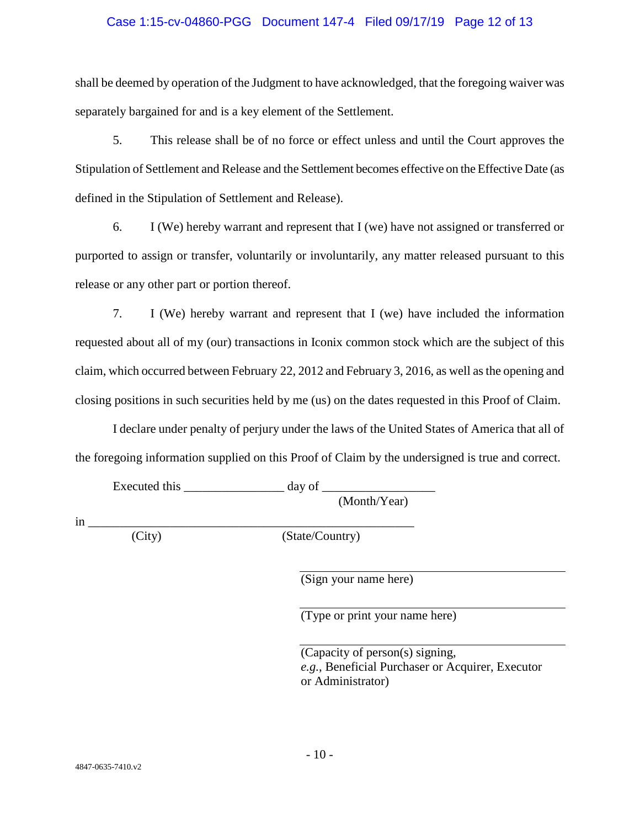#### Case 1:15-cv-04860-PGG Document 147-4 Filed 09/17/19 Page 12 of 13

shall be deemed by operation of the Judgment to have acknowledged, that the foregoing waiver was separately bargained for and is a key element of the Settlement.

5. This release shall be of no force or effect unless and until the Court approves the Stipulation of Settlement and Release and the Settlement becomes effective on the Effective Date (as defined in the Stipulation of Settlement and Release).

6. I (We) hereby warrant and represent that I (we) have not assigned or transferred or purported to assign or transfer, voluntarily or involuntarily, any matter released pursuant to this release or any other part or portion thereof.

7. I (We) hereby warrant and represent that I (we) have included the information requested about all of my (our) transactions in Iconix common stock which are the subject of this claim, which occurred between February 22, 2012 and February 3, 2016, as well as the opening and closing positions in such securities held by me (us) on the dates requested in this Proof of Claim.

I declare under penalty of perjury under the laws of the United States of America that all of the foregoing information supplied on this Proof of Claim by the undersigned is true and correct.

Executed this  $\frac{1}{\frac{1}{2}}$  day of  $\frac{1}{2}$ 

(Month/Year)

 $\frac{\text{in} \_$ 

(City) (State/Country)

(Sign your name here)

(Type or print your name here)

(Capacity of person(s) signing, *e.g.*, Beneficial Purchaser or Acquirer, Executor or Administrator)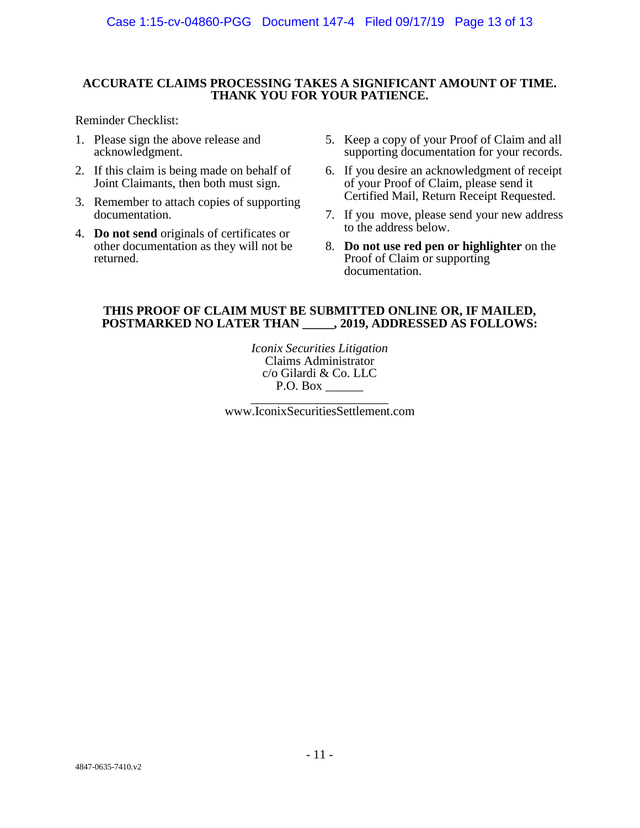#### **ACCURATE CLAIMS PROCESSING TAKES A SIGNIFICANT AMOUNT OF TIME. THANK YOU FOR YOUR PATIENCE.**

Reminder Checklist:

- 1. Please sign the above release and acknowledgment.
- 2. If this claim is being made on behalf of Joint Claimants, then both must sign.
- 3. Remember to attach copies of supporting documentation.
- 4. **Do not send** originals of certificates or other documentation as they will not be returned.
- 5. Keep a copy of your Proof of Claim and all supporting documentation for your records.
- 6. If you desire an acknowledgment of receipt of your Proof of Claim, please send it Certified Mail, Return Receipt Requested.
- 7. If you move, please send your new address to the address below.
- 8. **Do not use red pen or highlighter** on the Proof of Claim or supporting documentation.

#### **THIS PROOF OF CLAIM MUST BE SUBMITTED ONLINE OR, IF MAILED, POSTMARKED NO LATER THAN \_\_\_\_\_, 2019, ADDRESSED AS FOLLOWS:**

*Iconix Securities Litigation* Claims Administrator c/o Gilardi & Co. LLC

www.IconixSecuritiesSettlement.com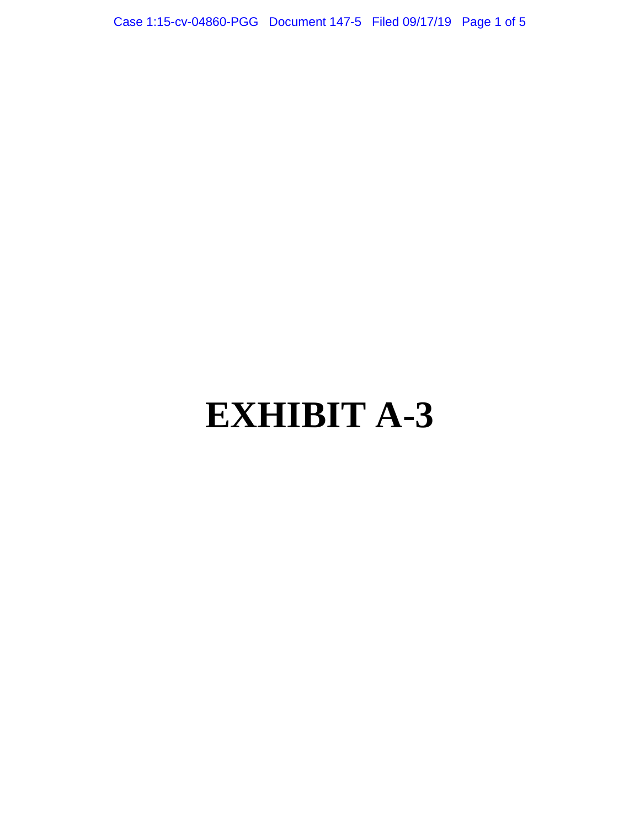Case 1:15-cv-04860-PGG Document 147-5 Filed 09/17/19 Page 1 of 5

# **EXHIBIT A-3**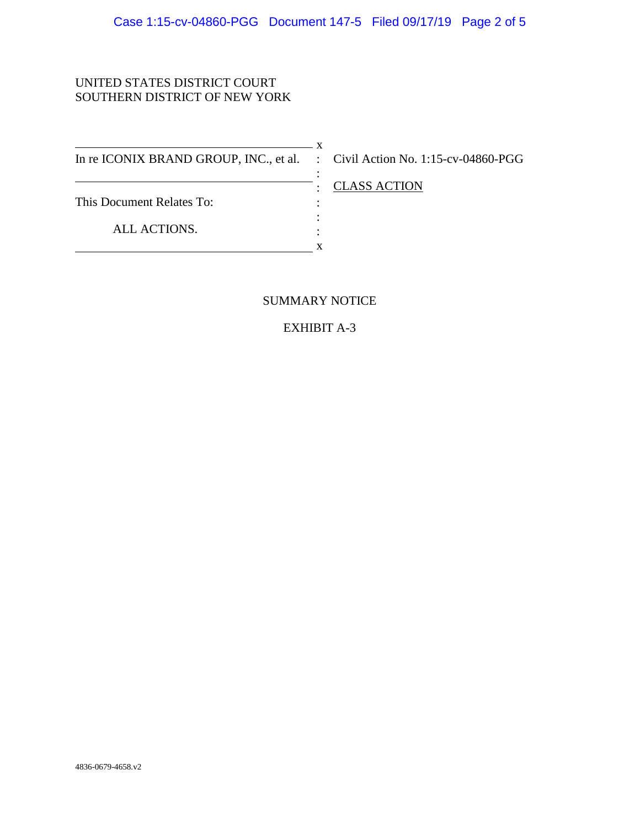# UNITED STATES DISTRICT COURT SOUTHERN DISTRICT OF NEW YORK

 $\overline{\phantom{1}}$  x In re ICONIX BRAND GROUP, INC., et al. : Civil Action No. 1:15-cv-04860-PGG This Document Relates To: ALL ACTIONS. :  $\cdot$  : : : **x** 

: CLASS ACTION

# SUMMARY NOTICE

EXHIBIT A-3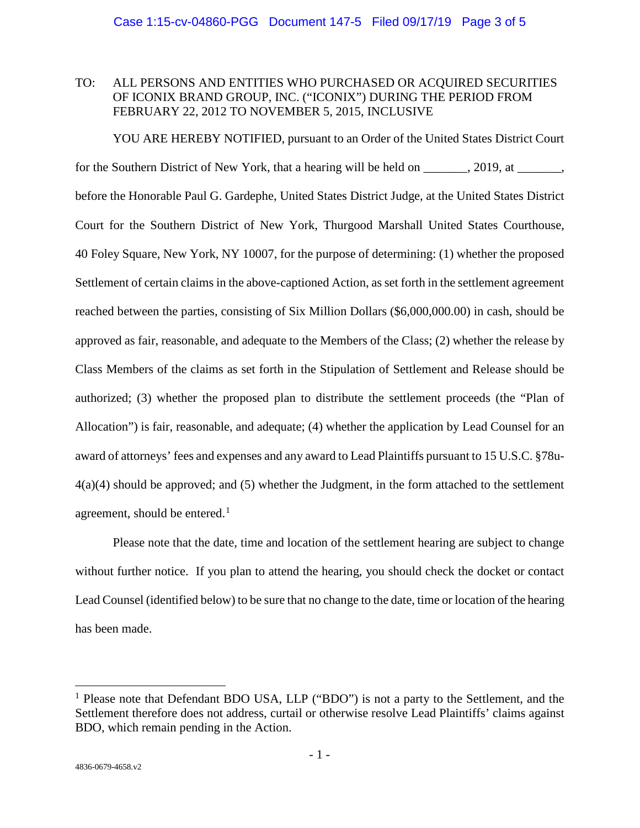## TO: ALL PERSONS AND ENTITIES WHO PURCHASED OR ACQUIRED SECURITIES OF ICONIX BRAND GROUP, INC. ("ICONIX") DURING THE PERIOD FROM FEBRUARY 22, 2012 TO NOVEMBER 5, 2015, INCLUSIVE

YOU ARE HEREBY NOTIFIED, pursuant to an Order of the United States District Court for the Southern District of New York, that a hearing will be held on \_\_\_\_\_\_, 2019, at \_\_\_\_\_\_, before the Honorable Paul G. Gardephe, United States District Judge, at the United States District Court for the Southern District of New York, Thurgood Marshall United States Courthouse, 40 Foley Square, New York, NY 10007, for the purpose of determining: (1) whether the proposed Settlement of certain claims in the above-captioned Action, as set forth in the settlement agreement reached between the parties, consisting of Six Million Dollars (\$6,000,000.00) in cash, should be approved as fair, reasonable, and adequate to the Members of the Class; (2) whether the release by Class Members of the claims as set forth in the Stipulation of Settlement and Release should be authorized; (3) whether the proposed plan to distribute the settlement proceeds (the "Plan of Allocation") is fair, reasonable, and adequate; (4) whether the application by Lead Counsel for an award of attorneys' fees and expenses and any award to Lead Plaintiffs pursuant to 15 U.S.C. §78u-4(a)(4) should be approved; and (5) whether the Judgment, in the form attached to the settlement agreement, should be entered. $<sup>1</sup>$  $<sup>1</sup>$  $<sup>1</sup>$ </sup>

Please note that the date, time and location of the settlement hearing are subject to change without further notice. If you plan to attend the hearing, you should check the docket or contact Lead Counsel (identified below) to be sure that no change to the date, time or location of the hearing has been made.

 $\overline{a}$ 

<span id="page-100-0"></span><sup>&</sup>lt;sup>1</sup> Please note that Defendant BDO USA, LLP ("BDO") is not a party to the Settlement, and the Settlement therefore does not address, curtail or otherwise resolve Lead Plaintiffs' claims against BDO, which remain pending in the Action.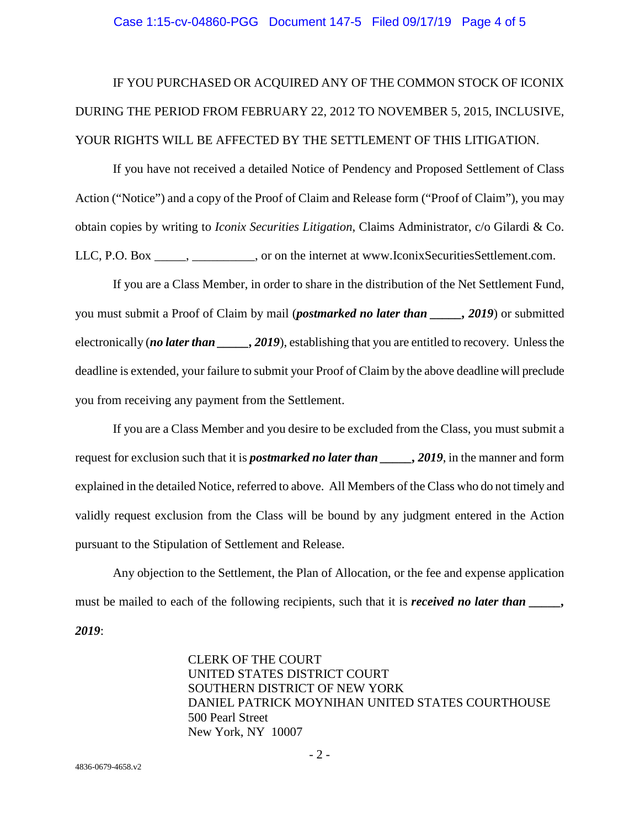#### Case 1:15-cv-04860-PGG Document 147-5 Filed 09/17/19 Page 4 of 5

# IF YOU PURCHASED OR ACQUIRED ANY OF THE COMMON STOCK OF ICONIX DURING THE PERIOD FROM FEBRUARY 22, 2012 TO NOVEMBER 5, 2015, INCLUSIVE, YOUR RIGHTS WILL BE AFFECTED BY THE SETTLEMENT OF THIS LITIGATION.

If you have not received a detailed Notice of Pendency and Proposed Settlement of Class Action ("Notice") and a copy of the Proof of Claim and Release form ("Proof of Claim"), you may obtain copies by writing to *Iconix Securities Litigation*, Claims Administrator, c/o Gilardi & Co. LLC, P.O. Box \_\_\_\_\_, \_\_\_\_\_\_\_\_, or on the internet at www.IconixSecuritiesSettlement.com.

If you are a Class Member, in order to share in the distribution of the Net Settlement Fund, you must submit a Proof of Claim by mail (*postmarked no later than \_\_\_\_\_, 2019*) or submitted electronically (*no later than \_\_\_\_\_, 2019*), establishing that you are entitled to recovery. Unless the deadline is extended, your failure to submit your Proof of Claim by the above deadline will preclude you from receiving any payment from the Settlement.

If you are a Class Member and you desire to be excluded from the Class, you must submit a request for exclusion such that it is *postmarked no later than \_\_\_\_\_, 2019*, in the manner and form explained in the detailed Notice, referred to above. All Members of the Class who do not timely and validly request exclusion from the Class will be bound by any judgment entered in the Action pursuant to the Stipulation of Settlement and Release.

Any objection to the Settlement, the Plan of Allocation, or the fee and expense application must be mailed to each of the following recipients, such that it is *received no later than* \_\_\_\_, *2019*:

> CLERK OF THE COURT UNITED STATES DISTRICT COURT SOUTHERN DISTRICT OF NEW YORK DANIEL PATRICK MOYNIHAN UNITED STATES COURTHOUSE 500 Pearl Street New York, NY 10007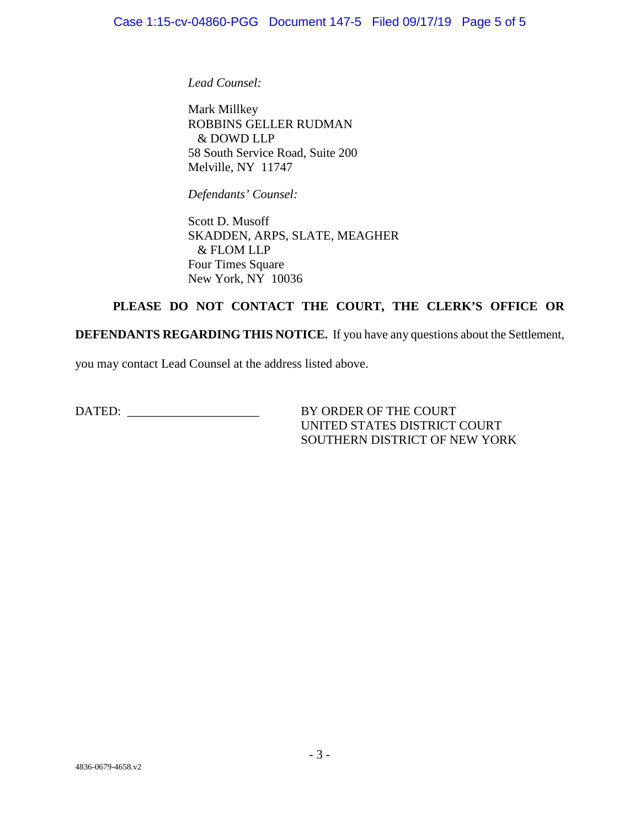*Lead Counsel:* 

Mark Millkey ROBBINS GELLER RUDMAN & DOWD LLP 58 South Service Road, Suite 200 Melville, NY 11747

*Defendants' Counsel:* 

Scott D. Musoff SKADDEN, ARPS, SLATE, MEAGHER & FLOM LLP Four Times Square New York, NY 10036

# **PLEASE DO NOT CONTACT THE COURT, THE CLERK'S OFFICE OR**

**DEFENDANTS REGARDING THIS NOTICE.** If you have any questions about the Settlement,

you may contact Lead Counsel at the address listed above.

DATED: \_\_\_\_\_\_\_\_\_\_\_\_\_\_\_\_\_\_\_\_\_ BY ORDER OF THE COURT

UNITED STATES DISTRICT COURT SOUTHERN DISTRICT OF NEW YORK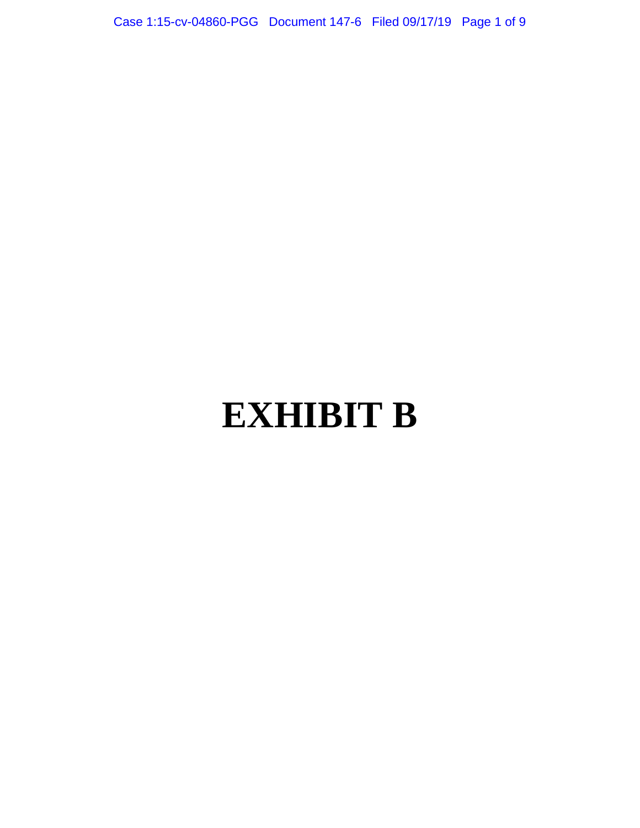Case 1:15-cv-04860-PGG Document 147-6 Filed 09/17/19 Page 1 of 9

# **EXHIBIT B**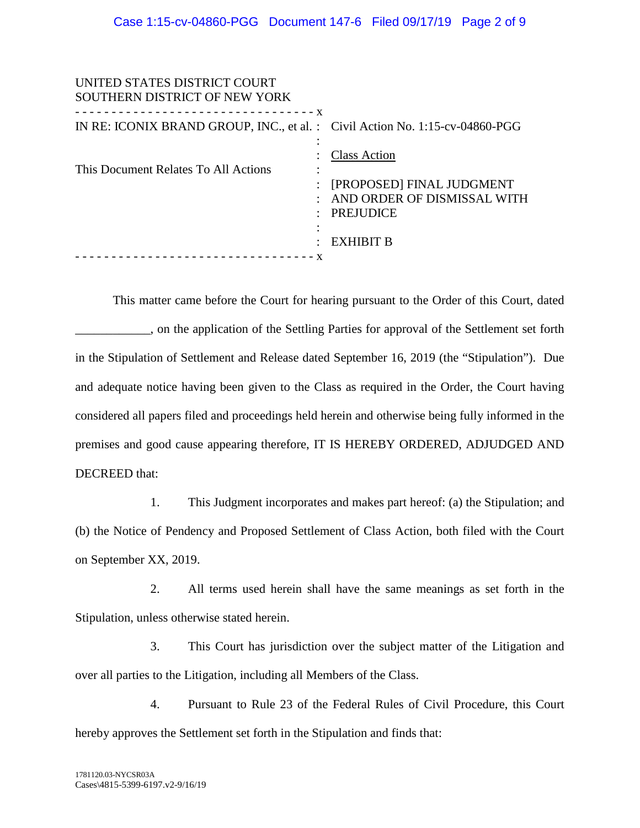| UNITED STATES DISTRICT COURT<br>SOUTHERN DISTRICT OF NEW YORK                                                            |                                                                                                                  |
|--------------------------------------------------------------------------------------------------------------------------|------------------------------------------------------------------------------------------------------------------|
| ------------------------------- <b>X</b><br>IN RE: ICONIX BRAND GROUP, INC., et al. : Civil Action No. 1:15-cv-04860-PGG |                                                                                                                  |
| This Document Relates To All Actions                                                                                     | <b>Class Action</b><br>[PROPOSED] FINAL JUDGMENT<br>AND ORDER OF DISMISSAL WITH<br><b>PREJUDICE</b><br>EXHIBIT B |
|                                                                                                                          |                                                                                                                  |

This matter came before the Court for hearing pursuant to the Order of this Court, dated \_\_\_\_\_\_\_\_\_\_\_\_, on the application of the Settling Parties for approval of the Settlement set forth in the Stipulation of Settlement and Release dated September 16, 2019 (the "Stipulation"). Due and adequate notice having been given to the Class as required in the Order, the Court having considered all papers filed and proceedings held herein and otherwise being fully informed in the premises and good cause appearing therefore, IT IS HEREBY ORDERED, ADJUDGED AND DECREED that:

1. This Judgment incorporates and makes part hereof: (a) the Stipulation; and (b) the Notice of Pendency and Proposed Settlement of Class Action, both filed with the Court on September XX, 2019.

2. All terms used herein shall have the same meanings as set forth in the Stipulation, unless otherwise stated herein.

3. This Court has jurisdiction over the subject matter of the Litigation and over all parties to the Litigation, including all Members of the Class.

4. Pursuant to Rule 23 of the Federal Rules of Civil Procedure, this Court hereby approves the Settlement set forth in the Stipulation and finds that: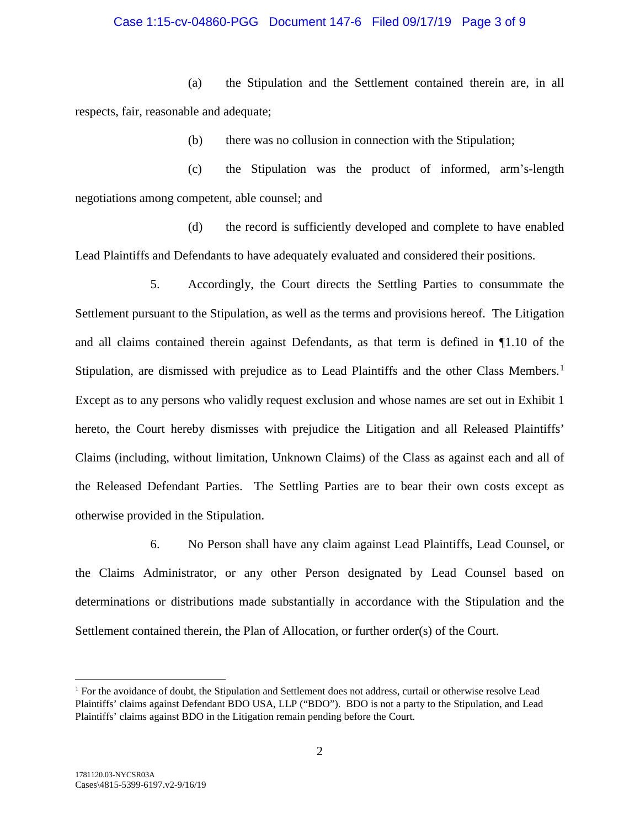#### Case 1:15-cv-04860-PGG Document 147-6 Filed 09/17/19 Page 3 of 9

(a) the Stipulation and the Settlement contained therein are, in all respects, fair, reasonable and adequate;

(b) there was no collusion in connection with the Stipulation;

(c) the Stipulation was the product of informed, arm's-length negotiations among competent, able counsel; and

(d) the record is sufficiently developed and complete to have enabled Lead Plaintiffs and Defendants to have adequately evaluated and considered their positions.

5. Accordingly, the Court directs the Settling Parties to consummate the Settlement pursuant to the Stipulation, as well as the terms and provisions hereof. The Litigation and all claims contained therein against Defendants, as that term is defined in ¶1.10 of the Stipulation, are dismissed with prejudice as to Lead Plaintiffs and the other Class Members.<sup>[1](#page-105-0)</sup> Except as to any persons who validly request exclusion and whose names are set out in Exhibit 1 hereto, the Court hereby dismisses with prejudice the Litigation and all Released Plaintiffs' Claims (including, without limitation, Unknown Claims) of the Class as against each and all of the Released Defendant Parties. The Settling Parties are to bear their own costs except as otherwise provided in the Stipulation.

6. No Person shall have any claim against Lead Plaintiffs, Lead Counsel, or the Claims Administrator, or any other Person designated by Lead Counsel based on determinations or distributions made substantially in accordance with the Stipulation and the Settlement contained therein, the Plan of Allocation, or further order(s) of the Court.

 $\overline{a}$ 

<span id="page-105-0"></span><sup>&</sup>lt;sup>1</sup> For the avoidance of doubt, the Stipulation and Settlement does not address, curtail or otherwise resolve Lead Plaintiffs' claims against Defendant BDO USA, LLP ("BDO"). BDO is not a party to the Stipulation, and Lead Plaintiffs' claims against BDO in the Litigation remain pending before the Court.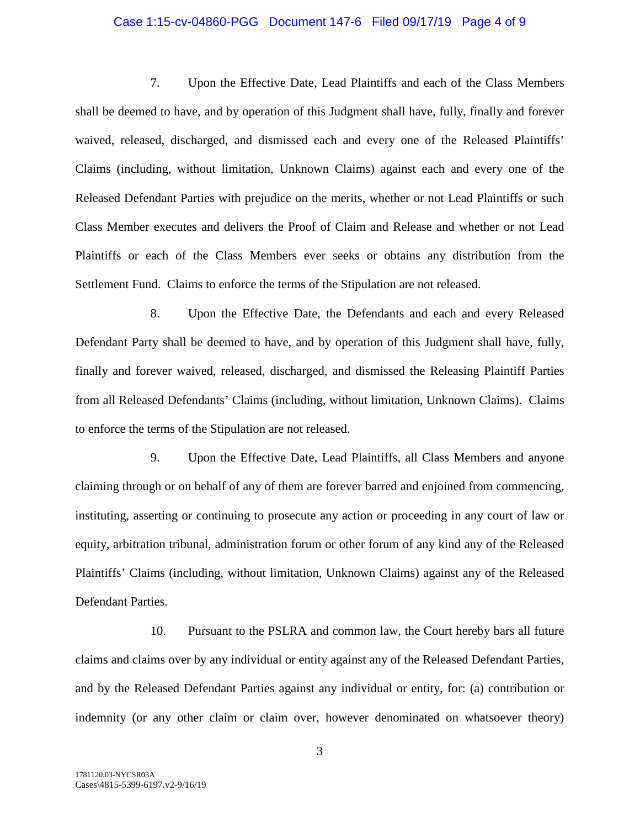#### Case 1:15-cv-04860-PGG Document 147-6 Filed 09/17/19 Page 4 of 9

7. Upon the Effective Date, Lead Plaintiffs and each of the Class Members shall be deemed to have, and by operation of this Judgment shall have, fully, finally and forever waived, released, discharged, and dismissed each and every one of the Released Plaintiffs' Claims (including, without limitation, Unknown Claims) against each and every one of the Released Defendant Parties with prejudice on the merits, whether or not Lead Plaintiffs or such Class Member executes and delivers the Proof of Claim and Release and whether or not Lead Plaintiffs or each of the Class Members ever seeks or obtains any distribution from the Settlement Fund. Claims to enforce the terms of the Stipulation are not released.

8. Upon the Effective Date, the Defendants and each and every Released Defendant Party shall be deemed to have, and by operation of this Judgment shall have, fully, finally and forever waived, released, discharged, and dismissed the Releasing Plaintiff Parties from all Released Defendants' Claims (including, without limitation, Unknown Claims). Claims to enforce the terms of the Stipulation are not released.

9. Upon the Effective Date, Lead Plaintiffs, all Class Members and anyone claiming through or on behalf of any of them are forever barred and enjoined from commencing, instituting, asserting or continuing to prosecute any action or proceeding in any court of law or equity, arbitration tribunal, administration forum or other forum of any kind any of the Released Plaintiffs' Claims (including, without limitation, Unknown Claims) against any of the Released Defendant Parties.

10. Pursuant to the PSLRA and common law, the Court hereby bars all future claims and claims over by any individual or entity against any of the Released Defendant Parties, and by the Released Defendant Parties against any individual or entity, for: (a) contribution or indemnity (or any other claim or claim over, however denominated on whatsoever theory)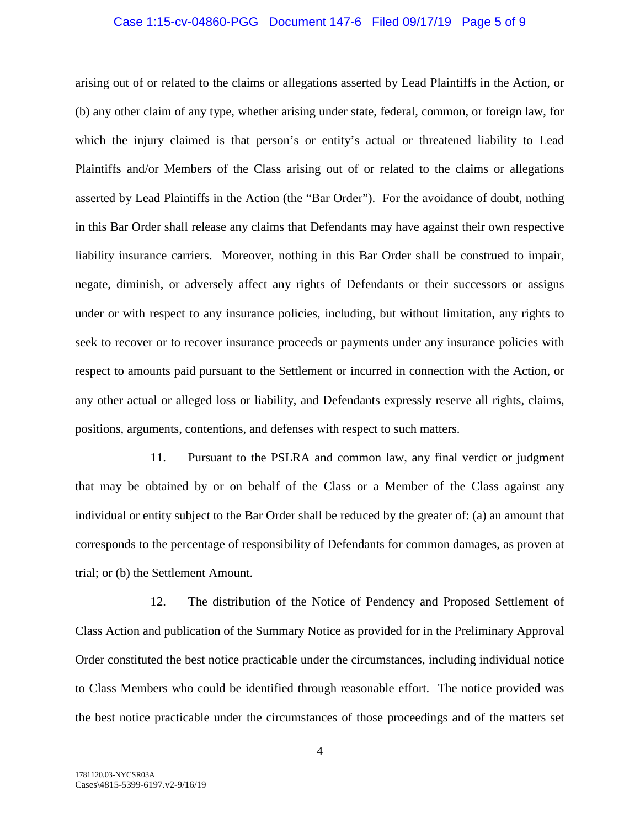#### Case 1:15-cv-04860-PGG Document 147-6 Filed 09/17/19 Page 5 of 9

arising out of or related to the claims or allegations asserted by Lead Plaintiffs in the Action, or (b) any other claim of any type, whether arising under state, federal, common, or foreign law, for which the injury claimed is that person's or entity's actual or threatened liability to Lead Plaintiffs and/or Members of the Class arising out of or related to the claims or allegations asserted by Lead Plaintiffs in the Action (the "Bar Order"). For the avoidance of doubt, nothing in this Bar Order shall release any claims that Defendants may have against their own respective liability insurance carriers. Moreover, nothing in this Bar Order shall be construed to impair, negate, diminish, or adversely affect any rights of Defendants or their successors or assigns under or with respect to any insurance policies, including, but without limitation, any rights to seek to recover or to recover insurance proceeds or payments under any insurance policies with respect to amounts paid pursuant to the Settlement or incurred in connection with the Action, or any other actual or alleged loss or liability, and Defendants expressly reserve all rights, claims, positions, arguments, contentions, and defenses with respect to such matters.

11. Pursuant to the PSLRA and common law, any final verdict or judgment that may be obtained by or on behalf of the Class or a Member of the Class against any individual or entity subject to the Bar Order shall be reduced by the greater of: (a) an amount that corresponds to the percentage of responsibility of Defendants for common damages, as proven at trial; or (b) the Settlement Amount.

12. The distribution of the Notice of Pendency and Proposed Settlement of Class Action and publication of the Summary Notice as provided for in the Preliminary Approval Order constituted the best notice practicable under the circumstances, including individual notice to Class Members who could be identified through reasonable effort. The notice provided was the best notice practicable under the circumstances of those proceedings and of the matters set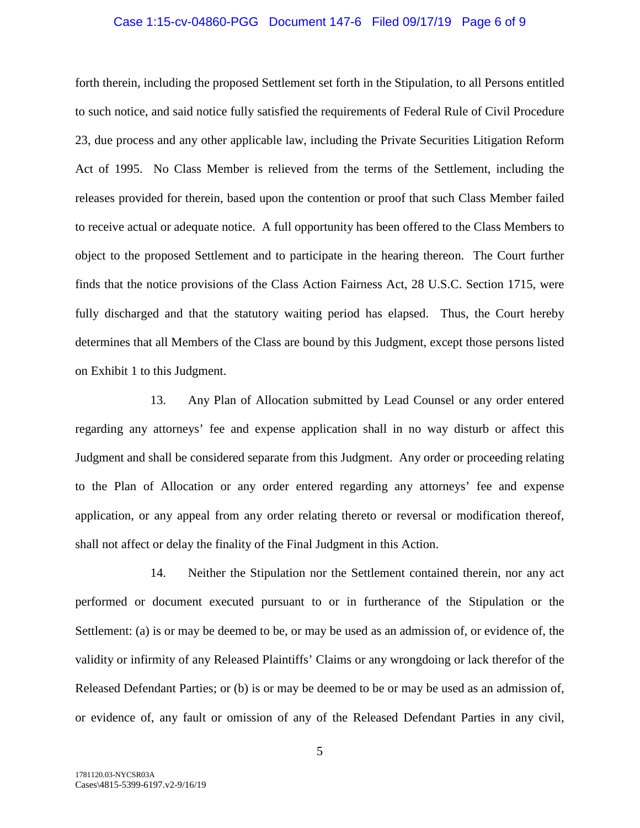## Case 1:15-cv-04860-PGG Document 147-6 Filed 09/17/19 Page 6 of 9

forth therein, including the proposed Settlement set forth in the Stipulation, to all Persons entitled to such notice, and said notice fully satisfied the requirements of Federal Rule of Civil Procedure 23, due process and any other applicable law, including the Private Securities Litigation Reform Act of 1995. No Class Member is relieved from the terms of the Settlement, including the releases provided for therein, based upon the contention or proof that such Class Member failed to receive actual or adequate notice. A full opportunity has been offered to the Class Members to object to the proposed Settlement and to participate in the hearing thereon. The Court further finds that the notice provisions of the Class Action Fairness Act, 28 U.S.C. Section 1715, were fully discharged and that the statutory waiting period has elapsed. Thus, the Court hereby determines that all Members of the Class are bound by this Judgment, except those persons listed on Exhibit 1 to this Judgment.

13. Any Plan of Allocation submitted by Lead Counsel or any order entered regarding any attorneys' fee and expense application shall in no way disturb or affect this Judgment and shall be considered separate from this Judgment. Any order or proceeding relating to the Plan of Allocation or any order entered regarding any attorneys' fee and expense application, or any appeal from any order relating thereto or reversal or modification thereof, shall not affect or delay the finality of the Final Judgment in this Action.

14. Neither the Stipulation nor the Settlement contained therein, nor any act performed or document executed pursuant to or in furtherance of the Stipulation or the Settlement: (a) is or may be deemed to be, or may be used as an admission of, or evidence of, the validity or infirmity of any Released Plaintiffs' Claims or any wrongdoing or lack therefor of the Released Defendant Parties; or (b) is or may be deemed to be or may be used as an admission of, or evidence of, any fault or omission of any of the Released Defendant Parties in any civil,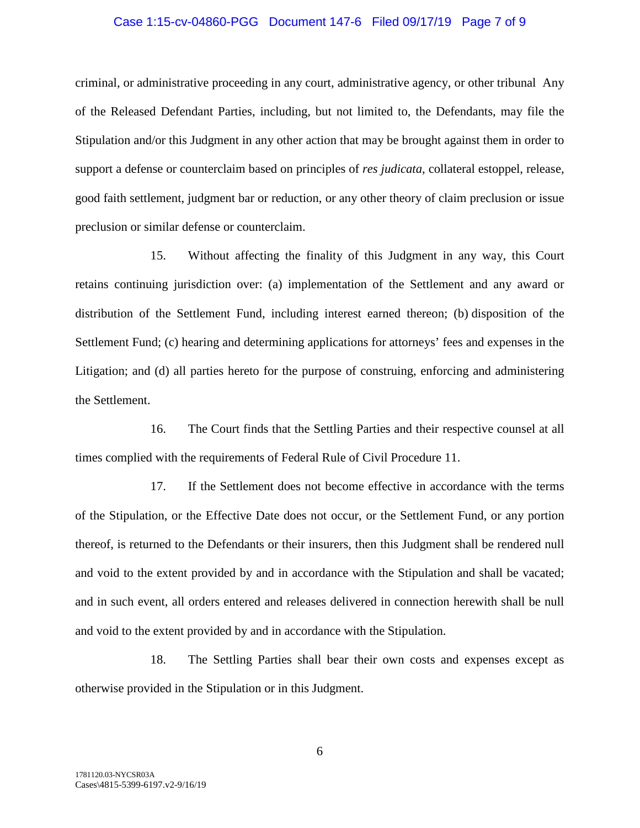## Case 1:15-cv-04860-PGG Document 147-6 Filed 09/17/19 Page 7 of 9

criminal, or administrative proceeding in any court, administrative agency, or other tribunal Any of the Released Defendant Parties, including, but not limited to, the Defendants, may file the Stipulation and/or this Judgment in any other action that may be brought against them in order to support a defense or counterclaim based on principles of *res judicata*, collateral estoppel, release, good faith settlement, judgment bar or reduction, or any other theory of claim preclusion or issue preclusion or similar defense or counterclaim.

15. Without affecting the finality of this Judgment in any way, this Court retains continuing jurisdiction over: (a) implementation of the Settlement and any award or distribution of the Settlement Fund, including interest earned thereon; (b) disposition of the Settlement Fund; (c) hearing and determining applications for attorneys' fees and expenses in the Litigation; and (d) all parties hereto for the purpose of construing, enforcing and administering the Settlement.

16. The Court finds that the Settling Parties and their respective counsel at all times complied with the requirements of Federal Rule of Civil Procedure 11.

17. If the Settlement does not become effective in accordance with the terms of the Stipulation, or the Effective Date does not occur, or the Settlement Fund, or any portion thereof, is returned to the Defendants or their insurers, then this Judgment shall be rendered null and void to the extent provided by and in accordance with the Stipulation and shall be vacated; and in such event, all orders entered and releases delivered in connection herewith shall be null and void to the extent provided by and in accordance with the Stipulation.

18. The Settling Parties shall bear their own costs and expenses except as otherwise provided in the Stipulation or in this Judgment.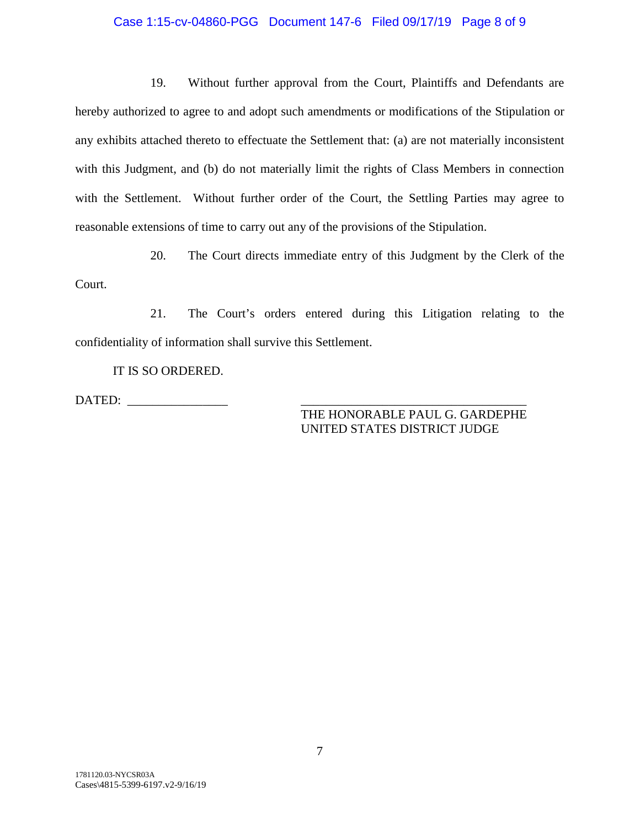## Case 1:15-cv-04860-PGG Document 147-6 Filed 09/17/19 Page 8 of 9

19. Without further approval from the Court, Plaintiffs and Defendants are hereby authorized to agree to and adopt such amendments or modifications of the Stipulation or any exhibits attached thereto to effectuate the Settlement that: (a) are not materially inconsistent with this Judgment, and (b) do not materially limit the rights of Class Members in connection with the Settlement. Without further order of the Court, the Settling Parties may agree to reasonable extensions of time to carry out any of the provisions of the Stipulation.

20. The Court directs immediate entry of this Judgment by the Clerk of the Court.

21. The Court's orders entered during this Litigation relating to the confidentiality of information shall survive this Settlement.

IT IS SO ORDERED.

DATED: \_\_\_\_\_\_\_\_\_\_\_\_\_\_\_\_ \_\_\_\_\_\_\_\_\_\_\_\_\_\_\_\_\_\_\_\_\_\_\_\_\_\_\_\_\_\_\_\_\_\_\_\_

THE HONORABLE PAUL G. GARDEPHE UNITED STATES DISTRICT JUDGE